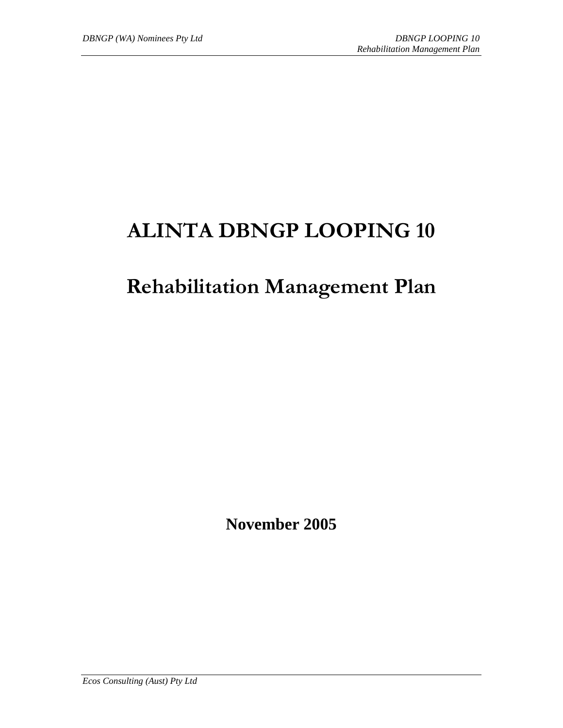# **ALINTA DBNGP LOOPING 10**

# **Rehabilitation Management Plan**

**November 2005** 

*Ecos Consulting (Aust) Pty Ltd*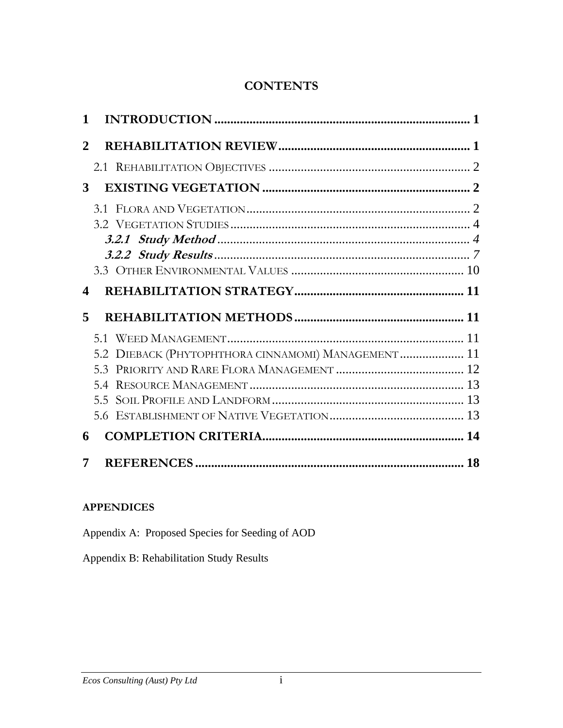# **CONTENTS**

| 1                     |                                                     |  |
|-----------------------|-----------------------------------------------------|--|
| $\mathbf{2}$          |                                                     |  |
|                       |                                                     |  |
| 3                     |                                                     |  |
| $\boldsymbol{\Delta}$ |                                                     |  |
| 5                     |                                                     |  |
|                       |                                                     |  |
|                       | 5.2 DIEBACK (PHYTOPHTHORA CINNAMOMI) MANAGEMENT  11 |  |
|                       |                                                     |  |
|                       | 5.4                                                 |  |
|                       |                                                     |  |
|                       |                                                     |  |
| 6                     |                                                     |  |
| 7                     |                                                     |  |

# **APPENDICES**

Appendix A: Proposed Species for Seeding of AOD

Appendix B: Rehabilitation Study Results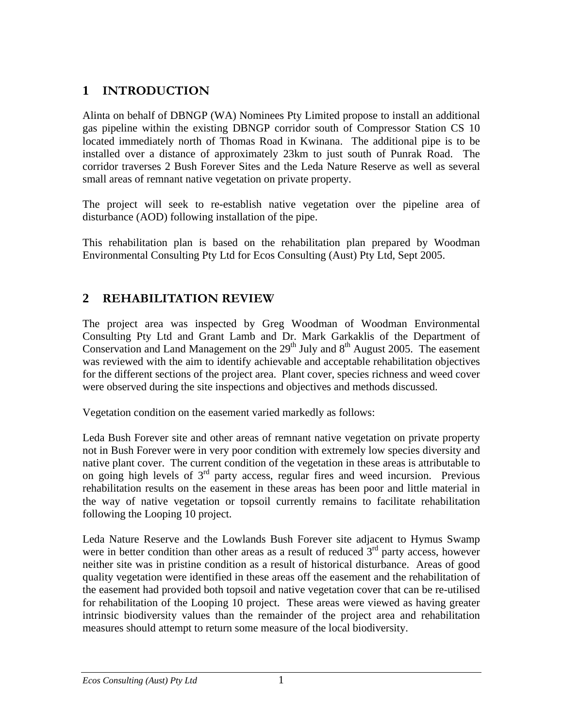# <span id="page-2-0"></span>**1 INTRODUCTION**

Alinta on behalf of DBNGP (WA) Nominees Pty Limited propose to install an additional gas pipeline within the existing DBNGP corridor south of Compressor Station CS 10 located immediately north of Thomas Road in Kwinana. The additional pipe is to be installed over a distance of approximately 23km to just south of Punrak Road. The corridor traverses 2 Bush Forever Sites and the Leda Nature Reserve as well as several small areas of remnant native vegetation on private property.

The project will seek to re-establish native vegetation over the pipeline area of disturbance (AOD) following installation of the pipe.

This rehabilitation plan is based on the rehabilitation plan prepared by Woodman Environmental Consulting Pty Ltd for Ecos Consulting (Aust) Pty Ltd, Sept 2005.

# **2 REHABILITATION REVIEW**

The project area was inspected by Greg Woodman of Woodman Environmental Consulting Pty Ltd and Grant Lamb and Dr. Mark Garkaklis of the Department of Conservation and Land Management on the  $29<sup>th</sup>$  July and  $8<sup>th</sup>$  August 2005. The easement was reviewed with the aim to identify achievable and acceptable rehabilitation objectives for the different sections of the project area. Plant cover, species richness and weed cover were observed during the site inspections and objectives and methods discussed.

Vegetation condition on the easement varied markedly as follows:

Leda Bush Forever site and other areas of remnant native vegetation on private property not in Bush Forever were in very poor condition with extremely low species diversity and native plant cover. The current condition of the vegetation in these areas is attributable to on going high levels of  $3<sup>rd</sup>$  party access, regular fires and weed incursion. Previous rehabilitation results on the easement in these areas has been poor and little material in the way of native vegetation or topsoil currently remains to facilitate rehabilitation following the Looping 10 project.

Leda Nature Reserve and the Lowlands Bush Forever site adjacent to Hymus Swamp were in better condition than other areas as a result of reduced  $3<sup>rd</sup>$  party access, however neither site was in pristine condition as a result of historical disturbance. Areas of good quality vegetation were identified in these areas off the easement and the rehabilitation of the easement had provided both topsoil and native vegetation cover that can be re-utilised for rehabilitation of the Looping 10 project. These areas were viewed as having greater intrinsic biodiversity values than the remainder of the project area and rehabilitation measures should attempt to return some measure of the local biodiversity.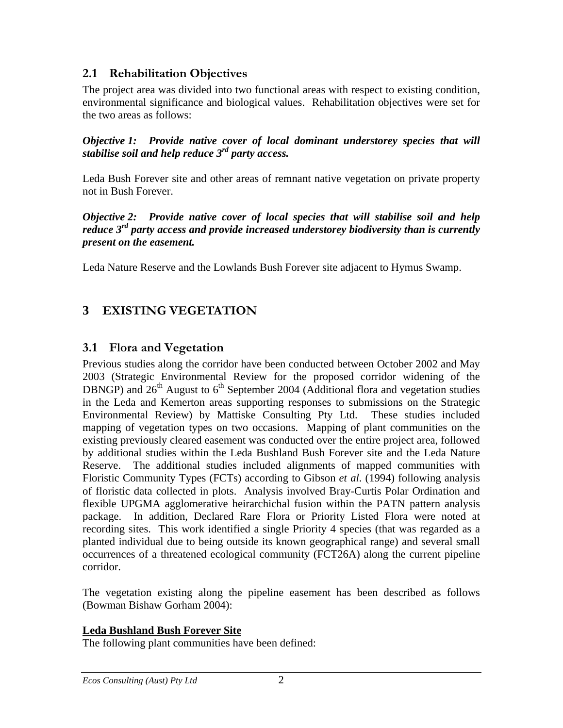# <span id="page-3-0"></span>**2.1 Rehabilitation Objectives**

The project area was divided into two functional areas with respect to existing condition, environmental significance and biological values. Rehabilitation objectives were set for the two areas as follows:

*Objective 1: Provide native cover of local dominant understorey species that will stabilise soil and help reduce 3rd party access.* 

Leda Bush Forever site and other areas of remnant native vegetation on private property not in Bush Forever.

*Objective 2: Provide native cover of local species that will stabilise soil and help reduce 3rd party access and provide increased understorey biodiversity than is currently present on the easement.* 

Leda Nature Reserve and the Lowlands Bush Forever site adjacent to Hymus Swamp.

# **3 EXISTING VEGETATION**

# **3.1 Flora and Vegetation**

Previous studies along the corridor have been conducted between October 2002 and May 2003 (Strategic Environmental Review for the proposed corridor widening of the DBNGP) and  $26<sup>th</sup>$  August to  $6<sup>th</sup>$  September 2004 (Additional flora and vegetation studies in the Leda and Kemerton areas supporting responses to submissions on the Strategic Environmental Review) by Mattiske Consulting Pty Ltd. These studies included mapping of vegetation types on two occasions. Mapping of plant communities on the existing previously cleared easement was conducted over the entire project area, followed by additional studies within the Leda Bushland Bush Forever site and the Leda Nature Reserve. The additional studies included alignments of mapped communities with Floristic Community Types (FCTs) according to Gibson *et al*. (1994) following analysis of floristic data collected in plots. Analysis involved Bray-Curtis Polar Ordination and flexible UPGMA agglomerative heirarchichal fusion within the PATN pattern analysis package. In addition, Declared Rare Flora or Priority Listed Flora were noted at recording sites. This work identified a single Priority 4 species (that was regarded as a planted individual due to being outside its known geographical range) and several small occurrences of a threatened ecological community (FCT26A) along the current pipeline corridor.

The vegetation existing along the pipeline easement has been described as follows (Bowman Bishaw Gorham 2004):

## **Leda Bushland Bush Forever Site**

The following plant communities have been defined: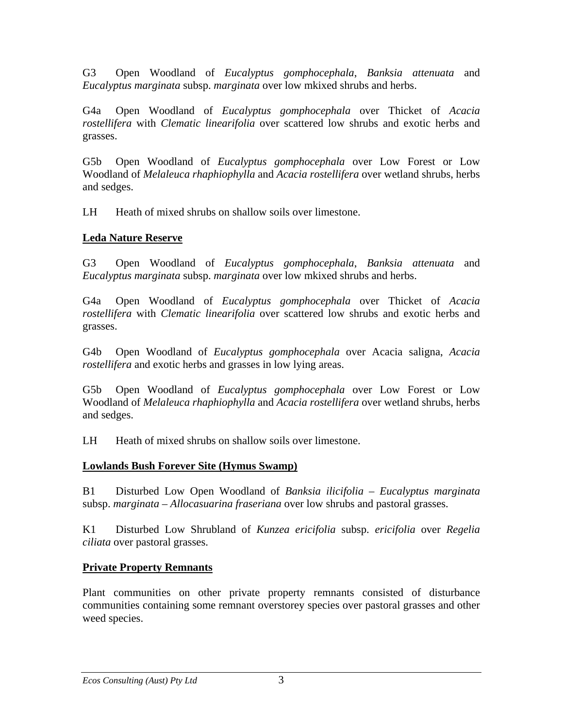G3 Open Woodland of *Eucalyptus gomphocephala*, *Banksia attenuata* and *Eucalyptus marginata* subsp. *marginata* over low mkixed shrubs and herbs.

G4a Open Woodland of *Eucalyptus gomphocephala* over Thicket of *Acacia rostellifera* with *Clematic linearifolia* over scattered low shrubs and exotic herbs and grasses.

G5b Open Woodland of *Eucalyptus gomphocephala* over Low Forest or Low Woodland of *Melaleuca rhaphiophylla* and *Acacia rostellifera* over wetland shrubs, herbs and sedges.

LH Heath of mixed shrubs on shallow soils over limestone.

# **Leda Nature Reserve**

G3 Open Woodland of *Eucalyptus gomphocephala*, *Banksia attenuata* and *Eucalyptus marginata* subsp. *marginata* over low mkixed shrubs and herbs.

G4a Open Woodland of *Eucalyptus gomphocephala* over Thicket of *Acacia rostellifera* with *Clematic linearifolia* over scattered low shrubs and exotic herbs and grasses.

G4b Open Woodland of *Eucalyptus gomphocephala* over Acacia saligna, *Acacia rostellifera* and exotic herbs and grasses in low lying areas.

G5b Open Woodland of *Eucalyptus gomphocephala* over Low Forest or Low Woodland of *Melaleuca rhaphiophylla* and *Acacia rostellifera* over wetland shrubs, herbs and sedges.

LH Heath of mixed shrubs on shallow soils over limestone.

# **Lowlands Bush Forever Site (Hymus Swamp)**

B1 Disturbed Low Open Woodland of *Banksia ilicifolia* – *Eucalyptus marginata* subsp. *marginata* – *Allocasuarina fraseriana* over low shrubs and pastoral grasses.

K1 Disturbed Low Shrubland of *Kunzea ericifolia* subsp. *ericifolia* over *Regelia ciliata* over pastoral grasses.

# **Private Property Remnants**

Plant communities on other private property remnants consisted of disturbance communities containing some remnant overstorey species over pastoral grasses and other weed species.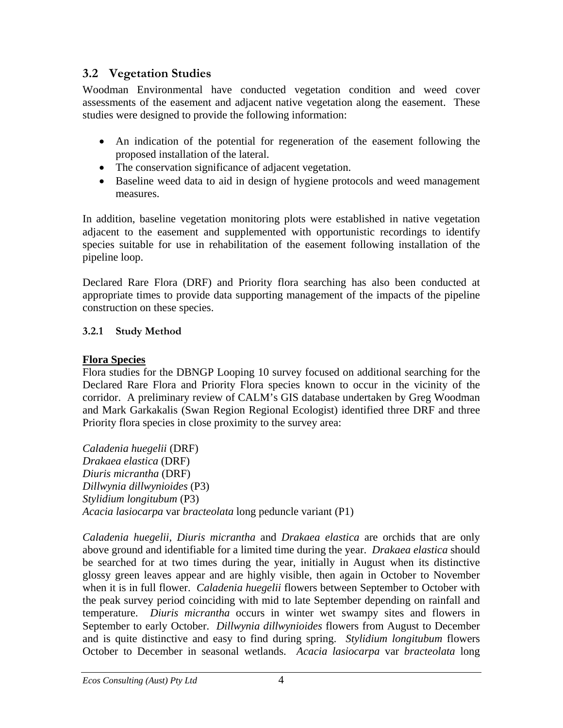# <span id="page-5-0"></span>**3.2 Vegetation Studies**

Woodman Environmental have conducted vegetation condition and weed cover assessments of the easement and adjacent native vegetation along the easement. These studies were designed to provide the following information:

- An indication of the potential for regeneration of the easement following the proposed installation of the lateral.
- The conservation significance of adjacent vegetation.
- Baseline weed data to aid in design of hygiene protocols and weed management measures.

In addition, baseline vegetation monitoring plots were established in native vegetation adjacent to the easement and supplemented with opportunistic recordings to identify species suitable for use in rehabilitation of the easement following installation of the pipeline loop.

Declared Rare Flora (DRF) and Priority flora searching has also been conducted at appropriate times to provide data supporting management of the impacts of the pipeline construction on these species.

# **3.2.1 Study Method**

# **Flora Species**

Flora studies for the DBNGP Looping 10 survey focused on additional searching for the Declared Rare Flora and Priority Flora species known to occur in the vicinity of the corridor. A preliminary review of CALM's GIS database undertaken by Greg Woodman and Mark Garkakalis (Swan Region Regional Ecologist) identified three DRF and three Priority flora species in close proximity to the survey area:

*Caladenia huegelii* (DRF) *Drakaea elastica* (DRF) *Diuris micrantha* (DRF) *Dillwynia dillwynioides* (P3) *Stylidium longitubum* (P3) *Acacia lasiocarpa* var *bracteolata* long peduncle variant (P1)

*Caladenia huegelii, Diuris micrantha* and *Drakaea elastica* are orchids that are only above ground and identifiable for a limited time during the year. *Drakaea elastica* should be searched for at two times during the year, initially in August when its distinctive glossy green leaves appear and are highly visible, then again in October to November when it is in full flower. *Caladenia huegelii* flowers between September to October with the peak survey period coinciding with mid to late September depending on rainfall and temperature. *Diuris micrantha* occurs in winter wet swampy sites and flowers in September to early October. *Dillwynia dillwynioides* flowers from August to December and is quite distinctive and easy to find during spring. *Stylidium longitubum* flowers October to December in seasonal wetlands. *Acacia lasiocarpa* var *bracteolata* long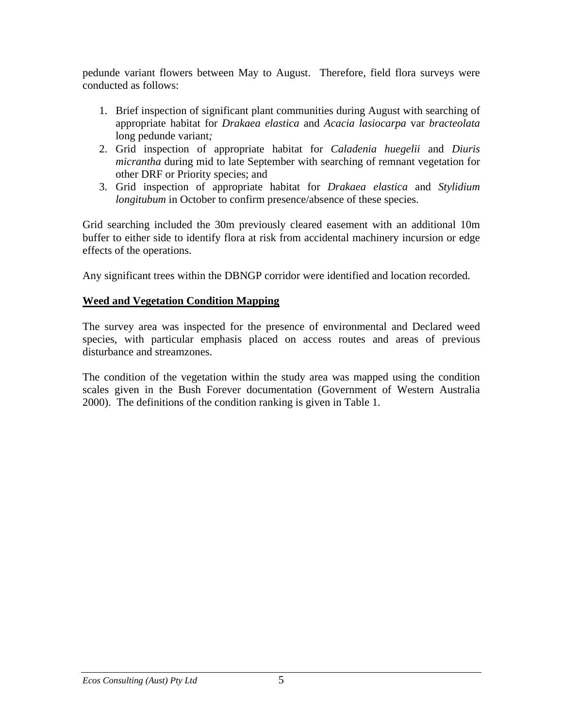pedunde variant flowers between May to August. Therefore, field flora surveys were conducted as follows:

- 1. Brief inspection of significant plant communities during August with searching of appropriate habitat for *Drakaea elastica* and *Acacia lasiocarpa* var *bracteolata* long pedunde variant*;*
- 2. Grid inspection of appropriate habitat for *Caladenia huegelii* and *Diuris micrantha* during mid to late September with searching of remnant vegetation for other DRF or Priority species; and
- 3. Grid inspection of appropriate habitat for *Drakaea elastica* and *Stylidium longitubum* in October to confirm presence/absence of these species.

Grid searching included the 30m previously cleared easement with an additional 10m buffer to either side to identify flora at risk from accidental machinery incursion or edge effects of the operations.

Any significant trees within the DBNGP corridor were identified and location recorded.

# **Weed and Vegetation Condition Mapping**

The survey area was inspected for the presence of environmental and Declared weed species, with particular emphasis placed on access routes and areas of previous disturbance and streamzones.

The condition of the vegetation within the study area was mapped using the condition scales given in the Bush Forever documentation (Government of Western Australia 2000). The definitions of the condition ranking is given in Table 1.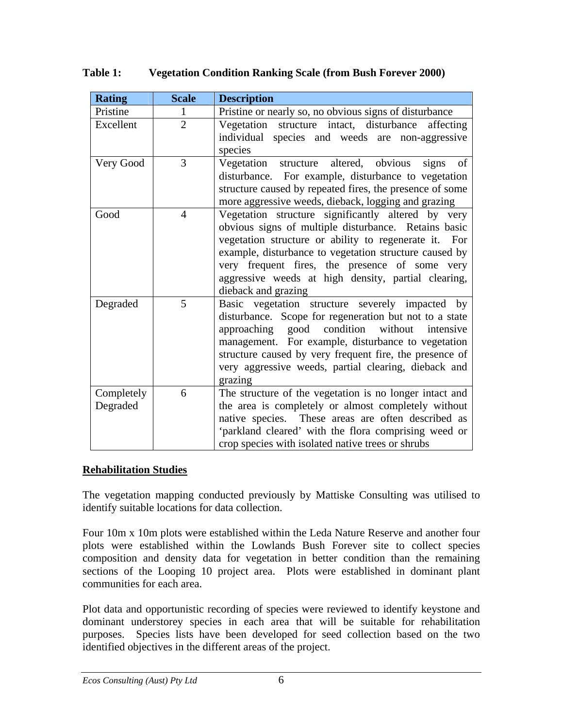| <b>Rating</b>          | <b>Scale</b>   | <b>Description</b>                                                                                                                                                                                                                                                                                                                                               |  |
|------------------------|----------------|------------------------------------------------------------------------------------------------------------------------------------------------------------------------------------------------------------------------------------------------------------------------------------------------------------------------------------------------------------------|--|
| Pristine               | 1              | Pristine or nearly so, no obvious signs of disturbance                                                                                                                                                                                                                                                                                                           |  |
| Excellent              | $\overline{2}$ | Vegetation structure intact, disturbance<br>affecting<br>individual species and weeds are non-aggressive<br>species                                                                                                                                                                                                                                              |  |
| Very Good              | 3              | structure altered, obvious<br>Vegetation<br>of<br>signs<br>disturbance. For example, disturbance to vegetation<br>structure caused by repeated fires, the presence of some<br>more aggressive weeds, dieback, logging and grazing                                                                                                                                |  |
| Good                   | $\overline{4}$ | Vegetation structure significantly altered by<br>very<br>obvious signs of multiple disturbance. Retains basic<br>vegetation structure or ability to regenerate it. For<br>example, disturbance to vegetation structure caused by<br>very frequent fires, the presence of some very<br>aggressive weeds at high density, partial clearing,<br>dieback and grazing |  |
| Degraded               | 5              | Basic vegetation structure severely impacted by<br>disturbance. Scope for regeneration but not to a state<br>approaching good condition<br>without intensive<br>management. For example, disturbance to vegetation<br>structure caused by very frequent fire, the presence of<br>very aggressive weeds, partial clearing, dieback and<br>grazing                 |  |
| Completely<br>Degraded | 6              | The structure of the vegetation is no longer intact and<br>the area is completely or almost completely without<br>native species. These areas are often described as<br>'parkland cleared' with the flora comprising weed or<br>crop species with isolated native trees or shrubs                                                                                |  |

# **Table 1: Vegetation Condition Ranking Scale (from Bush Forever 2000)**

## **Rehabilitation Studies**

The vegetation mapping conducted previously by Mattiske Consulting was utilised to identify suitable locations for data collection.

Four 10m x 10m plots were established within the Leda Nature Reserve and another four plots were established within the Lowlands Bush Forever site to collect species composition and density data for vegetation in better condition than the remaining sections of the Looping 10 project area. Plots were established in dominant plant communities for each area.

Plot data and opportunistic recording of species were reviewed to identify keystone and dominant understorey species in each area that will be suitable for rehabilitation purposes. Species lists have been developed for seed collection based on the two identified objectives in the different areas of the project.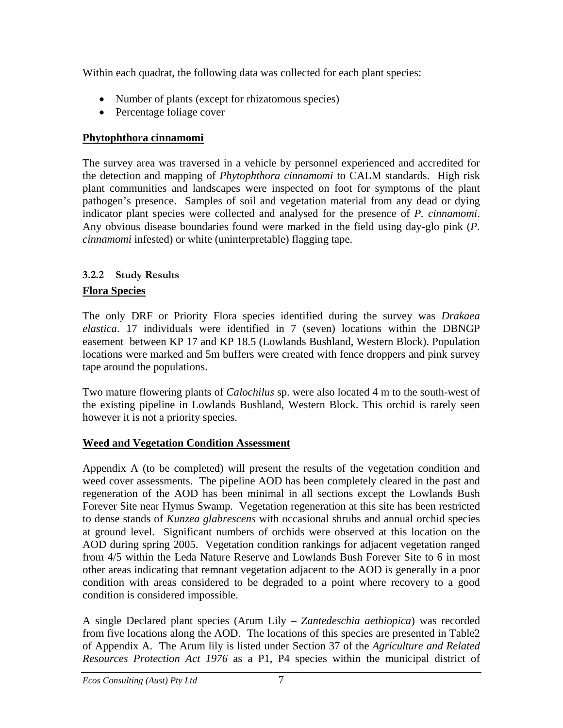<span id="page-8-0"></span>Within each quadrat, the following data was collected for each plant species:

- Number of plants (except for rhizatomous species)
- Percentage foliage cover

# **Phytophthora cinnamomi**

The survey area was traversed in a vehicle by personnel experienced and accredited for the detection and mapping of *Phytophthora cinnamomi* to CALM standards. High risk plant communities and landscapes were inspected on foot for symptoms of the plant pathogen's presence. Samples of soil and vegetation material from any dead or dying indicator plant species were collected and analysed for the presence of *P. cinnamomi*. Any obvious disease boundaries found were marked in the field using day-glo pink (*P. cinnamomi* infested) or white (uninterpretable) flagging tape.

# **3.2.2 Study Results Flora Species**

The only DRF or Priority Flora species identified during the survey was *Drakaea elastica*. 17 individuals were identified in 7 (seven) locations within the DBNGP easement between KP 17 and KP 18.5 (Lowlands Bushland, Western Block). Population locations were marked and 5m buffers were created with fence droppers and pink survey tape around the populations.

Two mature flowering plants of *Calochilus* sp. were also located 4 m to the south-west of the existing pipeline in Lowlands Bushland, Western Block. This orchid is rarely seen however it is not a priority species.

# **Weed and Vegetation Condition Assessment**

Appendix A (to be completed) will present the results of the vegetation condition and weed cover assessments. The pipeline AOD has been completely cleared in the past and regeneration of the AOD has been minimal in all sections except the Lowlands Bush Forever Site near Hymus Swamp. Vegetation regeneration at this site has been restricted to dense stands of *Kunzea glabrescens* with occasional shrubs and annual orchid species at ground level. Significant numbers of orchids were observed at this location on the AOD during spring 2005. Vegetation condition rankings for adjacent vegetation ranged from 4/5 within the Leda Nature Reserve and Lowlands Bush Forever Site to 6 in most other areas indicating that remnant vegetation adjacent to the AOD is generally in a poor condition with areas considered to be degraded to a point where recovery to a good condition is considered impossible.

A single Declared plant species (Arum Lily – *Zantedeschia aethiopica*) was recorded from five locations along the AOD. The locations of this species are presented in Table2 of Appendix A. The Arum lily is listed under Section 37 of the *Agriculture and Related Resources Protection Act 1976* as a P1, P4 species within the municipal district of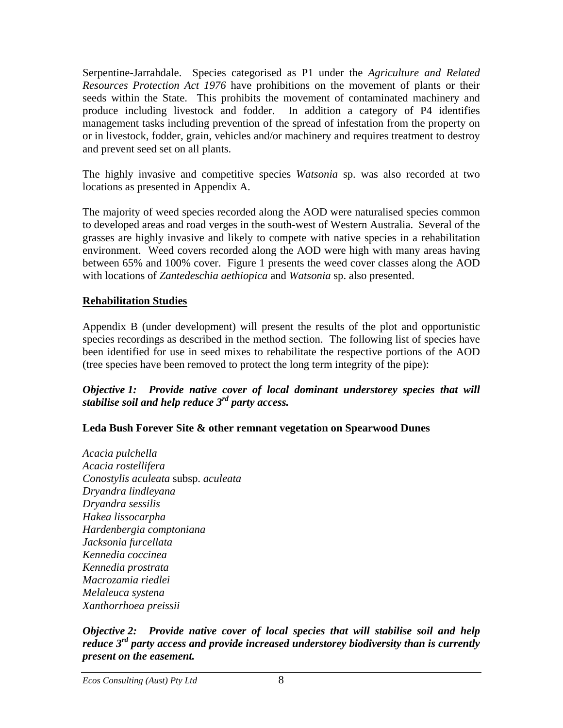Serpentine-Jarrahdale. Species categorised as P1 under the *Agriculture and Related Resources Protection Act 1976* have prohibitions on the movement of plants or their seeds within the State. This prohibits the movement of contaminated machinery and produce including livestock and fodder. In addition a category of P4 identifies management tasks including prevention of the spread of infestation from the property on or in livestock, fodder, grain, vehicles and/or machinery and requires treatment to destroy and prevent seed set on all plants.

The highly invasive and competitive species *Watsonia* sp. was also recorded at two locations as presented in Appendix A.

The majority of weed species recorded along the AOD were naturalised species common to developed areas and road verges in the south-west of Western Australia. Several of the grasses are highly invasive and likely to compete with native species in a rehabilitation environment. Weed covers recorded along the AOD were high with many areas having between 65% and 100% cover. Figure 1 presents the weed cover classes along the AOD with locations of *Zantedeschia aethiopica* and *Watsonia* sp. also presented.

## **Rehabilitation Studies**

Appendix B (under development) will present the results of the plot and opportunistic species recordings as described in the method section. The following list of species have been identified for use in seed mixes to rehabilitate the respective portions of the AOD (tree species have been removed to protect the long term integrity of the pipe):

#### *Objective 1: Provide native cover of local dominant understorey species that will stabilise soil and help reduce 3rd party access.*

## **Leda Bush Forever Site & other remnant vegetation on Spearwood Dunes**

*Acacia pulchella Acacia rostellifera Conostylis aculeata* subsp. *aculeata Dryandra lindleyana Dryandra sessilis Hakea lissocarpha Hardenbergia comptoniana Jacksonia furcellata Kennedia coccinea Kennedia prostrata Macrozamia riedlei Melaleuca systena Xanthorrhoea preissii* 

#### *Objective 2: Provide native cover of local species that will stabilise soil and help reduce 3rd party access and provide increased understorey biodiversity than is currently present on the easement.*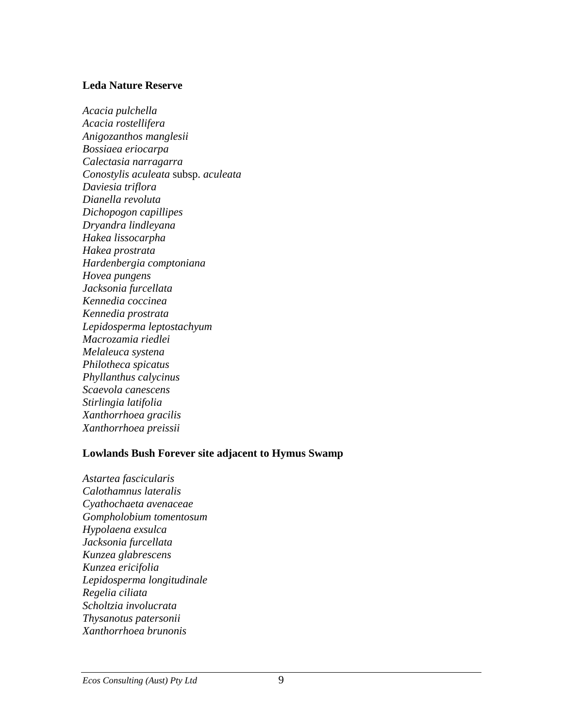#### **Leda Nature Reserve**

*Acacia pulchella Acacia rostellifera Anigozanthos manglesii Bossiaea eriocarpa Calectasia narragarra Conostylis aculeata* subsp. *aculeata Daviesia triflora Dianella revoluta Dichopogon capillipes Dryandra lindleyana Hakea lissocarpha Hakea prostrata Hardenbergia comptoniana Hovea pungens Jacksonia furcellata Kennedia coccinea Kennedia prostrata Lepidosperma leptostachyum Macrozamia riedlei Melaleuca systena Philotheca spicatus Phyllanthus calycinus Scaevola canescens Stirlingia latifolia Xanthorrhoea gracilis Xanthorrhoea preissii* 

#### **Lowlands Bush Forever site adjacent to Hymus Swamp**

*Astartea fascicularis Calothamnus lateralis Cyathochaeta avenaceae Gompholobium tomentosum Hypolaena exsulca Jacksonia furcellata Kunzea glabrescens Kunzea ericifolia Lepidosperma longitudinale Regelia ciliata Scholtzia involucrata Thysanotus patersonii Xanthorrhoea brunonis*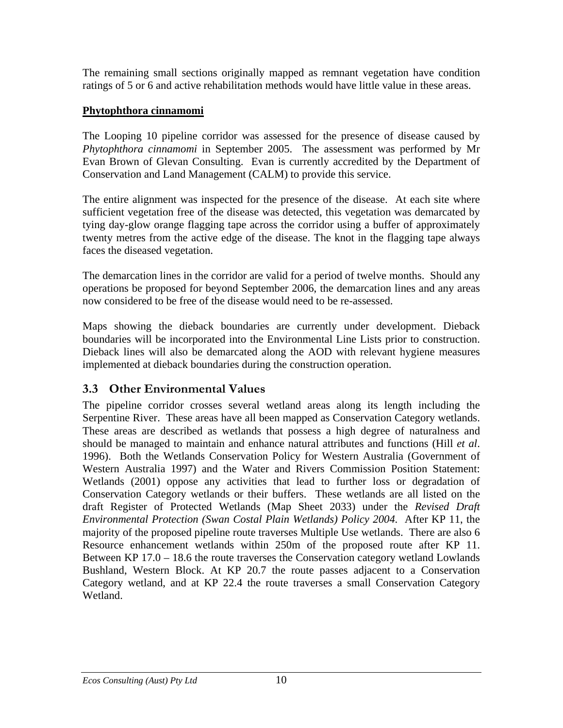<span id="page-11-0"></span>The remaining small sections originally mapped as remnant vegetation have condition ratings of 5 or 6 and active rehabilitation methods would have little value in these areas.

# **Phytophthora cinnamomi**

The Looping 10 pipeline corridor was assessed for the presence of disease caused by *Phytophthora cinnamomi* in September 2005. The assessment was performed by Mr Evan Brown of Glevan Consulting. Evan is currently accredited by the Department of Conservation and Land Management (CALM) to provide this service.

The entire alignment was inspected for the presence of the disease. At each site where sufficient vegetation free of the disease was detected, this vegetation was demarcated by tying day-glow orange flagging tape across the corridor using a buffer of approximately twenty metres from the active edge of the disease. The knot in the flagging tape always faces the diseased vegetation.

The demarcation lines in the corridor are valid for a period of twelve months. Should any operations be proposed for beyond September 2006, the demarcation lines and any areas now considered to be free of the disease would need to be re-assessed.

Maps showing the dieback boundaries are currently under development. Dieback boundaries will be incorporated into the Environmental Line Lists prior to construction. Dieback lines will also be demarcated along the AOD with relevant hygiene measures implemented at dieback boundaries during the construction operation.

# **3.3 Other Environmental Values**

The pipeline corridor crosses several wetland areas along its length including the Serpentine River. These areas have all been mapped as Conservation Category wetlands. These areas are described as wetlands that possess a high degree of naturalness and should be managed to maintain and enhance natural attributes and functions (Hill *et al*. 1996). Both the Wetlands Conservation Policy for Western Australia (Government of Western Australia 1997) and the Water and Rivers Commission Position Statement: Wetlands (2001) oppose any activities that lead to further loss or degradation of Conservation Category wetlands or their buffers. These wetlands are all listed on the draft Register of Protected Wetlands (Map Sheet 2033) under the *Revised Draft Environmental Protection (Swan Costal Plain Wetlands) Policy 2004*. After KP 11, the majority of the proposed pipeline route traverses Multiple Use wetlands. There are also 6 Resource enhancement wetlands within 250m of the proposed route after KP 11. Between KP 17.0 – 18.6 the route traverses the Conservation category wetland Lowlands Bushland, Western Block. At KP 20.7 the route passes adjacent to a Conservation Category wetland, and at KP 22.4 the route traverses a small Conservation Category Wetland.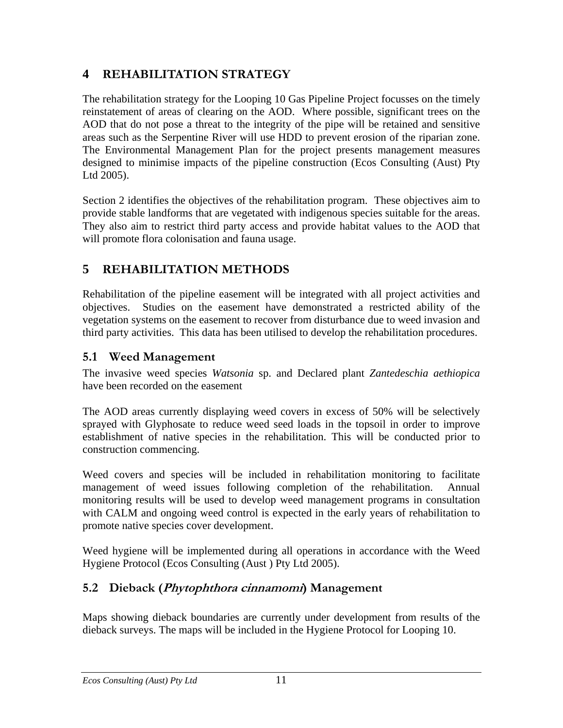# <span id="page-12-0"></span>**4 REHABILITATION STRATEGY**

The rehabilitation strategy for the Looping 10 Gas Pipeline Project focusses on the timely reinstatement of areas of clearing on the AOD. Where possible, significant trees on the AOD that do not pose a threat to the integrity of the pipe will be retained and sensitive areas such as the Serpentine River will use HDD to prevent erosion of the riparian zone. The Environmental Management Plan for the project presents management measures designed to minimise impacts of the pipeline construction (Ecos Consulting (Aust) Pty Ltd 2005).

Section 2 identifies the objectives of the rehabilitation program. These objectives aim to provide stable landforms that are vegetated with indigenous species suitable for the areas. They also aim to restrict third party access and provide habitat values to the AOD that will promote flora colonisation and fauna usage.

# **5 REHABILITATION METHODS**

Rehabilitation of the pipeline easement will be integrated with all project activities and objectives. Studies on the easement have demonstrated a restricted ability of the vegetation systems on the easement to recover from disturbance due to weed invasion and third party activities. This data has been utilised to develop the rehabilitation procedures.

# **5.1 Weed Management**

The invasive weed species *Watsonia* sp. and Declared plant *Zantedeschia aethiopica* have been recorded on the easement

The AOD areas currently displaying weed covers in excess of 50% will be selectively sprayed with Glyphosate to reduce weed seed loads in the topsoil in order to improve establishment of native species in the rehabilitation. This will be conducted prior to construction commencing.

Weed covers and species will be included in rehabilitation monitoring to facilitate management of weed issues following completion of the rehabilitation. Annual monitoring results will be used to develop weed management programs in consultation with CALM and ongoing weed control is expected in the early years of rehabilitation to promote native species cover development.

Weed hygiene will be implemented during all operations in accordance with the Weed Hygiene Protocol (Ecos Consulting (Aust ) Pty Ltd 2005).

# **5.2 Dieback (Phytophthora cinnamomi) Management**

Maps showing dieback boundaries are currently under development from results of the dieback surveys. The maps will be included in the Hygiene Protocol for Looping 10.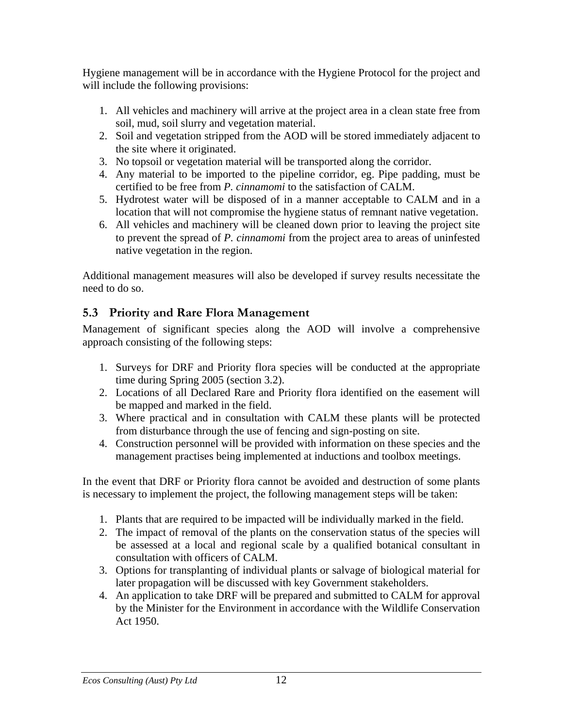<span id="page-13-0"></span>Hygiene management will be in accordance with the Hygiene Protocol for the project and will include the following provisions:

- 1. All vehicles and machinery will arrive at the project area in a clean state free from soil, mud, soil slurry and vegetation material.
- 2. Soil and vegetation stripped from the AOD will be stored immediately adjacent to the site where it originated.
- 3. No topsoil or vegetation material will be transported along the corridor.
- 4. Any material to be imported to the pipeline corridor, eg. Pipe padding, must be certified to be free from *P. cinnamomi* to the satisfaction of CALM.
- 5. Hydrotest water will be disposed of in a manner acceptable to CALM and in a location that will not compromise the hygiene status of remnant native vegetation.
- 6. All vehicles and machinery will be cleaned down prior to leaving the project site to prevent the spread of *P. cinnamomi* from the project area to areas of uninfested native vegetation in the region.

Additional management measures will also be developed if survey results necessitate the need to do so.

# **5.3 Priority and Rare Flora Management**

Management of significant species along the AOD will involve a comprehensive approach consisting of the following steps:

- 1. Surveys for DRF and Priority flora species will be conducted at the appropriate time during Spring 2005 (section 3.2).
- 2. Locations of all Declared Rare and Priority flora identified on the easement will be mapped and marked in the field.
- 3. Where practical and in consultation with CALM these plants will be protected from disturbance through the use of fencing and sign-posting on site.
- 4. Construction personnel will be provided with information on these species and the management practises being implemented at inductions and toolbox meetings.

In the event that DRF or Priority flora cannot be avoided and destruction of some plants is necessary to implement the project, the following management steps will be taken:

- 1. Plants that are required to be impacted will be individually marked in the field.
- 2. The impact of removal of the plants on the conservation status of the species will be assessed at a local and regional scale by a qualified botanical consultant in consultation with officers of CALM.
- 3. Options for transplanting of individual plants or salvage of biological material for later propagation will be discussed with key Government stakeholders.
- 4. An application to take DRF will be prepared and submitted to CALM for approval by the Minister for the Environment in accordance with the Wildlife Conservation Act 1950.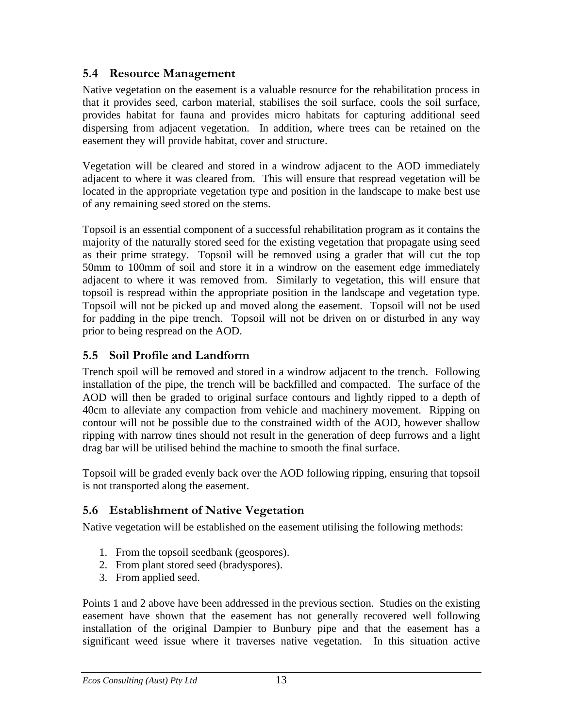# <span id="page-14-0"></span>**5.4 Resource Management**

Native vegetation on the easement is a valuable resource for the rehabilitation process in that it provides seed, carbon material, stabilises the soil surface, cools the soil surface, provides habitat for fauna and provides micro habitats for capturing additional seed dispersing from adjacent vegetation. In addition, where trees can be retained on the easement they will provide habitat, cover and structure.

Vegetation will be cleared and stored in a windrow adjacent to the AOD immediately adjacent to where it was cleared from. This will ensure that respread vegetation will be located in the appropriate vegetation type and position in the landscape to make best use of any remaining seed stored on the stems.

Topsoil is an essential component of a successful rehabilitation program as it contains the majority of the naturally stored seed for the existing vegetation that propagate using seed as their prime strategy. Topsoil will be removed using a grader that will cut the top 50mm to 100mm of soil and store it in a windrow on the easement edge immediately adjacent to where it was removed from. Similarly to vegetation, this will ensure that topsoil is respread within the appropriate position in the landscape and vegetation type. Topsoil will not be picked up and moved along the easement. Topsoil will not be used for padding in the pipe trench. Topsoil will not be driven on or disturbed in any way prior to being respread on the AOD.

# **5.5 Soil Profile and Landform**

Trench spoil will be removed and stored in a windrow adjacent to the trench. Following installation of the pipe, the trench will be backfilled and compacted. The surface of the AOD will then be graded to original surface contours and lightly ripped to a depth of 40cm to alleviate any compaction from vehicle and machinery movement. Ripping on contour will not be possible due to the constrained width of the AOD, however shallow ripping with narrow tines should not result in the generation of deep furrows and a light drag bar will be utilised behind the machine to smooth the final surface.

Topsoil will be graded evenly back over the AOD following ripping, ensuring that topsoil is not transported along the easement.

# **5.6 Establishment of Native Vegetation**

Native vegetation will be established on the easement utilising the following methods:

- 1. From the topsoil seedbank (geospores).
- 2. From plant stored seed (bradyspores).
- 3. From applied seed.

Points 1 and 2 above have been addressed in the previous section. Studies on the existing easement have shown that the easement has not generally recovered well following installation of the original Dampier to Bunbury pipe and that the easement has a significant weed issue where it traverses native vegetation. In this situation active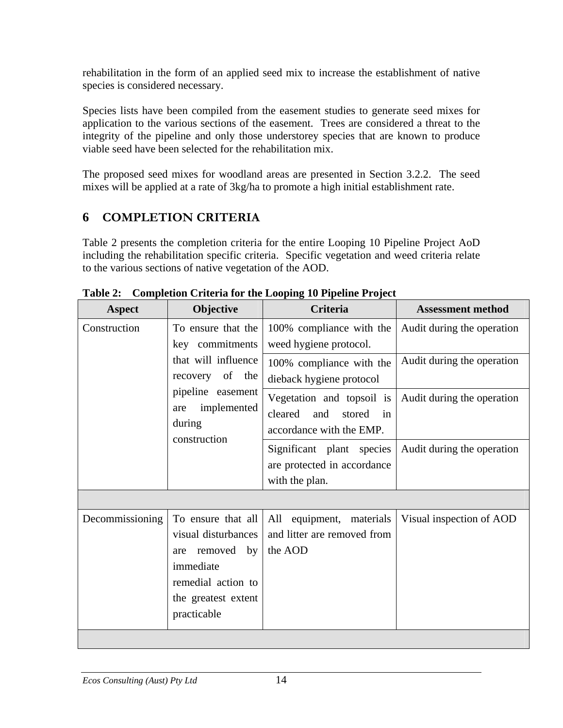<span id="page-15-0"></span>rehabilitation in the form of an applied seed mix to increase the establishment of native species is considered necessary.

Species lists have been compiled from the easement studies to generate seed mixes for application to the various sections of the easement. Trees are considered a threat to the integrity of the pipeline and only those understorey species that are known to produce viable seed have been selected for the rehabilitation mix.

The proposed seed mixes for woodland areas are presented in Section 3.2.2. The seed mixes will be applied at a rate of 3kg/ha to promote a high initial establishment rate.

# **6 COMPLETION CRITERIA**

Table 2 presents the completion criteria for the entire Looping 10 Pipeline Project AoD including the rehabilitation specific criteria. Specific vegetation and weed criteria relate to the various sections of native vegetation of the AOD.

| <b>Aspect</b>   | Objective                                                                                                                                            | Criteria                                                                                | <b>Assessment method</b>   |
|-----------------|------------------------------------------------------------------------------------------------------------------------------------------------------|-----------------------------------------------------------------------------------------|----------------------------|
| Construction    | To ensure that the<br>key commitments<br>that will influence<br>recovery of the<br>pipeline easement<br>implemented<br>are<br>during<br>construction | 100% compliance with the<br>weed hygiene protocol.                                      | Audit during the operation |
|                 |                                                                                                                                                      | 100% compliance with the<br>dieback hygiene protocol                                    | Audit during the operation |
|                 |                                                                                                                                                      | Vegetation and topsoil is<br>cleared<br>and<br>stored<br>in<br>accordance with the EMP. | Audit during the operation |
|                 |                                                                                                                                                      | Significant plant species<br>are protected in accordance<br>with the plan.              | Audit during the operation |
|                 |                                                                                                                                                      |                                                                                         |                            |
| Decommissioning | To ensure that all<br>visual disturbances<br>removed by<br>are<br>immediate<br>remedial action to<br>the greatest extent<br>practicable              | All equipment, materials<br>and litter are removed from<br>the AOD                      | Visual inspection of AOD   |
|                 |                                                                                                                                                      |                                                                                         |                            |

**Table 2: Completion Criteria for the Looping 10 Pipeline Project**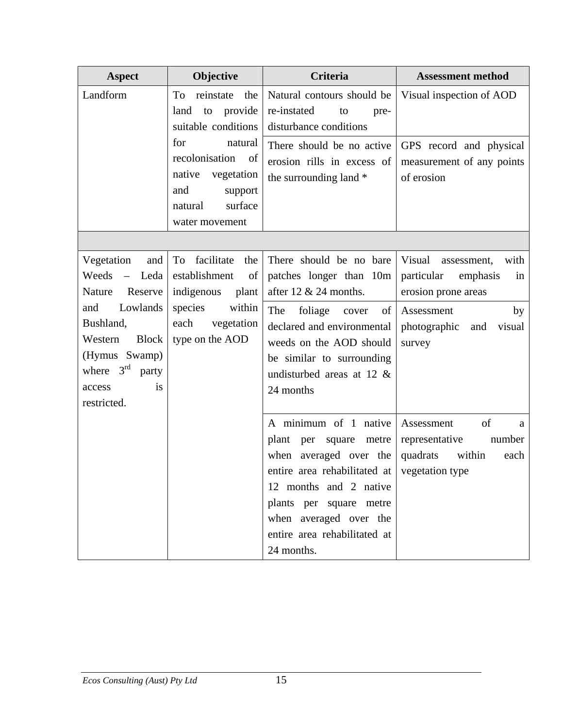| <b>Aspect</b>                                                                                                                                                                          | Objective                                                                                                                           | Criteria                                                                                                                                                                                                                                            | <b>Assessment method</b>                                                                                                                            |
|----------------------------------------------------------------------------------------------------------------------------------------------------------------------------------------|-------------------------------------------------------------------------------------------------------------------------------------|-----------------------------------------------------------------------------------------------------------------------------------------------------------------------------------------------------------------------------------------------------|-----------------------------------------------------------------------------------------------------------------------------------------------------|
| Landform                                                                                                                                                                               | To<br>reinstate<br>the<br>provide<br>land<br>to<br>suitable conditions                                                              | Natural contours should be<br>re-instated<br>to<br>pre-<br>disturbance conditions                                                                                                                                                                   | Visual inspection of AOD                                                                                                                            |
|                                                                                                                                                                                        | for<br>natural<br>recolonisation of<br>native<br>vegetation<br>and<br>support<br>surface<br>natural<br>water movement               | There should be no active<br>erosion rills in excess of<br>the surrounding land *                                                                                                                                                                   | GPS record and physical<br>measurement of any points<br>of erosion                                                                                  |
|                                                                                                                                                                                        |                                                                                                                                     |                                                                                                                                                                                                                                                     |                                                                                                                                                     |
| Vegetation<br>and<br>Weeds - Leda<br>Reserve<br>Nature<br>Lowlands<br>and<br>Bushland,<br><b>Block</b><br>Western<br>(Hymus Swamp)<br>where $3rd$ party<br>is<br>access<br>restricted. | facilitate<br>To<br>the<br>establishment<br>of<br>indigenous<br>plant<br>species<br>within<br>each<br>vegetation<br>type on the AOD | There should be no bare<br>patches longer than 10m<br>after 12 $& 24$ months.<br>The<br>foliage<br>of  <br>cover<br>declared and environmental<br>weeds on the AOD should<br>be similar to surrounding<br>undisturbed areas at 12 $\&$<br>24 months | Visual<br>with<br>assessment,<br>particular<br>emphasis<br>in<br>erosion prone areas<br>Assessment<br>by<br>visual<br>photographic<br>and<br>survey |
|                                                                                                                                                                                        |                                                                                                                                     | A minimum of 1 native<br>plant per square metre<br>when averaged over the<br>entire area rehabilitated at<br>12 months and 2 native<br>plants per square metre<br>when averaged over the<br>entire area rehabilitated at<br>24 months.              | of<br>Assessment<br>a<br>representative<br>number<br>within<br>quadrats<br>each<br>vegetation type                                                  |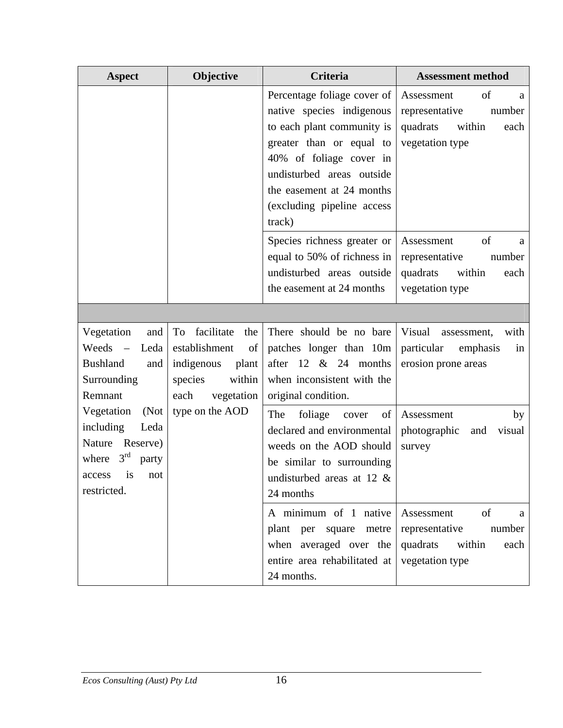| <b>Aspect</b>                                                                                                          | Objective                                                                                                          | Criteria                                                                                                                                                                                                                                        | <b>Assessment method</b>                                                                           |  |
|------------------------------------------------------------------------------------------------------------------------|--------------------------------------------------------------------------------------------------------------------|-------------------------------------------------------------------------------------------------------------------------------------------------------------------------------------------------------------------------------------------------|----------------------------------------------------------------------------------------------------|--|
|                                                                                                                        |                                                                                                                    | Percentage foliage cover of<br>native species indigenous<br>to each plant community is<br>greater than or equal to<br>40% of foliage cover in<br>undisturbed areas outside<br>the easement at 24 months<br>(excluding pipeline access<br>track) | Assessment<br>of<br>a<br>number<br>representative<br>quadrats<br>within<br>each<br>vegetation type |  |
|                                                                                                                        |                                                                                                                    | Species richness greater or<br>equal to 50% of richness in<br>undisturbed areas outside<br>the easement at 24 months                                                                                                                            | Assessment<br>of<br>a<br>representative<br>number<br>quadrats<br>within<br>each<br>vegetation type |  |
|                                                                                                                        |                                                                                                                    |                                                                                                                                                                                                                                                 |                                                                                                    |  |
| Vegetation<br>and<br>Weeds<br>Leda<br>$\overline{\phantom{a}}$<br><b>Bushland</b><br>and<br>Surrounding<br>Remnant     | facilitate<br>To<br>the<br>establishment<br>of 1<br>indigenous<br>plant<br>within<br>species<br>each<br>vegetation | There should be no bare<br>patches longer than 10m<br>after $12 \& 24$ months<br>when inconsistent with the<br>original condition.                                                                                                              | Visual<br>with<br>assessment,<br>particular<br>emphasis<br>in<br>erosion prone areas               |  |
| Vegetation<br>(Not)<br>including<br>Leda<br>Reserve)<br>Nature<br>where $3rd$<br>party<br>access is not<br>restricted. | type on the AOD                                                                                                    | The<br>foliage<br>cover<br>of<br>declared and environmental<br>weeds on the AOD should<br>be similar to surrounding<br>undisturbed areas at 12 &<br>24 months                                                                                   | Assessment<br>by<br>photographic<br>visual<br>and<br>survey                                        |  |
|                                                                                                                        |                                                                                                                    | A minimum of 1 native<br>plant per square<br>metre<br>when averaged over the<br>entire area rehabilitated at<br>24 months.                                                                                                                      | of<br>Assessment<br>a<br>representative<br>number<br>quadrats<br>within<br>each<br>vegetation type |  |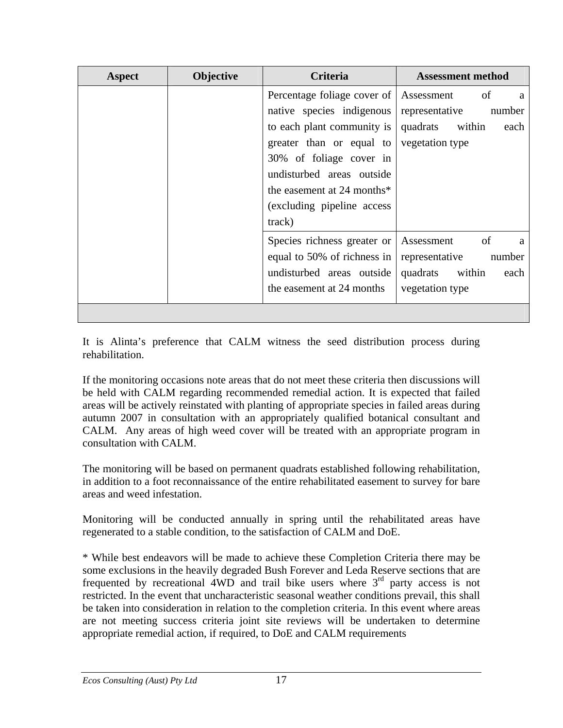| Aspect | Objective | Criteria                      | <b>Assessment method</b>   |  |
|--------|-----------|-------------------------------|----------------------------|--|
|        |           | Percentage foliage cover of   | of<br>Assessment<br>a      |  |
|        |           | native species indigenous     | number<br>representative   |  |
|        |           | to each plant community is    | quadrats<br>within<br>each |  |
|        |           | greater than or equal to      | vegetation type            |  |
|        |           | 30% of foliage cover in       |                            |  |
|        |           | undisturbed areas outside     |                            |  |
|        |           | the easement at 24 months $*$ |                            |  |
|        |           | (excluding pipeline access)   |                            |  |
|        |           | track)                        |                            |  |
|        |           | Species richness greater or   | of<br>Assessment<br>a      |  |
|        |           | equal to 50% of richness in   | representative<br>number   |  |
|        |           | undisturbed areas outside     | within<br>quadrats<br>each |  |
|        |           | the easement at 24 months     | vegetation type            |  |
|        |           |                               |                            |  |

It is Alinta's preference that CALM witness the seed distribution process during rehabilitation.

If the monitoring occasions note areas that do not meet these criteria then discussions will be held with CALM regarding recommended remedial action. It is expected that failed areas will be actively reinstated with planting of appropriate species in failed areas during autumn 2007 in consultation with an appropriately qualified botanical consultant and CALM. Any areas of high weed cover will be treated with an appropriate program in consultation with CALM.

The monitoring will be based on permanent quadrats established following rehabilitation, in addition to a foot reconnaissance of the entire rehabilitated easement to survey for bare areas and weed infestation.

Monitoring will be conducted annually in spring until the rehabilitated areas have regenerated to a stable condition, to the satisfaction of CALM and DoE.

\* While best endeavors will be made to achieve these Completion Criteria there may be some exclusions in the heavily degraded Bush Forever and Leda Reserve sections that are frequented by recreational  $\overrightarrow{4WD}$  and trail bike users where  $3<sup>rd</sup>$  party access is not restricted. In the event that uncharacteristic seasonal weather conditions prevail, this shall be taken into consideration in relation to the completion criteria. In this event where areas are not meeting success criteria joint site reviews will be undertaken to determine appropriate remedial action, if required, to DoE and CALM requirements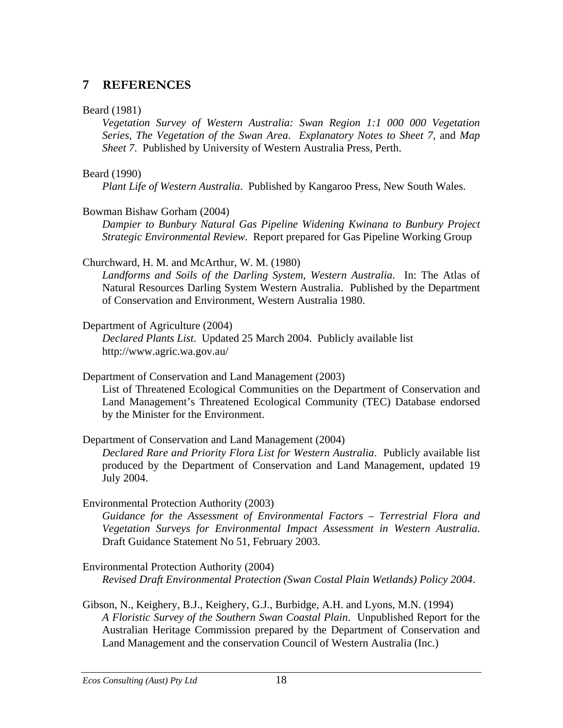# <span id="page-19-0"></span>**7 REFERENCES**

#### Beard (1981)

*Vegetation Survey of Western Australia: Swan Region 1:1 000 000 Vegetation Series, The Vegetation of the Swan Area*. *Explanatory Notes to Sheet 7*, and *Map Sheet 7*. Published by University of Western Australia Press, Perth.

#### Beard (1990)

*Plant Life of Western Australia*. Published by Kangaroo Press, New South Wales.

#### Bowman Bishaw Gorham (2004)

*Dampier to Bunbury Natural Gas Pipeline Widening Kwinana to Bunbury Project Strategic Environmental Review*. Report prepared for Gas Pipeline Working Group

## Churchward, H. M. and McArthur, W. M. (1980)

*Landforms and Soils of the Darling System, Western Australia*. In: The Atlas of Natural Resources Darling System Western Australia. Published by the Department of Conservation and Environment, Western Australia 1980.

#### Department of Agriculture (2004)

*Declared Plants List*. Updated 25 March 2004. Publicly available list http://www.agric.wa.gov.au/

Department of Conservation and Land Management (2003)

List of Threatened Ecological Communities on the Department of Conservation and Land Management's Threatened Ecological Community (TEC) Database endorsed by the Minister for the Environment.

## Department of Conservation and Land Management (2004)

*Declared Rare and Priority Flora List for Western Australia*. Publicly available list produced by the Department of Conservation and Land Management, updated 19 July 2004.

Environmental Protection Authority (2003)

*Guidance for the Assessment of Environmental Factors – Terrestrial Flora and Vegetation Surveys for Environmental Impact Assessment in Western Australia*. Draft Guidance Statement No 51, February 2003.

Environmental Protection Authority (2004) *Revised Draft Environmental Protection (Swan Costal Plain Wetlands) Policy 2004*.

Gibson, N., Keighery, B.J., Keighery, G.J., Burbidge, A.H. and Lyons, M.N. (1994) *A Floristic Survey of the Southern Swan Coastal Plain*. Unpublished Report for the

Australian Heritage Commission prepared by the Department of Conservation and Land Management and the conservation Council of Western Australia (Inc.)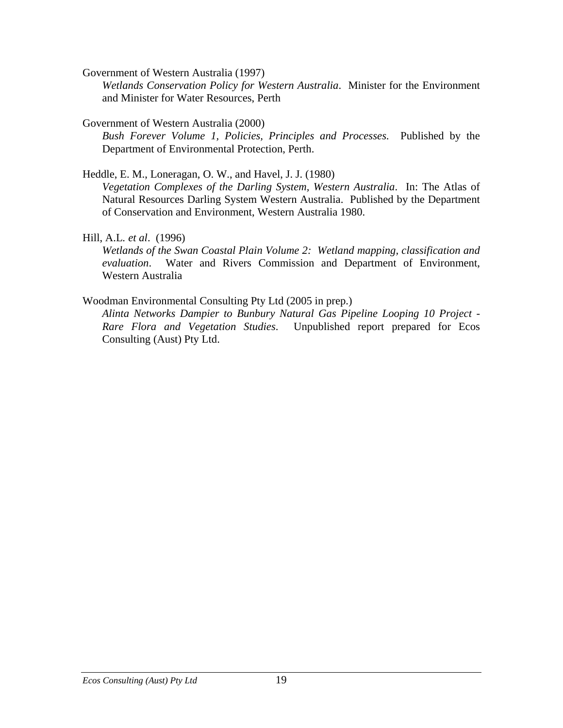Government of Western Australia (1997)

*Wetlands Conservation Policy for Western Australia*. Minister for the Environment and Minister for Water Resources, Perth

Government of Western Australia (2000)

*Bush Forever Volume 1, Policies, Principles and Processes*. Published by the Department of Environmental Protection, Perth.

Heddle, E. M., Loneragan, O. W., and Havel, J. J. (1980)

*Vegetation Complexes of the Darling System, Western Australia*. In: The Atlas of Natural Resources Darling System Western Australia. Published by the Department of Conservation and Environment, Western Australia 1980.

# Hill, A.L*. et al*. (1996)

*Wetlands of the Swan Coastal Plain Volume 2: Wetland mapping, classification and evaluation*. Water and Rivers Commission and Department of Environment, Western Australia

# Woodman Environmental Consulting Pty Ltd (2005 in prep.)

*Alinta Networks Dampier to Bunbury Natural Gas Pipeline Looping 10 Project - Rare Flora and Vegetation Studies*. Unpublished report prepared for Ecos Consulting (Aust) Pty Ltd.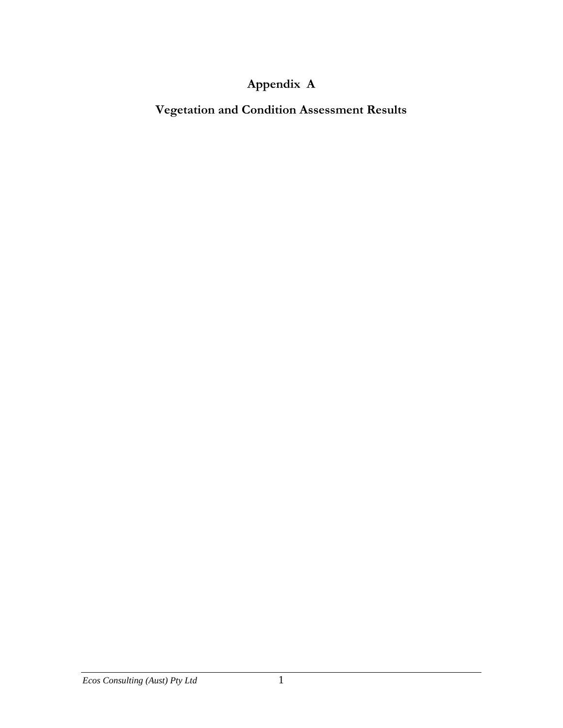# **Appendix A**

**Vegetation and Condition Assessment Results**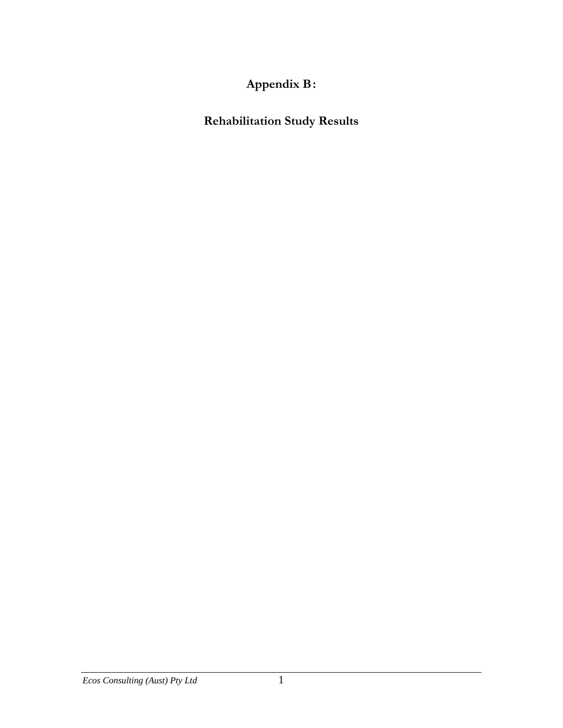**Appendix B :** 

**Rehabilitation Study Results**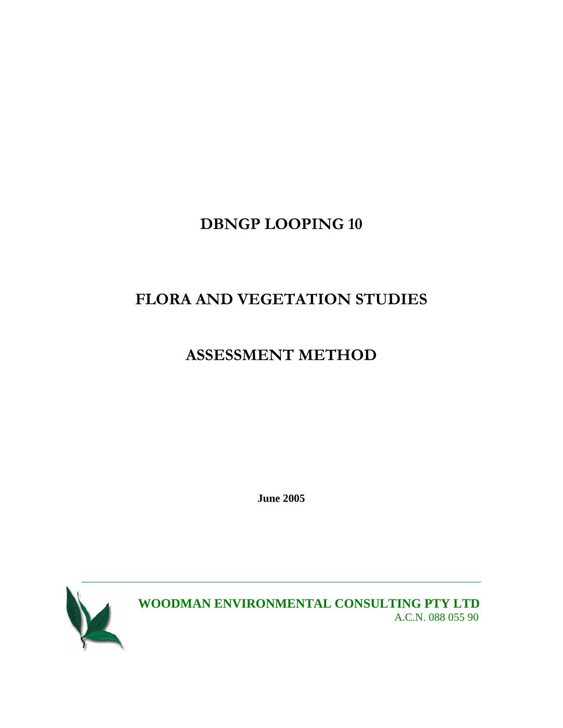# **DBNGP LOOPING 10**

# **FLORA AND VEGETATION STUDIES**

# **ASSESSMENT METHOD**

**June 2005** 



**WOODMAN ENVIRONMENTAL CONSULTING PTY LTD**  A.C.N. 088 055 90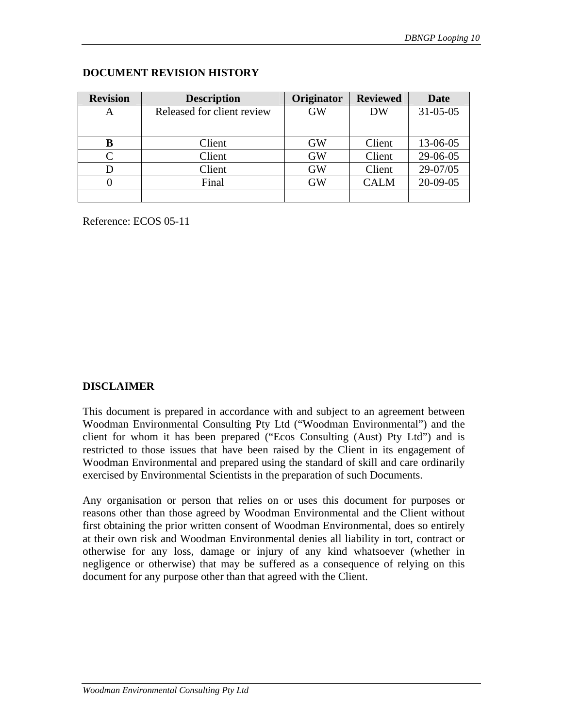| <b>Revision</b> | <b>Description</b>         | Originator | <b>Reviewed</b> | Date           |
|-----------------|----------------------------|------------|-----------------|----------------|
| A               | Released for client review | <b>GW</b>  | <b>DW</b>       | $31 - 05 - 05$ |
|                 |                            |            |                 |                |
| B               | Client                     | <b>GW</b>  | Client          | 13-06-05       |
| C               | Client                     | <b>GW</b>  | Client          | 29-06-05       |
| D               | Client                     | <b>GW</b>  | Client          | 29-07/05       |
| $\mathbf{0}$    | Final                      |            | <b>CALM</b>     | 20-09-05       |
|                 |                            |            |                 |                |

#### **DOCUMENT REVISION HISTORY**

Reference: ECOS 05-11

## **DISCLAIMER**

This document is prepared in accordance with and subject to an agreement between Woodman Environmental Consulting Pty Ltd ("Woodman Environmental") and the client for whom it has been prepared ("Ecos Consulting (Aust) Pty Ltd") and is restricted to those issues that have been raised by the Client in its engagement of Woodman Environmental and prepared using the standard of skill and care ordinarily exercised by Environmental Scientists in the preparation of such Documents.

Any organisation or person that relies on or uses this document for purposes or reasons other than those agreed by Woodman Environmental and the Client without first obtaining the prior written consent of Woodman Environmental, does so entirely at their own risk and Woodman Environmental denies all liability in tort, contract or otherwise for any loss, damage or injury of any kind whatsoever (whether in negligence or otherwise) that may be suffered as a consequence of relying on this document for any purpose other than that agreed with the Client.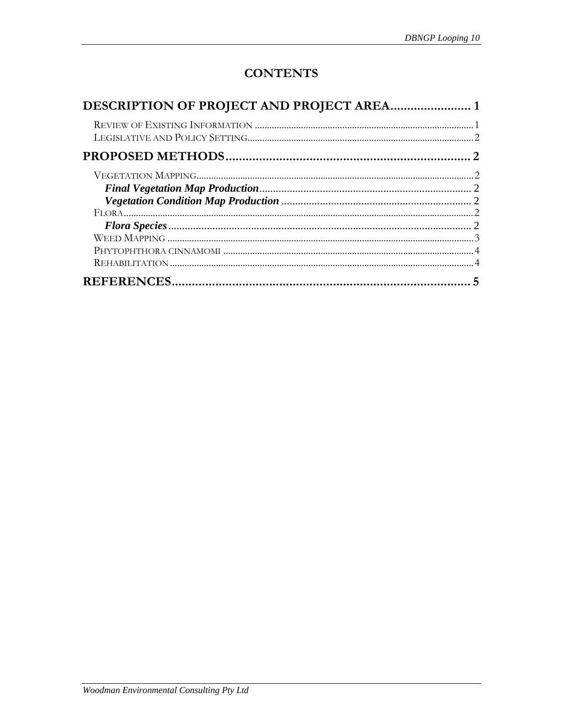# **CONTENTS**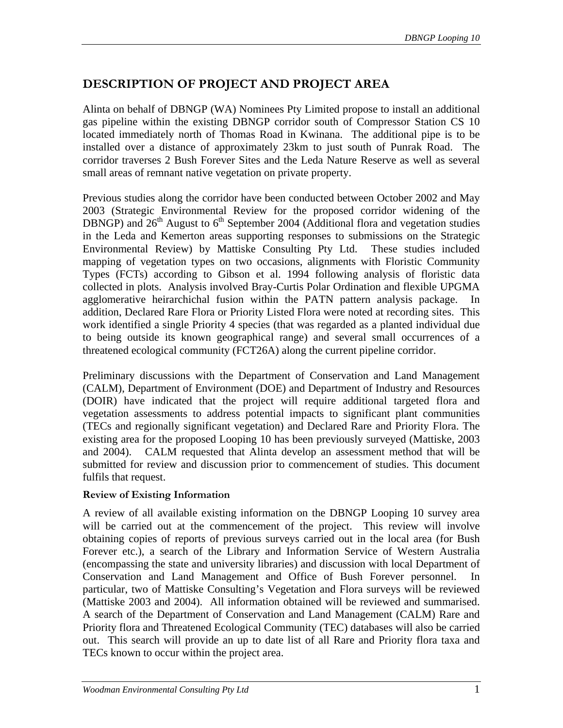# <span id="page-26-0"></span>**DESCRIPTION OF PROJECT AND PROJECT AREA**

Alinta on behalf of DBNGP (WA) Nominees Pty Limited propose to install an additional gas pipeline within the existing DBNGP corridor south of Compressor Station CS 10 located immediately north of Thomas Road in Kwinana. The additional pipe is to be installed over a distance of approximately 23km to just south of Punrak Road. The corridor traverses 2 Bush Forever Sites and the Leda Nature Reserve as well as several small areas of remnant native vegetation on private property.

Previous studies along the corridor have been conducted between October 2002 and May 2003 (Strategic Environmental Review for the proposed corridor widening of the DBNGP) and  $26<sup>th</sup>$  August to  $6<sup>th</sup>$  September 2004 (Additional flora and vegetation studies in the Leda and Kemerton areas supporting responses to submissions on the Strategic Environmental Review) by Mattiske Consulting Pty Ltd. These studies included mapping of vegetation types on two occasions, alignments with Floristic Community Types (FCTs) according to Gibson et al. 1994 following analysis of floristic data collected in plots. Analysis involved Bray-Curtis Polar Ordination and flexible UPGMA agglomerative heirarchichal fusion within the PATN pattern analysis package. In addition, Declared Rare Flora or Priority Listed Flora were noted at recording sites. This work identified a single Priority 4 species (that was regarded as a planted individual due to being outside its known geographical range) and several small occurrences of a threatened ecological community (FCT26A) along the current pipeline corridor.

Preliminary discussions with the Department of Conservation and Land Management (CALM), Department of Environment (DOE) and Department of Industry and Resources (DOIR) have indicated that the project will require additional targeted flora and vegetation assessments to address potential impacts to significant plant communities (TECs and regionally significant vegetation) and Declared Rare and Priority Flora. The existing area for the proposed Looping 10 has been previously surveyed (Mattiske, 2003 and 2004). CALM requested that Alinta develop an assessment method that will be submitted for review and discussion prior to commencement of studies. This document fulfils that request.

#### **Review of Existing Information**

A review of all available existing information on the DBNGP Looping 10 survey area will be carried out at the commencement of the project. This review will involve obtaining copies of reports of previous surveys carried out in the local area (for Bush Forever etc.), a search of the Library and Information Service of Western Australia (encompassing the state and university libraries) and discussion with local Department of Conservation and Land Management and Office of Bush Forever personnel. In particular, two of Mattiske Consulting's Vegetation and Flora surveys will be reviewed (Mattiske 2003 and 2004). All information obtained will be reviewed and summarised. A search of the Department of Conservation and Land Management (CALM) Rare and Priority flora and Threatened Ecological Community (TEC) databases will also be carried out. This search will provide an up to date list of all Rare and Priority flora taxa and TECs known to occur within the project area.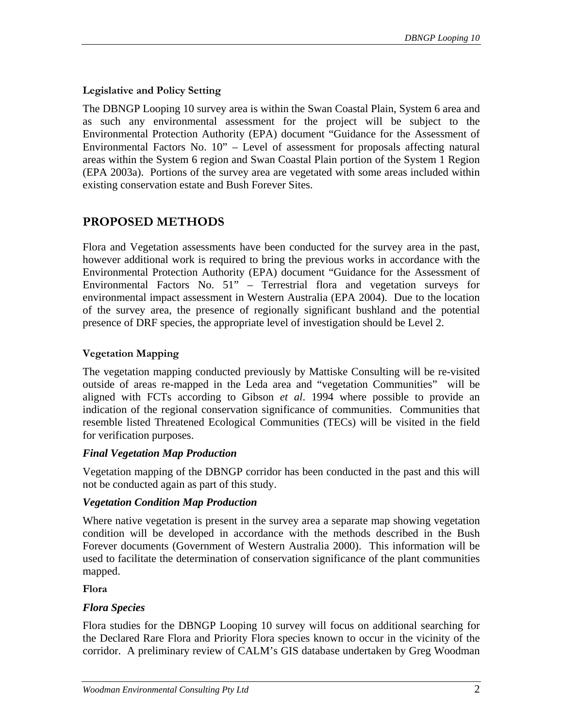#### <span id="page-27-0"></span>**Legislative and Policy Setting**

The DBNGP Looping 10 survey area is within the Swan Coastal Plain, System 6 area and as such any environmental assessment for the project will be subject to the Environmental Protection Authority (EPA) document "Guidance for the Assessment of Environmental Factors No. 10" – Level of assessment for proposals affecting natural areas within the System 6 region and Swan Coastal Plain portion of the System 1 Region (EPA 2003a). Portions of the survey area are vegetated with some areas included within existing conservation estate and Bush Forever Sites.

# **PROPOSED METHODS**

Flora and Vegetation assessments have been conducted for the survey area in the past, however additional work is required to bring the previous works in accordance with the Environmental Protection Authority (EPA) document "Guidance for the Assessment of Environmental Factors No. 51" – Terrestrial flora and vegetation surveys for environmental impact assessment in Western Australia (EPA 2004). Due to the location of the survey area, the presence of regionally significant bushland and the potential presence of DRF species, the appropriate level of investigation should be Level 2.

# **Vegetation Mapping**

The vegetation mapping conducted previously by Mattiske Consulting will be re-visited outside of areas re-mapped in the Leda area and "vegetation Communities" will be aligned with FCTs according to Gibson *et al*. 1994 where possible to provide an indication of the regional conservation significance of communities. Communities that resemble listed Threatened Ecological Communities (TECs) will be visited in the field for verification purposes.

## *Final Vegetation Map Production*

Vegetation mapping of the DBNGP corridor has been conducted in the past and this will not be conducted again as part of this study.

## *Vegetation Condition Map Production*

Where native vegetation is present in the survey area a separate map showing vegetation condition will be developed in accordance with the methods described in the Bush Forever documents (Government of Western Australia 2000). This information will be used to facilitate the determination of conservation significance of the plant communities mapped.

**Flora** 

## *Flora Species*

Flora studies for the DBNGP Looping 10 survey will focus on additional searching for the Declared Rare Flora and Priority Flora species known to occur in the vicinity of the corridor. A preliminary review of CALM's GIS database undertaken by Greg Woodman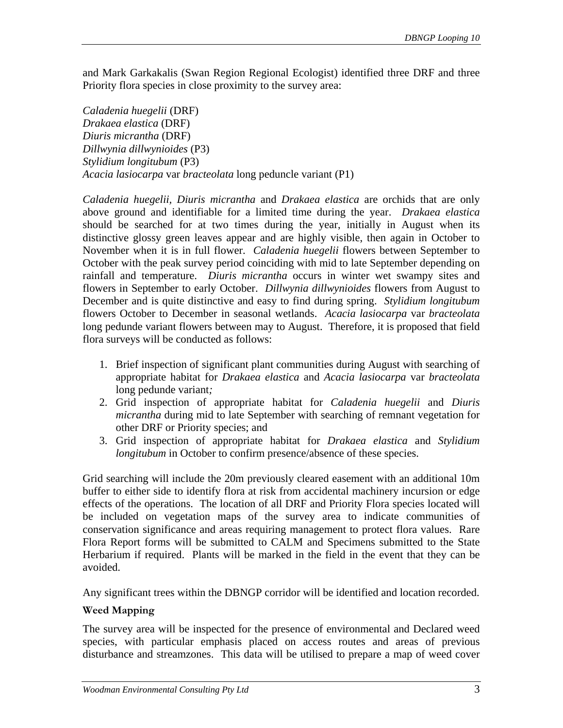<span id="page-28-0"></span>and Mark Garkakalis (Swan Region Regional Ecologist) identified three DRF and three Priority flora species in close proximity to the survey area:

*Caladenia huegelii* (DRF) *Drakaea elastica* (DRF) *Diuris micrantha* (DRF) *Dillwynia dillwynioides* (P3) *Stylidium longitubum* (P3) *Acacia lasiocarpa* var *bracteolata* long peduncle variant (P1)

*Caladenia huegelii, Diuris micrantha* and *Drakaea elastica* are orchids that are only above ground and identifiable for a limited time during the year. *Drakaea elastica* should be searched for at two times during the year, initially in August when its distinctive glossy green leaves appear and are highly visible, then again in October to November when it is in full flower. *Caladenia huegelii* flowers between September to October with the peak survey period coinciding with mid to late September depending on rainfall and temperature. *Diuris micrantha* occurs in winter wet swampy sites and flowers in September to early October. *Dillwynia dillwynioides* flowers from August to December and is quite distinctive and easy to find during spring. *Stylidium longitubum* flowers October to December in seasonal wetlands. *Acacia lasiocarpa* var *bracteolata* long pedunde variant flowers between may to August. Therefore, it is proposed that field flora surveys will be conducted as follows:

- 1. Brief inspection of significant plant communities during August with searching of appropriate habitat for *Drakaea elastica* and *Acacia lasiocarpa* var *bracteolata* long pedunde variant*;*
- 2. Grid inspection of appropriate habitat for *Caladenia huegelii* and *Diuris micrantha* during mid to late September with searching of remnant vegetation for other DRF or Priority species; and
- 3. Grid inspection of appropriate habitat for *Drakaea elastica* and *Stylidium longitubum* in October to confirm presence/absence of these species.

Grid searching will include the 20m previously cleared easement with an additional 10m buffer to either side to identify flora at risk from accidental machinery incursion or edge effects of the operations. The location of all DRF and Priority Flora species located will be included on vegetation maps of the survey area to indicate communities of conservation significance and areas requiring management to protect flora values. Rare Flora Report forms will be submitted to CALM and Specimens submitted to the State Herbarium if required. Plants will be marked in the field in the event that they can be avoided.

Any significant trees within the DBNGP corridor will be identified and location recorded.

## **Weed Mapping**

The survey area will be inspected for the presence of environmental and Declared weed species, with particular emphasis placed on access routes and areas of previous disturbance and streamzones. This data will be utilised to prepare a map of weed cover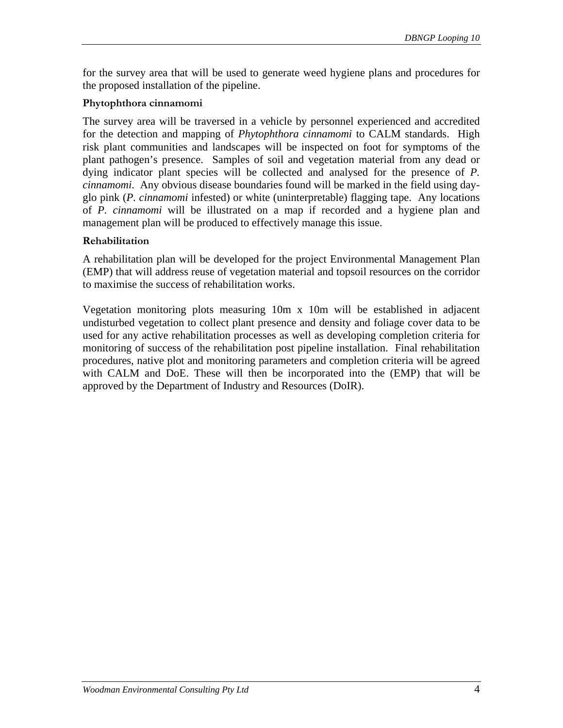<span id="page-29-0"></span>for the survey area that will be used to generate weed hygiene plans and procedures for the proposed installation of the pipeline.

#### **Phytophthora cinnamomi**

The survey area will be traversed in a vehicle by personnel experienced and accredited for the detection and mapping of *Phytophthora cinnamomi* to CALM standards. High risk plant communities and landscapes will be inspected on foot for symptoms of the plant pathogen's presence. Samples of soil and vegetation material from any dead or dying indicator plant species will be collected and analysed for the presence of *P. cinnamomi*. Any obvious disease boundaries found will be marked in the field using dayglo pink (*P. cinnamomi* infested) or white (uninterpretable) flagging tape. Any locations of *P. cinnamomi* will be illustrated on a map if recorded and a hygiene plan and management plan will be produced to effectively manage this issue.

#### **Rehabilitation**

A rehabilitation plan will be developed for the project Environmental Management Plan (EMP) that will address reuse of vegetation material and topsoil resources on the corridor to maximise the success of rehabilitation works.

Vegetation monitoring plots measuring 10m x 10m will be established in adjacent undisturbed vegetation to collect plant presence and density and foliage cover data to be used for any active rehabilitation processes as well as developing completion criteria for monitoring of success of the rehabilitation post pipeline installation. Final rehabilitation procedures, native plot and monitoring parameters and completion criteria will be agreed with CALM and DoE. These will then be incorporated into the (EMP) that will be approved by the Department of Industry and Resources (DoIR).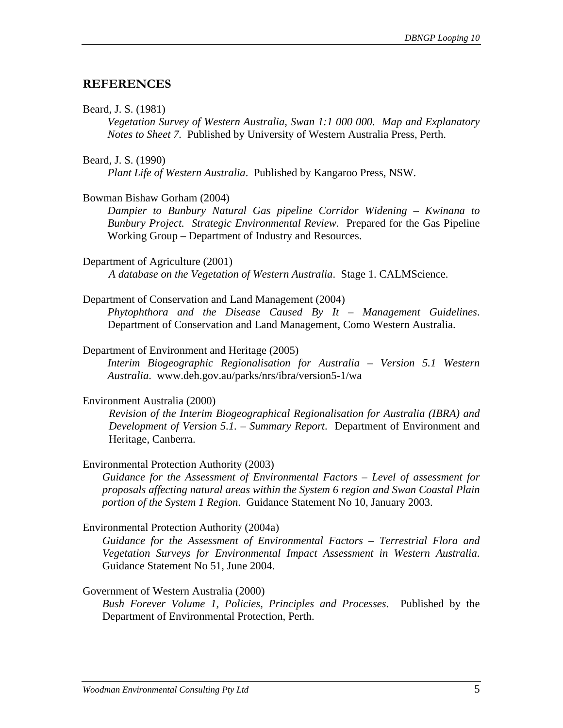# <span id="page-30-0"></span>**REFERENCES**

#### Beard, J. S. (1981)

*Vegetation Survey of Western Australia, Swan 1:1 000 000. Map and Explanatory Notes to Sheet 7.* Published by University of Western Australia Press, Perth.

#### Beard, J. S. (1990)

*Plant Life of Western Australia*. Published by Kangaroo Press, NSW.

## Bowman Bishaw Gorham (2004)

*Dampier to Bunbury Natural Gas pipeline Corridor Widening – Kwinana to Bunbury Project. Strategic Environmental Review*. Prepared for the Gas Pipeline Working Group – Department of Industry and Resources.

#### Department of Agriculture (2001)

*A database on the Vegetation of Western Australia*. Stage 1. CALMScience.

#### Department of Conservation and Land Management (2004)

*Phytophthora and the Disease Caused By It – Management Guidelines*. Department of Conservation and Land Management, Como Western Australia.

#### Department of Environment and Heritage (2005)

*Interim Biogeographic Regionalisation for Australia – Version 5.1 Western Australia*. www.deh.gov.au/parks/nrs/ibra/version5-1/wa

## Environment Australia (2000)

*Revision of the Interim Biogeographical Regionalisation for Australia (IBRA) and Development of Version 5.1. – Summary Report*. Department of Environment and Heritage, Canberra.

## Environmental Protection Authority (2003)

*Guidance for the Assessment of Environmental Factors – Level of assessment for proposals affecting natural areas within the System 6 region and Swan Coastal Plain portion of the System 1 Region*. Guidance Statement No 10, January 2003.

## Environmental Protection Authority (2004a)

*Guidance for the Assessment of Environmental Factors – Terrestrial Flora and Vegetation Surveys for Environmental Impact Assessment in Western Australia*. Guidance Statement No 51, June 2004.

## Government of Western Australia (2000)

*Bush Forever Volume 1, Policies, Principles and Processes*. Published by the Department of Environmental Protection, Perth.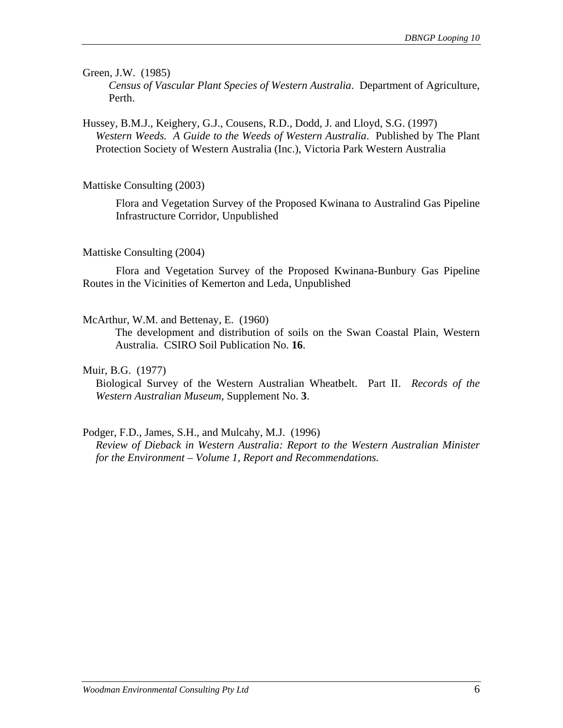Green, J.W. (1985)

*Census of Vascular Plant Species of Western Australia*. Department of Agriculture, Perth.

Hussey, B.M.J., Keighery, G.J., Cousens, R.D., Dodd, J. and Lloyd, S.G. (1997) *Western Weeds. A Guide to the Weeds of Western Australia*. Published by The Plant Protection Society of Western Australia (Inc.), Victoria Park Western Australia

Mattiske Consulting (2003)

Flora and Vegetation Survey of the Proposed Kwinana to Australind Gas Pipeline Infrastructure Corridor, Unpublished

#### Mattiske Consulting (2004)

 Flora and Vegetation Survey of the Proposed Kwinana-Bunbury Gas Pipeline Routes in the Vicinities of Kemerton and Leda, Unpublished

McArthur, W.M. and Bettenay, E. (1960)

The development and distribution of soils on the Swan Coastal Plain, Western Australia. CSIRO Soil Publication No. **16**.

#### Muir, B.G. (1977)

Biological Survey of the Western Australian Wheatbelt. Part II. *Records of the Western Australian Museum*, Supplement No. **3**.

#### Podger, F.D., James, S.H., and Mulcahy, M.J. (1996)

*Review of Dieback in Western Australia: Report to the Western Australian Minister for the Environment – Volume 1, Report and Recommendations.*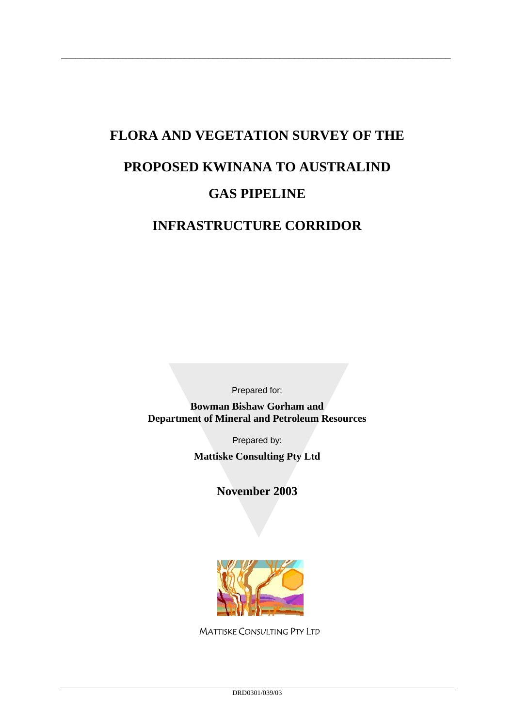# **FLORA AND VEGETATION SURVEY OF THE PROPOSED KWINANA TO AUSTRALIND GAS PIPELINE**

\_\_\_\_\_\_\_\_\_\_\_\_\_\_\_\_\_\_\_\_\_\_\_\_\_\_\_\_\_\_\_\_\_\_\_\_\_\_\_\_\_\_\_\_\_\_\_\_\_\_\_\_\_\_\_\_\_\_\_\_\_\_\_\_\_\_\_\_\_\_\_\_\_\_\_\_\_\_\_\_\_\_

# **INFRASTRUCTURE CORRIDOR**

Prepared for:

**Bowman Bishaw Gorham and Department of Mineral and Petroleum Resources** 

Prepared by:

**Mattiske Consulting Pty Ltd** 

**November 2003** 



MATTISKE CONSULTING PTY LTD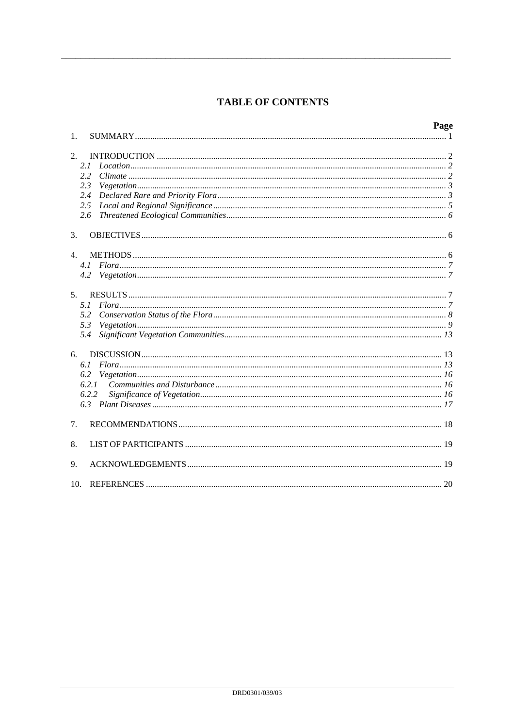# **TABLE OF CONTENTS**

|                                 |       | Page |
|---------------------------------|-------|------|
| 1.                              |       |      |
| 2.                              |       |      |
|                                 | 2.1   |      |
|                                 | 2.2   |      |
|                                 | 2.3   |      |
|                                 | 2.4   |      |
|                                 | 2.5   |      |
|                                 | 2.6   |      |
| 3.                              |       |      |
| $\mathbf{4}$ .                  |       |      |
|                                 | 4.1   |      |
|                                 | 4.2   |      |
| 5 <sub>1</sub>                  |       |      |
|                                 | 5.1   |      |
|                                 | 5.2   |      |
|                                 | 5.3   |      |
|                                 | 5.4   |      |
| 6.                              |       |      |
|                                 | 6.1   |      |
|                                 | 6.2   |      |
|                                 | 6.2.1 |      |
|                                 | 6.2.2 |      |
|                                 |       |      |
| $7_{\scriptscriptstyle{\circ}}$ |       |      |
| 8.                              |       |      |
| 9.                              |       |      |
| 10.                             |       |      |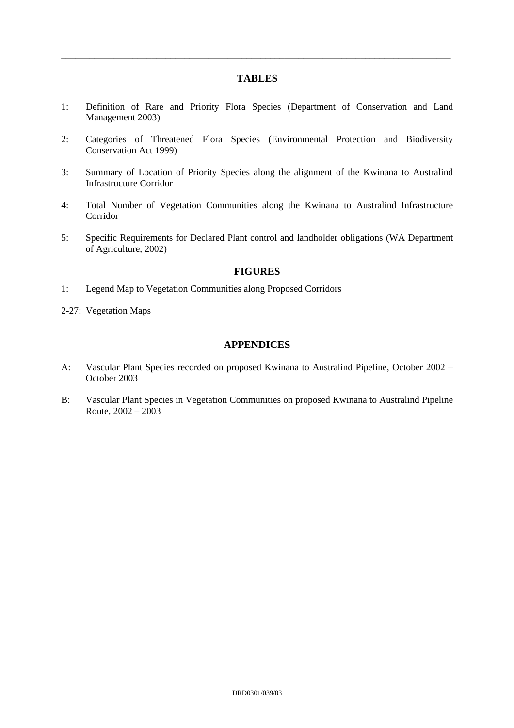#### **TABLES**

\_\_\_\_\_\_\_\_\_\_\_\_\_\_\_\_\_\_\_\_\_\_\_\_\_\_\_\_\_\_\_\_\_\_\_\_\_\_\_\_\_\_\_\_\_\_\_\_\_\_\_\_\_\_\_\_\_\_\_\_\_\_\_\_\_\_\_\_\_\_\_\_\_\_\_\_\_\_\_\_\_\_

- 1: Definition of Rare and Priority Flora Species (Department of Conservation and Land Management 2003)
- 2: Categories of Threatened Flora Species (Environmental Protection and Biodiversity Conservation Act 1999)
- 3: Summary of Location of Priority Species along the alignment of the Kwinana to Australind Infrastructure Corridor
- 4: Total Number of Vegetation Communities along the Kwinana to Australind Infrastructure Corridor
- 5: Specific Requirements for Declared Plant control and landholder obligations (WA Department of Agriculture, 2002)

#### **FIGURES**

- 1: Legend Map to Vegetation Communities along Proposed Corridors
- 2-27: Vegetation Maps

#### **APPENDICES**

- A: Vascular Plant Species recorded on proposed Kwinana to Australind Pipeline, October 2002 October 2003
- B: Vascular Plant Species in Vegetation Communities on proposed Kwinana to Australind Pipeline Route, 2002 – 2003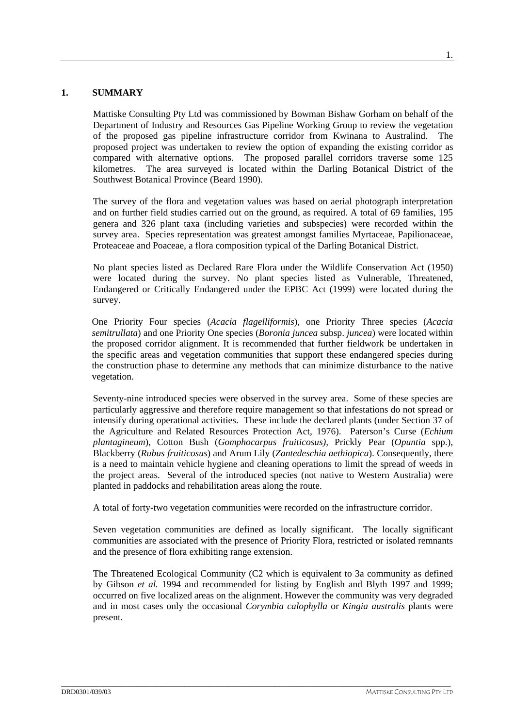#### **1. SUMMARY**

Mattiske Consulting Pty Ltd was commissioned by Bowman Bishaw Gorham on behalf of the Department of Industry and Resources Gas Pipeline Working Group to review the vegetation of the proposed gas pipeline infrastructure corridor from Kwinana to Australind. The proposed project was undertaken to review the option of expanding the existing corridor as compared with alternative options. The proposed parallel corridors traverse some 125 kilometres. The area surveyed is located within the Darling Botanical District of the Southwest Botanical Province (Beard 1990).

The survey of the flora and vegetation values was based on aerial photograph interpretation and on further field studies carried out on the ground, as required. A total of 69 families, 195 genera and 326 plant taxa (including varieties and subspecies) were recorded within the survey area. Species representation was greatest amongst families Myrtaceae, Papilionaceae, Proteaceae and Poaceae, a flora composition typical of the Darling Botanical District.

No plant species listed as Declared Rare Flora under the Wildlife Conservation Act (1950) were located during the survey. No plant species listed as Vulnerable, Threatened, Endangered or Critically Endangered under the EPBC Act (1999) were located during the survey.

One Priority Four species (*Acacia flagelliformis*), one Priority Three species (*Acacia semitrullata*) and one Priority One species (*Boronia juncea* subsp. *juncea*) were located within the proposed corridor alignment. It is recommended that further fieldwork be undertaken in the specific areas and vegetation communities that support these endangered species during the construction phase to determine any methods that can minimize disturbance to the native vegetation.

Seventy-nine introduced species were observed in the survey area. Some of these species are particularly aggressive and therefore require management so that infestations do not spread or intensify during operational activities. These include the declared plants (under Section 37 of the Agriculture and Related Resources Protection Act, 1976). Paterson's Curse (*Echium plantagineum*), Cotton Bush (*Gomphocarpus fruiticosus)*, Prickly Pear (*Opuntia* spp.), Blackberry (*Rubus fruiticosus*) and Arum Lily (*Zantedeschia aethiopica*). Consequently, there is a need to maintain vehicle hygiene and cleaning operations to limit the spread of weeds in the project areas. Several of the introduced species (not native to Western Australia) were planted in paddocks and rehabilitation areas along the route.

A total of forty-two vegetation communities were recorded on the infrastructure corridor.

Seven vegetation communities are defined as locally significant. The locally significant communities are associated with the presence of Priority Flora, restricted or isolated remnants and the presence of flora exhibiting range extension.

The Threatened Ecological Community (C2 which is equivalent to 3a community as defined by Gibson *et al.* 1994 and recommended for listing by English and Blyth 1997 and 1999; occurred on five localized areas on the alignment. However the community was very degraded and in most cases only the occasional *Corymbia calophylla* or *Kingia australis* plants were present.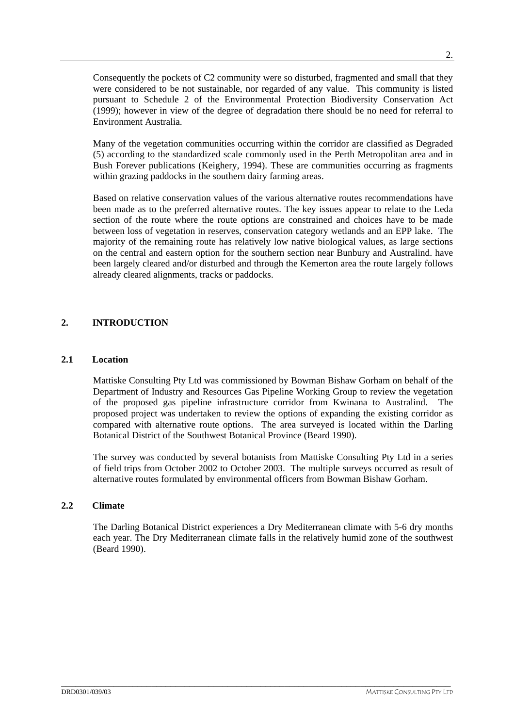Consequently the pockets of C2 community were so disturbed, fragmented and small that they were considered to be not sustainable, nor regarded of any value. This community is listed pursuant to Schedule 2 of the Environmental Protection Biodiversity Conservation Act (1999); however in view of the degree of degradation there should be no need for referral to Environment Australia.

Many of the vegetation communities occurring within the corridor are classified as Degraded (5) according to the standardized scale commonly used in the Perth Metropolitan area and in Bush Forever publications (Keighery, 1994). These are communities occurring as fragments within grazing paddocks in the southern dairy farming areas.

Based on relative conservation values of the various alternative routes recommendations have been made as to the preferred alternative routes. The key issues appear to relate to the Leda section of the route where the route options are constrained and choices have to be made between loss of vegetation in reserves, conservation category wetlands and an EPP lake. The majority of the remaining route has relatively low native biological values, as large sections on the central and eastern option for the southern section near Bunbury and Australind. have been largely cleared and/or disturbed and through the Kemerton area the route largely follows already cleared alignments, tracks or paddocks.

# **2. INTRODUCTION**

#### **2.1 Location**

Mattiske Consulting Pty Ltd was commissioned by Bowman Bishaw Gorham on behalf of the Department of Industry and Resources Gas Pipeline Working Group to review the vegetation of the proposed gas pipeline infrastructure corridor from Kwinana to Australind. The proposed project was undertaken to review the options of expanding the existing corridor as compared with alternative route options. The area surveyed is located within the Darling Botanical District of the Southwest Botanical Province (Beard 1990).

The survey was conducted by several botanists from Mattiske Consulting Pty Ltd in a series of field trips from October 2002 to October 2003. The multiple surveys occurred as result of alternative routes formulated by environmental officers from Bowman Bishaw Gorham.

# **2.2 Climate**

The Darling Botanical District experiences a Dry Mediterranean climate with 5-6 dry months each year. The Dry Mediterranean climate falls in the relatively humid zone of the southwest (Beard 1990).

\_\_\_\_\_\_\_\_\_\_\_\_\_\_\_\_\_\_\_\_\_\_\_\_\_\_\_\_\_\_\_\_\_\_\_\_\_\_\_\_\_\_\_\_\_\_\_\_\_\_\_\_\_\_\_\_\_\_\_\_\_\_\_\_\_\_\_\_\_\_\_\_\_\_\_\_\_\_\_\_\_\_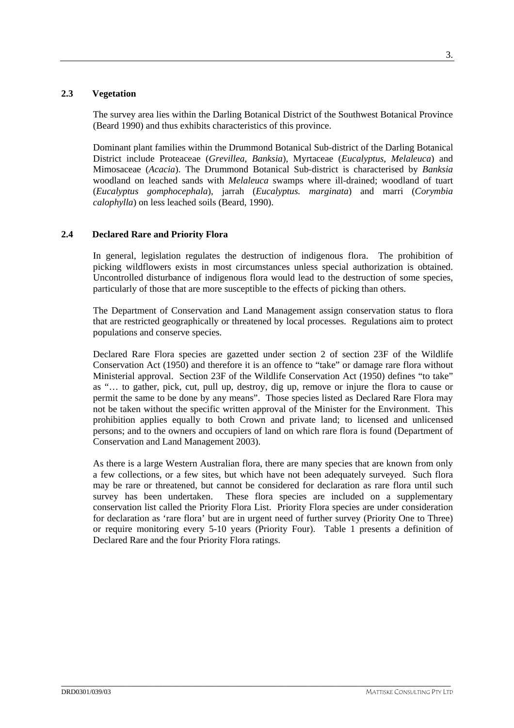## **2.3 Vegetation**

The survey area lies within the Darling Botanical District of the Southwest Botanical Province (Beard 1990) and thus exhibits characteristics of this province.

Dominant plant families within the Drummond Botanical Sub-district of the Darling Botanical District include Proteaceae (*Grevillea*, *Banksia*), Myrtaceae (*Eucalyptus*, *Melaleuca*) and Mimosaceae (*Acacia*). The Drummond Botanical Sub-district is characterised by *Banksia*  woodland on leached sands with *Melaleuca* swamps where ill-drained; woodland of tuart (*Eucalyptus gomphocephala*), jarrah (*Eucalyptus. marginata*) and marri (*Corymbia calophylla*) on less leached soils (Beard, 1990).

## **2.4 Declared Rare and Priority Flora**

In general, legislation regulates the destruction of indigenous flora. The prohibition of picking wildflowers exists in most circumstances unless special authorization is obtained. Uncontrolled disturbance of indigenous flora would lead to the destruction of some species, particularly of those that are more susceptible to the effects of picking than others.

The Department of Conservation and Land Management assign conservation status to flora that are restricted geographically or threatened by local processes. Regulations aim to protect populations and conserve species.

Declared Rare Flora species are gazetted under section 2 of section 23F of the Wildlife Conservation Act (1950) and therefore it is an offence to "take" or damage rare flora without Ministerial approval. Section 23F of the Wildlife Conservation Act (1950) defines "to take" as "… to gather, pick, cut, pull up, destroy, dig up, remove or injure the flora to cause or permit the same to be done by any means". Those species listed as Declared Rare Flora may not be taken without the specific written approval of the Minister for the Environment. This prohibition applies equally to both Crown and private land; to licensed and unlicensed persons; and to the owners and occupiers of land on which rare flora is found (Department of Conservation and Land Management 2003).

As there is a large Western Australian flora, there are many species that are known from only a few collections, or a few sites, but which have not been adequately surveyed. Such flora may be rare or threatened, but cannot be considered for declaration as rare flora until such survey has been undertaken. These flora species are included on a supplementary conservation list called the Priority Flora List. Priority Flora species are under consideration for declaration as 'rare flora' but are in urgent need of further survey (Priority One to Three) or require monitoring every 5-10 years (Priority Four). Table 1 presents a definition of Declared Rare and the four Priority Flora ratings.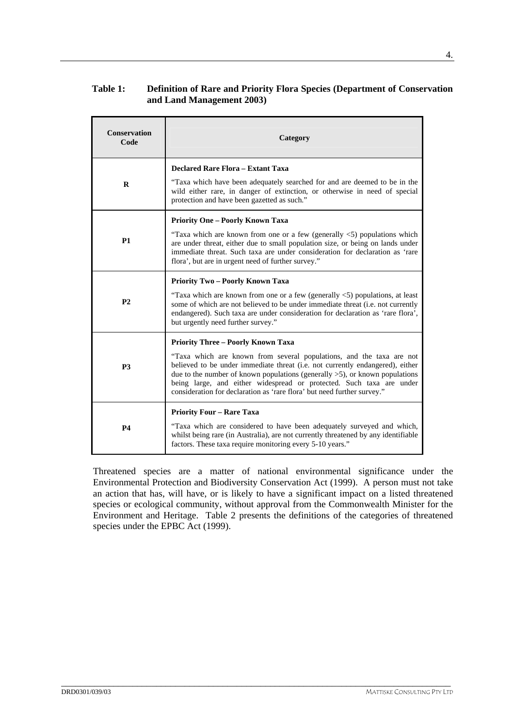# **Table 1: Definition of Rare and Priority Flora Species (Department of Conservation and Land Management 2003)**

| <b>Conservation</b><br>Code | Category                                                                                                                                                                                                                                                                                                                                                                                   |
|-----------------------------|--------------------------------------------------------------------------------------------------------------------------------------------------------------------------------------------------------------------------------------------------------------------------------------------------------------------------------------------------------------------------------------------|
|                             | <b>Declared Rare Flora - Extant Taxa</b>                                                                                                                                                                                                                                                                                                                                                   |
| R                           | "Taxa which have been adequately searched for and are deemed to be in the<br>wild either rare, in danger of extinction, or otherwise in need of special<br>protection and have been gazetted as such."                                                                                                                                                                                     |
|                             | <b>Priority One - Poorly Known Taxa</b>                                                                                                                                                                                                                                                                                                                                                    |
| <b>P1</b>                   | "Taxa which are known from one or a few (generally $\langle 5 \rangle$ ) populations which<br>are under threat, either due to small population size, or being on lands under<br>immediate threat. Such taxa are under consideration for declaration as 'rare<br>flora', but are in urgent need of further survey."                                                                         |
|                             | <b>Priority Two - Poorly Known Taxa</b>                                                                                                                                                                                                                                                                                                                                                    |
| P <sub>2</sub>              | "Taxa which are known from one or a few (generally $\lt 5$ ) populations, at least<br>some of which are not believed to be under immediate threat (i.e. not currently<br>endangered). Such taxa are under consideration for declaration as 'rare flora',<br>but urgently need further survey."                                                                                             |
|                             | <b>Priority Three - Poorly Known Taxa</b>                                                                                                                                                                                                                                                                                                                                                  |
| <b>P3</b>                   | "Taxa which are known from several populations, and the taxa are not<br>believed to be under immediate threat (i.e. not currently endangered), either<br>due to the number of known populations (generally $>5$ ), or known populations<br>being large, and either widespread or protected. Such taxa are under<br>consideration for declaration as 'rare flora' but need further survey." |
|                             | <b>Priority Four – Rare Taxa</b>                                                                                                                                                                                                                                                                                                                                                           |
| P4                          | "Taxa which are considered to have been adequately surveyed and which,<br>whilst being rare (in Australia), are not currently threatened by any identifiable<br>factors. These taxa require monitoring every 5-10 years."                                                                                                                                                                  |

Threatened species are a matter of national environmental significance under the Environmental Protection and Biodiversity Conservation Act (1999). A person must not take an action that has, will have, or is likely to have a significant impact on a listed threatened species or ecological community, without approval from the Commonwealth Minister for the Environment and Heritage. Table 2 presents the definitions of the categories of threatened species under the EPBC Act (1999).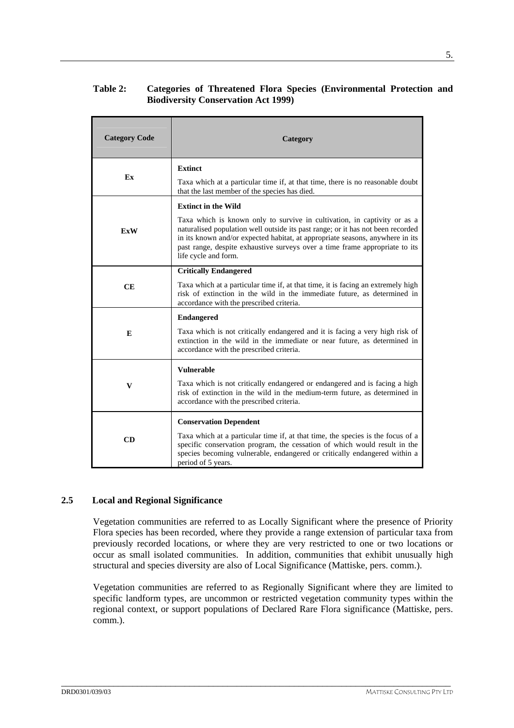# **Table 2: Categories of Threatened Flora Species (Environmental Protection and Biodiversity Conservation Act 1999)**

| <b>Category Code</b> | Category                                                                                                                                                                                                                                                                                                                                            |
|----------------------|-----------------------------------------------------------------------------------------------------------------------------------------------------------------------------------------------------------------------------------------------------------------------------------------------------------------------------------------------------|
|                      | <b>Extinct</b>                                                                                                                                                                                                                                                                                                                                      |
| Ex                   | Taxa which at a particular time if, at that time, there is no reasonable doubt<br>that the last member of the species has died.                                                                                                                                                                                                                     |
|                      | <b>Extinct in the Wild</b>                                                                                                                                                                                                                                                                                                                          |
| <b>ExW</b>           | Taxa which is known only to survive in cultivation, in captivity or as a<br>naturalised population well outside its past range; or it has not been recorded<br>in its known and/or expected habitat, at appropriate seasons, anywhere in its<br>past range, despite exhaustive surveys over a time frame appropriate to its<br>life cycle and form. |
|                      | <b>Critically Endangered</b>                                                                                                                                                                                                                                                                                                                        |
| CE                   | Taxa which at a particular time if, at that time, it is facing an extremely high<br>risk of extinction in the wild in the immediate future, as determined in<br>accordance with the prescribed criteria.                                                                                                                                            |
|                      | <b>Endangered</b>                                                                                                                                                                                                                                                                                                                                   |
| E                    | Taxa which is not critically endangered and it is facing a very high risk of<br>extinction in the wild in the immediate or near future, as determined in<br>accordance with the prescribed criteria.                                                                                                                                                |
|                      | <b>Vulnerable</b>                                                                                                                                                                                                                                                                                                                                   |
| V                    | Taxa which is not critically endangered or endangered and is facing a high<br>risk of extinction in the wild in the medium-term future, as determined in<br>accordance with the prescribed criteria.                                                                                                                                                |
|                      | <b>Conservation Dependent</b>                                                                                                                                                                                                                                                                                                                       |
| CD                   | Taxa which at a particular time if, at that time, the species is the focus of a<br>specific conservation program, the cessation of which would result in the<br>species becoming vulnerable, endangered or critically endangered within a<br>period of 5 years.                                                                                     |

### **2.5 Local and Regional Significance**

Vegetation communities are referred to as Locally Significant where the presence of Priority Flora species has been recorded, where they provide a range extension of particular taxa from previously recorded locations, or where they are very restricted to one or two locations or occur as small isolated communities. In addition, communities that exhibit unusually high structural and species diversity are also of Local Significance (Mattiske, pers. comm.).

Vegetation communities are referred to as Regionally Significant where they are limited to specific landform types, are uncommon or restricted vegetation community types within the regional context, or support populations of Declared Rare Flora significance (Mattiske, pers. comm.).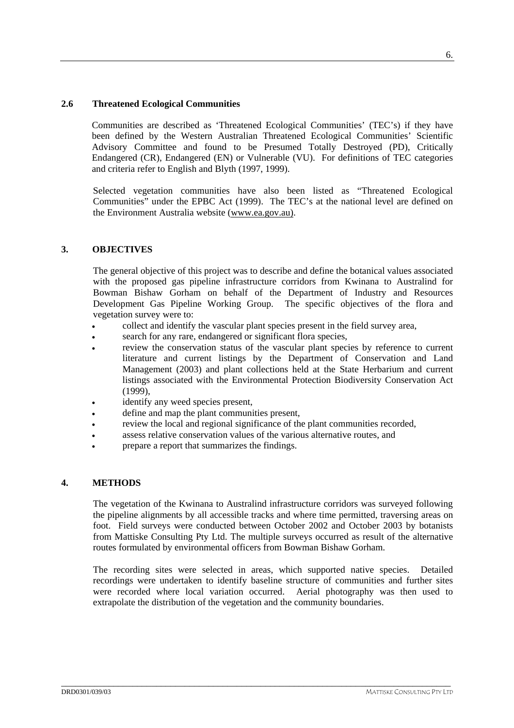Communities are described as 'Threatened Ecological Communities' (TEC's) if they have been defined by the Western Australian Threatened Ecological Communities' Scientific Advisory Committee and found to be Presumed Totally Destroyed (PD), Critically Endangered (CR), Endangered (EN) or Vulnerable (VU). For definitions of TEC categories and criteria refer to English and Blyth (1997, 1999).

Selected vegetation communities have also been listed as "Threatened Ecological Communities" under the EPBC Act (1999). The TEC's at the national level are defined on the Environment Australia website (www.ea.gov.au).

# **3. OBJECTIVES**

The general objective of this project was to describe and define the botanical values associated with the proposed gas pipeline infrastructure corridors from Kwinana to Australind for Bowman Bishaw Gorham on behalf of the Department of Industry and Resources Development Gas Pipeline Working Group. The specific objectives of the flora and vegetation survey were to:

- collect and identify the vascular plant species present in the field survey area,
- search for any rare, endangered or significant flora species,
- review the conservation status of the vascular plant species by reference to current literature and current listings by the Department of Conservation and Land Management (2003) and plant collections held at the State Herbarium and current listings associated with the Environmental Protection Biodiversity Conservation Act (1999),
- identify any weed species present,
- define and map the plant communities present,
- review the local and regional significance of the plant communities recorded,
- assess relative conservation values of the various alternative routes, and
- prepare a report that summarizes the findings.

### **4. METHODS**

The vegetation of the Kwinana to Australind infrastructure corridors was surveyed following the pipeline alignments by all accessible tracks and where time permitted, traversing areas on foot. Field surveys were conducted between October 2002 and October 2003 by botanists from Mattiske Consulting Pty Ltd. The multiple surveys occurred as result of the alternative routes formulated by environmental officers from Bowman Bishaw Gorham.

The recording sites were selected in areas, which supported native species. Detailed recordings were undertaken to identify baseline structure of communities and further sites were recorded where local variation occurred. Aerial photography was then used to extrapolate the distribution of the vegetation and the community boundaries.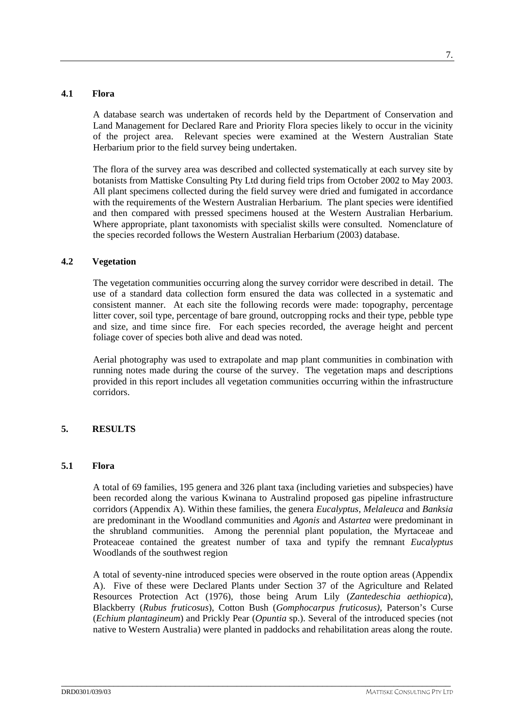### **4.1 Flora**

A database search was undertaken of records held by the Department of Conservation and Land Management for Declared Rare and Priority Flora species likely to occur in the vicinity of the project area. Relevant species were examined at the Western Australian State Herbarium prior to the field survey being undertaken.

The flora of the survey area was described and collected systematically at each survey site by botanists from Mattiske Consulting Pty Ltd during field trips from October 2002 to May 2003. All plant specimens collected during the field survey were dried and fumigated in accordance with the requirements of the Western Australian Herbarium. The plant species were identified and then compared with pressed specimens housed at the Western Australian Herbarium. Where appropriate, plant taxonomists with specialist skills were consulted. Nomenclature of the species recorded follows the Western Australian Herbarium (2003) database.

# **4.2 Vegetation**

The vegetation communities occurring along the survey corridor were described in detail. The use of a standard data collection form ensured the data was collected in a systematic and consistent manner. At each site the following records were made: topography, percentage litter cover, soil type, percentage of bare ground, outcropping rocks and their type, pebble type and size, and time since fire. For each species recorded, the average height and percent foliage cover of species both alive and dead was noted.

Aerial photography was used to extrapolate and map plant communities in combination with running notes made during the course of the survey. The vegetation maps and descriptions provided in this report includes all vegetation communities occurring within the infrastructure corridors.

# **5. RESULTS**

### **5.1 Flora**

A total of 69 families, 195 genera and 326 plant taxa (including varieties and subspecies) have been recorded along the various Kwinana to Australind proposed gas pipeline infrastructure corridors (Appendix A). Within these families, the genera *Eucalyptus, Melaleuca* and *Banksia*  are predominant in the Woodland communities and *Agonis* and *Astartea* were predominant in the shrubland communities. Among the perennial plant population, the Myrtaceae and Proteaceae contained the greatest number of taxa and typify the remnant *Eucalyptus* Woodlands of the southwest region

A total of seventy-nine introduced species were observed in the route option areas (Appendix A). Five of these were Declared Plants under Section 37 of the Agriculture and Related Resources Protection Act (1976), those being Arum Lily (*Zantedeschia aethiopica*), Blackberry (*Rubus fruticosus*), Cotton Bush (*Gomphocarpus fruticosus)*, Paterson's Curse (*Echium plantagineum*) and Prickly Pear (*Opuntia* sp.). Several of the introduced species (not native to Western Australia) were planted in paddocks and rehabilitation areas along the route.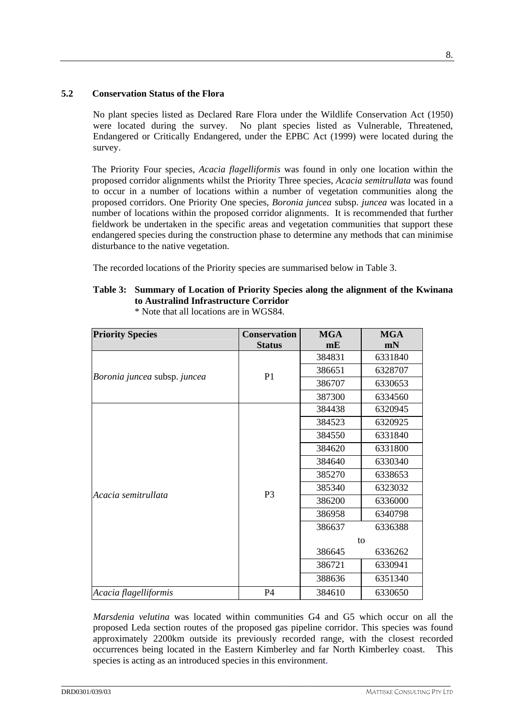## **5.2 Conservation Status of the Flora**

No plant species listed as Declared Rare Flora under the Wildlife Conservation Act (1950) were located during the survey. No plant species listed as Vulnerable, Threatened, Endangered or Critically Endangered, under the EPBC Act (1999) were located during the survey.

The Priority Four species, *Acacia flagelliformis* was found in only one location within the proposed corridor alignments whilst the Priority Three species, *Acacia semitrullata* was found to occur in a number of locations within a number of vegetation communities along the proposed corridors. One Priority One species, *Boronia juncea* subsp. *juncea* was located in a number of locations within the proposed corridor alignments. It is recommended that further fieldwork be undertaken in the specific areas and vegetation communities that support these endangered species during the construction phase to determine any methods that can minimise disturbance to the native vegetation.

The recorded locations of the Priority species are summarised below in Table 3.

# **Table 3: Summary of Location of Priority Species along the alignment of the Kwinana to Australind Infrastructure Corridor**

| <b>Priority Species</b>      | <b>Conservation</b> | <b>MGA</b> | <b>MGA</b> |
|------------------------------|---------------------|------------|------------|
|                              | <b>Status</b>       | mE         | mN         |
|                              |                     | 384831     | 6331840    |
| Boronia juncea subsp. juncea | P <sub>1</sub>      | 386651     | 6328707    |
|                              |                     | 386707     | 6330653    |
|                              |                     | 387300     | 6334560    |
|                              |                     | 384438     | 6320945    |
|                              |                     | 384523     | 6320925    |
|                              |                     | 384550     | 6331840    |
|                              |                     | 384620     | 6331800    |
|                              |                     | 384640     | 6330340    |
|                              |                     | 385270     | 6338653    |
| Acacia semitrullata          | P <sub>3</sub>      | 385340     | 6323032    |
|                              |                     | 386200     | 6336000    |
|                              |                     | 386958     | 6340798    |
|                              |                     | 386637     | 6336388    |
|                              |                     |            | to         |
|                              |                     | 386645     | 6336262    |
|                              |                     | 386721     | 6330941    |
|                              |                     | 388636     | 6351340    |
| Acacia flagelliformis        | P4                  | 384610     | 6330650    |

\* Note that all locations are in WGS84.

*Marsdenia velutina* was located within communities G4 and G5 which occur on all the proposed Leda section routes of the proposed gas pipeline corridor. This species was found approximately 2200km outside its previously recorded range, with the closest recorded occurrences being located in the Eastern Kimberley and far North Kimberley coast. This species is acting as an introduced species in this environment.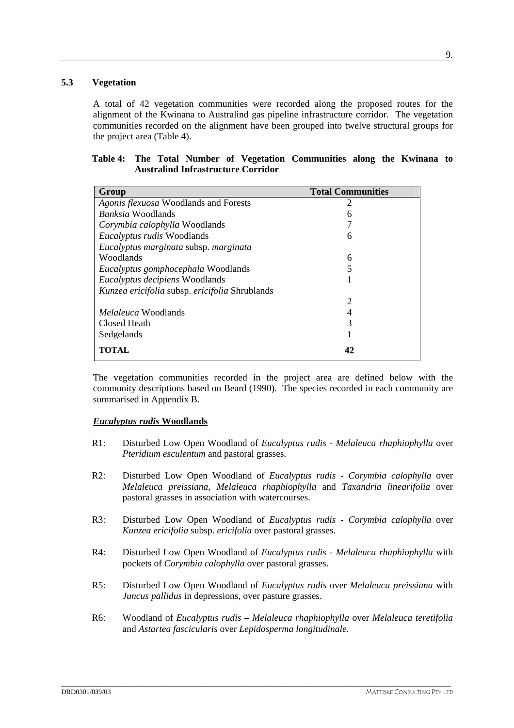## **5.3 Vegetation**

A total of 42 vegetation communities were recorded along the proposed routes for the alignment of the Kwinana to Australind gas pipeline infrastructure corridor. The vegetation communities recorded on the alignment have been grouped into twelve structural groups for the project area (Table 4).

|  |  |                                           | Table 4: The Total Number of Vegetation Communities along the Kwinana to |  |  |
|--|--|-------------------------------------------|--------------------------------------------------------------------------|--|--|
|  |  | <b>Australind Infrastructure Corridor</b> |                                                                          |  |  |
|  |  |                                           |                                                                          |  |  |

| Group                                          | <b>Total Communities</b> |
|------------------------------------------------|--------------------------|
| Agonis flexuosa Woodlands and Forests          | 2                        |
| <i>Banksia</i> Woodlands                       | 6                        |
| Corymbia calophylla Woodlands                  | 7                        |
| <i>Eucalyptus rudis</i> Woodlands              | 6                        |
| Eucalyptus marginata subsp. marginata          |                          |
| Woodlands                                      | 6                        |
| Eucalyptus gomphocephala Woodlands             | 5                        |
| <i>Eucalyptus decipiens</i> Woodlands          |                          |
| Kunzea ericifolia subsp. ericifolia Shrublands |                          |
|                                                | $\overline{2}$           |
| <i>Melaleuca</i> Woodlands                     | $\overline{4}$           |
| Closed Heath                                   | 3                        |
| Sedgelands                                     |                          |
| TOTAL                                          | 42                       |

The vegetation communities recorded in the project area are defined below with the community descriptions based on Beard (1990). The species recorded in each community are summarised in Appendix B.

### *Eucalyptus rudis* **Woodlands**

- R1: Disturbed Low Open Woodland of *Eucalyptus rudis Melaleuca rhaphiophylla* over *Pteridium esculentum* and pastoral grasses.
- R2: Disturbed Low Open Woodland of *Eucalyptus rudis - Corymbia calophylla* over *Melaleuca preissiana, Melaleuca rhaphiophylla* and *Taxandria linearifolia* over pastoral grasses in association with watercourses.
- R3: Disturbed Low Open Woodland of *Eucalyptus rudis - Corymbia calophylla* over *Kunzea ericifolia* subsp. *ericifolia* over pastoral grasses.
- R4: Disturbed Low Open Woodland of *Eucalyptus rudis Melaleuca rhaphiophylla* with pockets of *Corymbia calophylla* over pastoral grasses.
- R5: Disturbed Low Open Woodland of *Eucalyptus rudis* over *Melaleuca preissiana* with *Juncus pallidus* in depressions, over pasture grasses.
- R6: Woodland of *Eucalyptus rudis Melaleuca rhaphiophylla* over *Melaleuca teretifolia* and *Astartea fascicularis* over *Lepidosperma longitudinale.*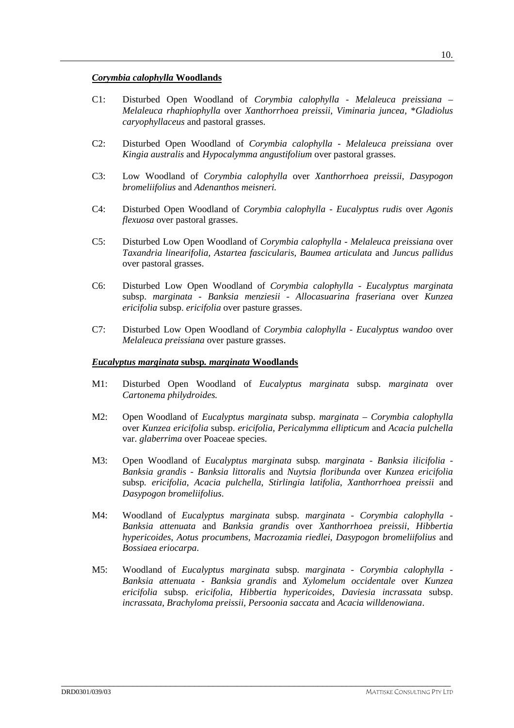### *Corymbia calophylla* **Woodlands**

- C1: Disturbed Open Woodland of *Corymbia calophylla - Melaleuca preissiana Melaleuca rhaphiophylla* over *Xanthorrhoea preissii, Viminaria juncea,* \**Gladiolus caryophyllaceus* and pastoral grasses.
- C2: Disturbed Open Woodland of *Corymbia calophylla - Melaleuca preissiana* over *Kingia australis* and *Hypocalymma angustifolium* over pastoral grasses.
- C3: Low Woodland of *Corymbia calophylla* over *Xanthorrhoea preissii, Dasypogon bromeliifolius* and *Adenanthos meisneri.*
- C4: Disturbed Open Woodland of *Corymbia calophylla - Eucalyptus rudis* over *Agonis flexuosa* over pastoral grasses.
- C5: Disturbed Low Open Woodland of *Corymbia calophylla - Melaleuca preissiana* over *Taxandria linearifolia, Astartea fascicularis*, *Baumea articulata* and *Juncus pallidus*  over pastoral grasses.
- C6: Disturbed Low Open Woodland of *Corymbia calophylla Eucalyptus marginata*  subsp. *marginata - Banksia menziesii - Allocasuarina fraseriana* over *Kunzea ericifolia* subsp. *ericifolia* over pasture grasses.
- C7: Disturbed Low Open Woodland of *Corymbia calophylla Eucalyptus wandoo* over *Melaleuca preissiana* over pasture grasses.

#### *Eucalyptus marginata* **subsp***. marginata* **Woodlands**

- M1: Disturbed Open Woodland of *Eucalyptus marginata* subsp. *marginata* over *Cartonema philydroides.*
- M2: Open Woodland of *Eucalyptus marginata* subsp. *marginata Corymbia calophylla* over *Kunzea ericifolia* subsp. *ericifolia, Pericalymma ellipticum* and *Acacia pulchella*  var. *glaberrima* over Poaceae species.
- M3: Open Woodland of *Eucalyptus marginata* subsp*. marginata Banksia ilicifolia Banksia grandis* - *Banksia littoralis* and *Nuytsia floribunda* over *Kunzea ericifolia* subsp*. ericifolia*, *Acacia pulchella*, *Stirlingia latifolia*, *Xanthorrhoea preissii* and *Dasypogon bromeliifolius*.
- M4: Woodland of *Eucalyptus marginata* subsp*. marginata Corymbia calophylla Banksia attenuata* and *Banksia grandis* over *Xanthorrhoea preissii*, *Hibbertia hypericoides*, *Aotus procumbens*, *Macrozamia riedlei*, *Dasypogon bromeliifolius* and *Bossiaea eriocarpa*.
- M5: Woodland of *Eucalyptus marginata* subsp*. marginata Corymbia calophylla Banksia attenuata* - *Banksia grandis* and *Xylomelum occidentale* over *Kunzea ericifolia* subsp. *ericifolia*, *Hibbertia hypericoides*, *Daviesia incrassata* subsp. *incrassata*, *Brachyloma preissii*, *Persoonia saccata* and *Acacia willdenowiana*.

\_\_\_\_\_\_\_\_\_\_\_\_\_\_\_\_\_\_\_\_\_\_\_\_\_\_\_\_\_\_\_\_\_\_\_\_\_\_\_\_\_\_\_\_\_\_\_\_\_\_\_\_\_\_\_\_\_\_\_\_\_\_\_\_\_\_\_\_\_\_\_\_\_\_\_\_\_\_\_\_\_\_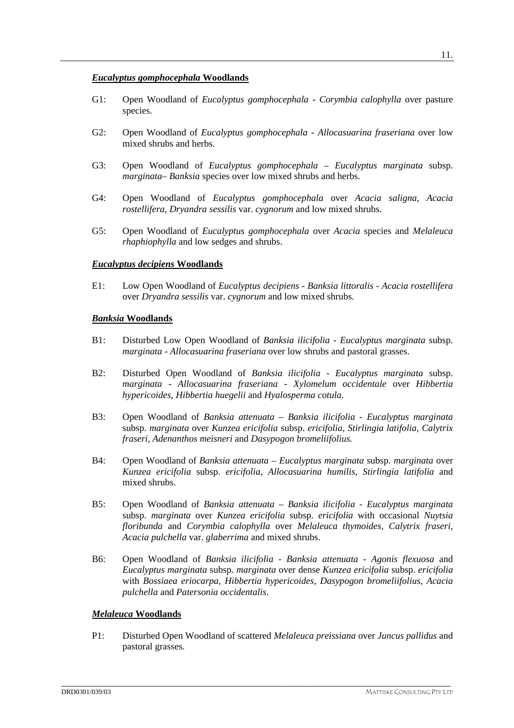- G1: Open Woodland of *Eucalyptus gomphocephala Corymbia calophylla* over pasture species.
- G2: Open Woodland of *Eucalyptus gomphocephala Allocasuarina fraseriana* over low mixed shrubs and herbs.
- G3: Open Woodland of *Eucalyptus gomphocephala Eucalyptus marginata* subsp. *marginata– Banksia* species over low mixed shrubs and herbs.
- G4: Open Woodland of *Eucalyptus gomphocephala* over *Acacia saligna, Acacia rostellifera, Dryandra sessilis* var. *cygnorum* and low mixed shrubs.
- G5: Open Woodland of *Eucalyptus gomphocephala* over *Acacia* species and *Melaleuca rhaphiophylla* and low sedges and shrubs.

#### *Eucalyptus decipiens* **Woodlands**

E1: Low Open Woodland of *Eucalyptus decipiens - Banksia littoralis - Acacia rostellifera* over *Dryandra sessilis* var. *cygnorum* and low mixed shrubs.

#### *Banksia* **Woodlands**

- B1: Disturbed Low Open Woodland of *Banksia ilicifolia Eucalyptus marginata* subsp. *marginata - Allocasuarina fraseriana* over low shrubs and pastoral grasses.
- B2: Disturbed Open Woodland of *Banksia ilicifolia - Eucalyptus marginata* subsp. *marginata - Allocasuarina fraseriana - Xylomelum occidentale* over *Hibbertia hypericoides, Hibbertia huegelii* and *Hyalosperma cotula.*
- B3: Open Woodland of *Banksia attenuata Banksia ilicifolia Eucalyptus marginata*  subsp. *marginata* over *Kunzea ericifolia* subsp. *ericifolia, Stirlingia latifolia, Calytrix fraseri, Adenanthos meisneri* and *Dasypogon bromeliifolius.*
- B4: Open Woodland of *Banksia attenuata Eucalyptus marginata* subsp. *marginata* over *Kunzea ericifolia* subsp. *ericifolia, Allocasuarina humilis, Stirlingia latifolia* and mixed shrubs.
- B5: Open Woodland of *Banksia attenuata Banksia ilicifolia Eucalyptus marginata*  subsp. *marginata* over *Kunzea ericifolia* subsp. *ericifolia* with occasional *Nuytsia floribunda* and *Corymbia calophylla* over *Melaleuca thymoides, Calytrix fraseri, Acacia pulchella* var. *glaberrima* and mixed shrubs.
- B6: Open Woodland of *Banksia ilicifolia Banksia attenuata* - *Agonis flexuosa* and *Eucalyptus marginata* subsp. *marginata* over dense *Kunzea ericifolia* subsp. *ericifolia* with *Bossiaea eriocarpa*, *Hibbertia hypericoides*, *Dasypogon bromeliifolius*, *Acacia pulchella* and *Patersonia occidentalis*.

#### *Melaleuca* **Woodlands**

P1: Disturbed Open Woodland of scattered *Melaleuca preissiana* over *Juncus pallidus* and pastoral grasses.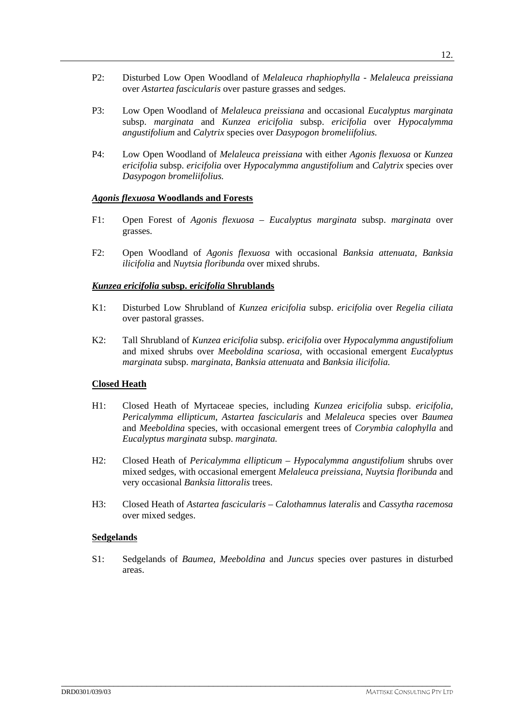- P2: Disturbed Low Open Woodland of *Melaleuca rhaphiophylla Melaleuca preissiana*  over *Astartea fascicularis* over pasture grasses and sedges.
- P3: Low Open Woodland of *Melaleuca preissiana* and occasional *Eucalyptus marginata* subsp. *marginata* and *Kunzea ericifolia* subsp. *ericifolia* over *Hypocalymma angustifolium* and *Calytrix* species over *Dasypogon bromeliifolius.*
- P4: Low Open Woodland of *Melaleuca preissiana* with either *Agonis flexuosa* or *Kunzea ericifolia* subsp. *ericifolia* over *Hypocalymma angustifolium* and *Calytrix* species over *Dasypogon bromeliifolius.*

## *Agonis flexuosa* **Woodlands and Forests**

- F1: Open Forest of *Agonis flexuosa Eucalyptus marginata* subsp. *marginata* over grasses.
- F2: Open Woodland of *Agonis flexuosa* with occasional *Banksia attenuata, Banksia ilicifolia* and *Nuytsia floribunda* over mixed shrubs.

## *Kunzea ericifolia* **subsp. e***ricifolia* **Shrublands**

- K1: Disturbed Low Shrubland of *Kunzea ericifolia* subsp. *ericifolia* over *Regelia ciliata*  over pastoral grasses.
- K2: Tall Shrubland of *Kunzea ericifolia* subsp. *ericifolia* over *Hypocalymma angustifolium*  and mixed shrubs over *Meeboldina scariosa,* with occasional emergent *Eucalyptus marginata* subsp. *marginata, Banksia attenuata* and *Banksia ilicifolia.*

# **Closed Heath**

- H1: Closed Heath of Myrtaceae species, including *Kunzea ericifolia* subsp. *ericifolia, Pericalymma ellipticum, Astartea fascicularis* and *Melaleuca* species over *Baumea* and *Meeboldina* species, with occasional emergent trees of *Corymbia calophylla* and *Eucalyptus marginata* subsp. *marginata.*
- H2: Closed Heath of *Pericalymma ellipticum Hypocalymma angustifolium* shrubs over mixed sedges, with occasional emergent *Melaleuca preissiana, Nuytsia floribunda* and very occasional *Banksia littoralis* trees.
- H3: Closed Heath of *Astartea fascicularis Calothamnus lateralis* and *Cassytha racemosa* over mixed sedges.

### **Sedgelands**

S1: Sedgelands of *Baumea, Meeboldina* and *Juncus* species over pastures in disturbed areas.

\_\_\_\_\_\_\_\_\_\_\_\_\_\_\_\_\_\_\_\_\_\_\_\_\_\_\_\_\_\_\_\_\_\_\_\_\_\_\_\_\_\_\_\_\_\_\_\_\_\_\_\_\_\_\_\_\_\_\_\_\_\_\_\_\_\_\_\_\_\_\_\_\_\_\_\_\_\_\_\_\_\_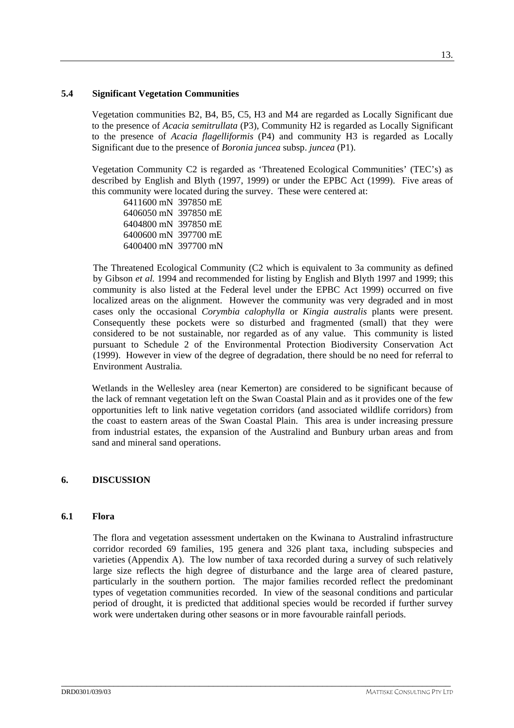### **5.4 Significant Vegetation Communities**

Vegetation communities B2, B4, B5, C5, H3 and M4 are regarded as Locally Significant due to the presence of *Acacia semitrullata* (P3), Community H2 is regarded as Locally Significant to the presence of *Acacia flagelliformis* (P4) and community H3 is regarded as Locally Significant due to the presence of *Boronia juncea* subsp. *juncea* (P1).

Vegetation Community C2 is regarded as 'Threatened Ecological Communities' (TEC's) as described by English and Blyth (1997, 1999) or under the EPBC Act (1999). Five areas of this community were located during the survey. These were centered at:

 6411600 mN 397850 mE 6406050 mN 397850 mE 6404800 mN 397850 mE 6400600 mN 397700 mE 6400400 mN 397700 mN

The Threatened Ecological Community (C2 which is equivalent to 3a community as defined by Gibson *et al.* 1994 and recommended for listing by English and Blyth 1997 and 1999; this community is also listed at the Federal level under the EPBC Act 1999) occurred on five localized areas on the alignment. However the community was very degraded and in most cases only the occasional *Corymbia calophylla* or *Kingia australis* plants were present. Consequently these pockets were so disturbed and fragmented (small) that they were considered to be not sustainable, nor regarded as of any value. This community is listed pursuant to Schedule 2 of the Environmental Protection Biodiversity Conservation Act (1999). However in view of the degree of degradation, there should be no need for referral to Environment Australia.

Wetlands in the Wellesley area (near Kemerton) are considered to be significant because of the lack of remnant vegetation left on the Swan Coastal Plain and as it provides one of the few opportunities left to link native vegetation corridors (and associated wildlife corridors) from the coast to eastern areas of the Swan Coastal Plain. This area is under increasing pressure from industrial estates, the expansion of the Australind and Bunbury urban areas and from sand and mineral sand operations.

# **6. DISCUSSION**

### **6.1 Flora**

The flora and vegetation assessment undertaken on the Kwinana to Australind infrastructure corridor recorded 69 families, 195 genera and 326 plant taxa, including subspecies and varieties (Appendix A). The low number of taxa recorded during a survey of such relatively large size reflects the high degree of disturbance and the large area of cleared pasture, particularly in the southern portion. The major families recorded reflect the predominant types of vegetation communities recorded. In view of the seasonal conditions and particular period of drought, it is predicted that additional species would be recorded if further survey work were undertaken during other seasons or in more favourable rainfall periods.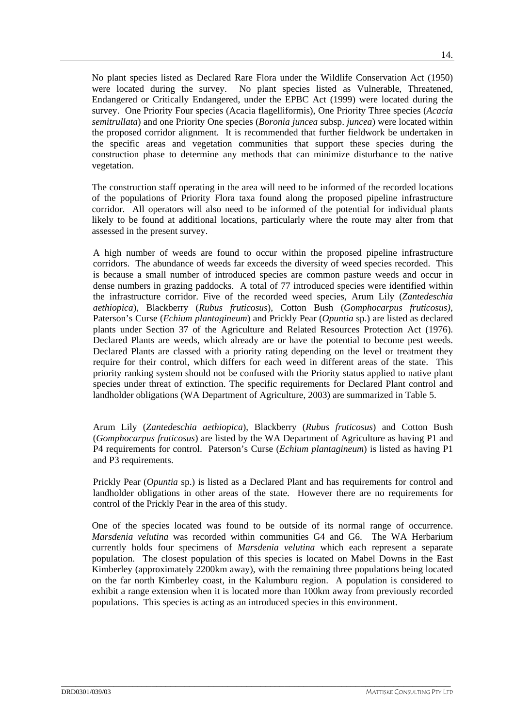No plant species listed as Declared Rare Flora under the Wildlife Conservation Act (1950) were located during the survey. No plant species listed as Vulnerable, Threatened, Endangered or Critically Endangered, under the EPBC Act (1999) were located during the survey. One Priority Four species (Acacia flagelliformis), One Priority Three species (*Acacia semitrullata*) and one Priority One species (*Boronia juncea* subsp. *juncea*) were located within the proposed corridor alignment. It is recommended that further fieldwork be undertaken in the specific areas and vegetation communities that support these species during the construction phase to determine any methods that can minimize disturbance to the native vegetation.

The construction staff operating in the area will need to be informed of the recorded locations of the populations of Priority Flora taxa found along the proposed pipeline infrastructure corridor. All operators will also need to be informed of the potential for individual plants likely to be found at additional locations, particularly where the route may alter from that assessed in the present survey.

A high number of weeds are found to occur within the proposed pipeline infrastructure corridors. The abundance of weeds far exceeds the diversity of weed species recorded. This is because a small number of introduced species are common pasture weeds and occur in dense numbers in grazing paddocks. A total of 77 introduced species were identified within the infrastructure corridor. Five of the recorded weed species, Arum Lily (*Zantedeschia aethiopica*), Blackberry (*Rubus fruticosus*), Cotton Bush (*Gomphocarpus fruticosus)*, Paterson's Curse (*Echium plantagineum*) and Prickly Pear (*Opuntia* sp.) are listed as declared plants under Section 37 of the Agriculture and Related Resources Protection Act (1976). Declared Plants are weeds, which already are or have the potential to become pest weeds. Declared Plants are classed with a priority rating depending on the level or treatment they require for their control, which differs for each weed in different areas of the state. This priority ranking system should not be confused with the Priority status applied to native plant species under threat of extinction. The specific requirements for Declared Plant control and landholder obligations (WA Department of Agriculture, 2003) are summarized in Table 5.

Arum Lily (*Zantedeschia aethiopica*), Blackberry (*Rubus fruticosus*) and Cotton Bush (*Gomphocarpus fruticosus*) are listed by the WA Department of Agriculture as having P1 and P4 requirements for control. Paterson's Curse (*Echium plantagineum*) is listed as having P1 and P3 requirements.

Prickly Pear (*Opuntia* sp.) is listed as a Declared Plant and has requirements for control and landholder obligations in other areas of the state. However there are no requirements for control of the Prickly Pear in the area of this study.

One of the species located was found to be outside of its normal range of occurrence. *Marsdenia velutina* was recorded within communities G4 and G6. The WA Herbarium currently holds four specimens of *Marsdenia velutina* which each represent a separate population. The closest population of this species is located on Mabel Downs in the East Kimberley (approximately 2200km away), with the remaining three populations being located on the far north Kimberley coast, in the Kalumburu region. A population is considered to exhibit a range extension when it is located more than 100km away from previously recorded populations. This species is acting as an introduced species in this environment.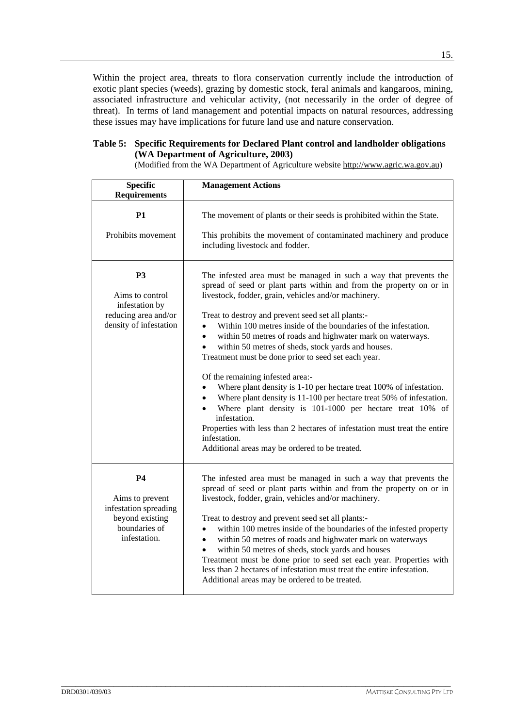Within the project area, threats to flora conservation currently include the introduction of exotic plant species (weeds), grazing by domestic stock, feral animals and kangaroos, mining, associated infrastructure and vehicular activity, (not necessarily in the order of degree of threat). In terms of land management and potential impacts on natural resources, addressing these issues may have implications for future land use and nature conservation.

### **Table 5: Specific Requirements for Declared Plant control and landholder obligations (WA Department of Agriculture, 2003)**

(Modified from the WA Department of Agriculture website http://www.agric.wa.gov.au)

| <b>Specific</b><br><b>Requirements</b>                                                                    | <b>Management Actions</b>                                                                                                                                                                                                                                                                                                                                                                                                                                                                                                                                                                                                                                                                                                                                                                                                                                                                                                                 |
|-----------------------------------------------------------------------------------------------------------|-------------------------------------------------------------------------------------------------------------------------------------------------------------------------------------------------------------------------------------------------------------------------------------------------------------------------------------------------------------------------------------------------------------------------------------------------------------------------------------------------------------------------------------------------------------------------------------------------------------------------------------------------------------------------------------------------------------------------------------------------------------------------------------------------------------------------------------------------------------------------------------------------------------------------------------------|
| <b>P1</b><br>Prohibits movement                                                                           | The movement of plants or their seeds is prohibited within the State.<br>This prohibits the movement of contaminated machinery and produce<br>including livestock and fodder.                                                                                                                                                                                                                                                                                                                                                                                                                                                                                                                                                                                                                                                                                                                                                             |
| <b>P3</b><br>Aims to control<br>infestation by<br>reducing area and/or<br>density of infestation          | The infested area must be managed in such a way that prevents the<br>spread of seed or plant parts within and from the property on or in<br>livestock, fodder, grain, vehicles and/or machinery.<br>Treat to destroy and prevent seed set all plants:-<br>Within 100 metres inside of the boundaries of the infestation.<br>within 50 metres of roads and highwater mark on waterways.<br>$\bullet$<br>within 50 metres of sheds, stock yards and houses.<br>$\bullet$<br>Treatment must be done prior to seed set each year.<br>Of the remaining infested area:-<br>Where plant density is 1-10 per hectare treat 100% of infestation.<br>Where plant density is 11-100 per hectare treat 50% of infestation.<br>Where plant density is 101-1000 per hectare treat 10% of<br>infestation.<br>Properties with less than 2 hectares of infestation must treat the entire<br>infestation.<br>Additional areas may be ordered to be treated. |
| <b>P4</b><br>Aims to prevent<br>infestation spreading<br>beyond existing<br>boundaries of<br>infestation. | The infested area must be managed in such a way that prevents the<br>spread of seed or plant parts within and from the property on or in<br>livestock, fodder, grain, vehicles and/or machinery.<br>Treat to destroy and prevent seed set all plants:-<br>within 100 metres inside of the boundaries of the infested property<br>within 50 metres of roads and highwater mark on waterways<br>$\bullet$<br>within 50 metres of sheds, stock yards and houses<br>$\bullet$<br>Treatment must be done prior to seed set each year. Properties with<br>less than 2 hectares of infestation must treat the entire infestation.<br>Additional areas may be ordered to be treated.                                                                                                                                                                                                                                                              |

\_\_\_\_\_\_\_\_\_\_\_\_\_\_\_\_\_\_\_\_\_\_\_\_\_\_\_\_\_\_\_\_\_\_\_\_\_\_\_\_\_\_\_\_\_\_\_\_\_\_\_\_\_\_\_\_\_\_\_\_\_\_\_\_\_\_\_\_\_\_\_\_\_\_\_\_\_\_\_\_\_\_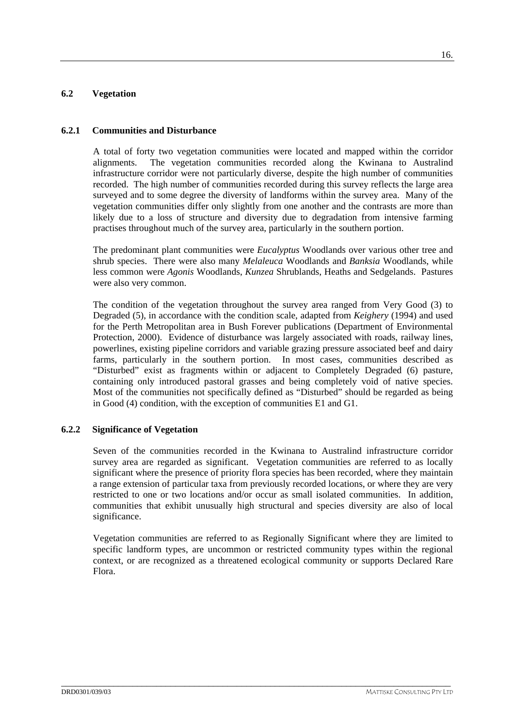# **6.2 Vegetation**

### **6.2.1 Communities and Disturbance**

A total of forty two vegetation communities were located and mapped within the corridor alignments. The vegetation communities recorded along the Kwinana to Australind infrastructure corridor were not particularly diverse, despite the high number of communities recorded. The high number of communities recorded during this survey reflects the large area surveyed and to some degree the diversity of landforms within the survey area. Many of the vegetation communities differ only slightly from one another and the contrasts are more than likely due to a loss of structure and diversity due to degradation from intensive farming practises throughout much of the survey area, particularly in the southern portion.

The predominant plant communities were *Eucalyptus* Woodlands over various other tree and shrub species. There were also many *Melaleuca* Woodlands and *Banksia* Woodlands, while less common were *Agonis* Woodlands, *Kunzea* Shrublands, Heaths and Sedgelands. Pastures were also very common.

The condition of the vegetation throughout the survey area ranged from Very Good (3) to Degraded (5), in accordance with the condition scale, adapted from *Keighery* (1994) and used for the Perth Metropolitan area in Bush Forever publications (Department of Environmental Protection, 2000). Evidence of disturbance was largely associated with roads, railway lines, powerlines, existing pipeline corridors and variable grazing pressure associated beef and dairy farms, particularly in the southern portion. In most cases, communities described as "Disturbed" exist as fragments within or adjacent to Completely Degraded (6) pasture, containing only introduced pastoral grasses and being completely void of native species. Most of the communities not specifically defined as "Disturbed" should be regarded as being in Good (4) condition, with the exception of communities E1 and G1.

### **6.2.2 Significance of Vegetation**

Seven of the communities recorded in the Kwinana to Australind infrastructure corridor survey area are regarded as significant. Vegetation communities are referred to as locally significant where the presence of priority flora species has been recorded, where they maintain a range extension of particular taxa from previously recorded locations, or where they are very restricted to one or two locations and/or occur as small isolated communities. In addition, communities that exhibit unusually high structural and species diversity are also of local significance.

Vegetation communities are referred to as Regionally Significant where they are limited to specific landform types, are uncommon or restricted community types within the regional context, or are recognized as a threatened ecological community or supports Declared Rare Flora.

\_\_\_\_\_\_\_\_\_\_\_\_\_\_\_\_\_\_\_\_\_\_\_\_\_\_\_\_\_\_\_\_\_\_\_\_\_\_\_\_\_\_\_\_\_\_\_\_\_\_\_\_\_\_\_\_\_\_\_\_\_\_\_\_\_\_\_\_\_\_\_\_\_\_\_\_\_\_\_\_\_\_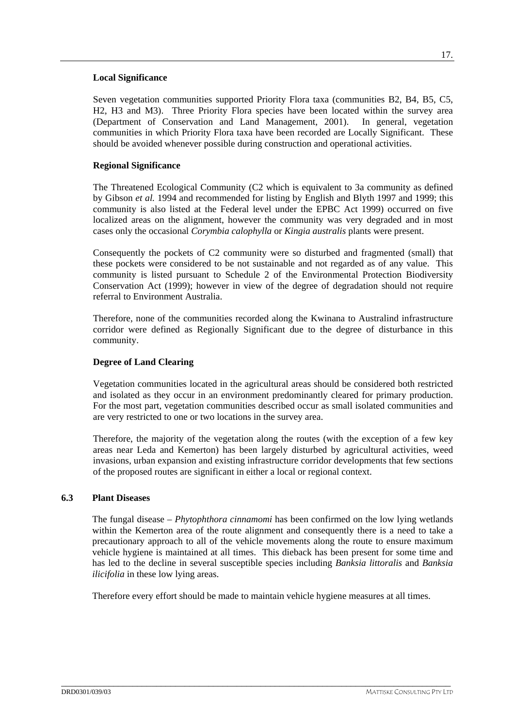### **Local Significance**

Seven vegetation communities supported Priority Flora taxa (communities B2, B4, B5, C5, H2, H3 and M3). Three Priority Flora species have been located within the survey area (Department of Conservation and Land Management, 2001). In general, vegetation communities in which Priority Flora taxa have been recorded are Locally Significant. These should be avoided whenever possible during construction and operational activities.

# **Regional Significance**

The Threatened Ecological Community (C2 which is equivalent to 3a community as defined by Gibson *et al.* 1994 and recommended for listing by English and Blyth 1997 and 1999; this community is also listed at the Federal level under the EPBC Act 1999) occurred on five localized areas on the alignment, however the community was very degraded and in most cases only the occasional *Corymbia calophylla* or *Kingia australis* plants were present.

Consequently the pockets of C2 community were so disturbed and fragmented (small) that these pockets were considered to be not sustainable and not regarded as of any value. This community is listed pursuant to Schedule 2 of the Environmental Protection Biodiversity Conservation Act (1999); however in view of the degree of degradation should not require referral to Environment Australia.

Therefore, none of the communities recorded along the Kwinana to Australind infrastructure corridor were defined as Regionally Significant due to the degree of disturbance in this community.

# **Degree of Land Clearing**

Vegetation communities located in the agricultural areas should be considered both restricted and isolated as they occur in an environment predominantly cleared for primary production. For the most part, vegetation communities described occur as small isolated communities and are very restricted to one or two locations in the survey area.

Therefore, the majority of the vegetation along the routes (with the exception of a few key areas near Leda and Kemerton) has been largely disturbed by agricultural activities, weed invasions, urban expansion and existing infrastructure corridor developments that few sections of the proposed routes are significant in either a local or regional context.

# **6.3 Plant Diseases**

The fungal disease – *Phytophthora cinnamomi* has been confirmed on the low lying wetlands within the Kemerton area of the route alignment and consequently there is a need to take a precautionary approach to all of the vehicle movements along the route to ensure maximum vehicle hygiene is maintained at all times. This dieback has been present for some time and has led to the decline in several susceptible species including *Banksia littoralis* and *Banksia ilicifolia* in these low lying areas.

Therefore every effort should be made to maintain vehicle hygiene measures at all times.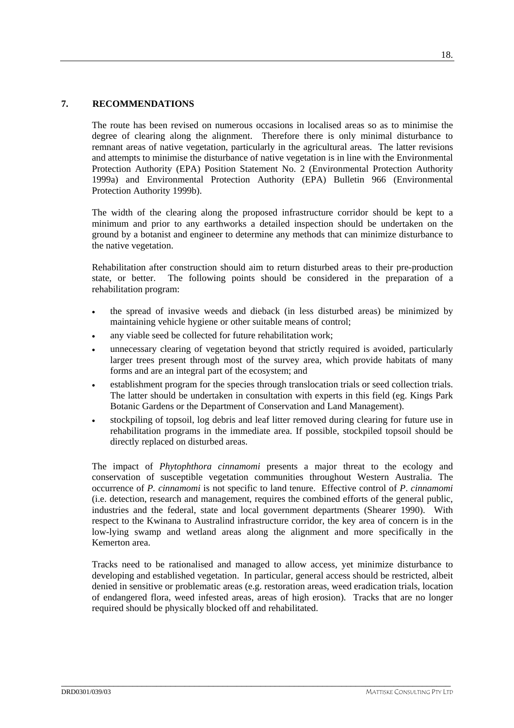# **7. RECOMMENDATIONS**

The route has been revised on numerous occasions in localised areas so as to minimise the degree of clearing along the alignment. Therefore there is only minimal disturbance to remnant areas of native vegetation, particularly in the agricultural areas. The latter revisions and attempts to minimise the disturbance of native vegetation is in line with the Environmental Protection Authority (EPA) Position Statement No. 2 (Environmental Protection Authority 1999a) and Environmental Protection Authority (EPA) Bulletin 966 (Environmental Protection Authority 1999b).

The width of the clearing along the proposed infrastructure corridor should be kept to a minimum and prior to any earthworks a detailed inspection should be undertaken on the ground by a botanist and engineer to determine any methods that can minimize disturbance to the native vegetation.

Rehabilitation after construction should aim to return disturbed areas to their pre-production state, or better. The following points should be considered in the preparation of a rehabilitation program:

- the spread of invasive weeds and dieback (in less disturbed areas) be minimized by maintaining vehicle hygiene or other suitable means of control;
- any viable seed be collected for future rehabilitation work;
- unnecessary clearing of vegetation beyond that strictly required is avoided, particularly larger trees present through most of the survey area, which provide habitats of many forms and are an integral part of the ecosystem; and
- establishment program for the species through translocation trials or seed collection trials. The latter should be undertaken in consultation with experts in this field (eg. Kings Park Botanic Gardens or the Department of Conservation and Land Management).
- stockpiling of topsoil, log debris and leaf litter removed during clearing for future use in rehabilitation programs in the immediate area. If possible, stockpiled topsoil should be directly replaced on disturbed areas.

The impact of *Phytophthora cinnamomi* presents a major threat to the ecology and conservation of susceptible vegetation communities throughout Western Australia. The occurrence of *P. cinnamomi* is not specific to land tenure. Effective control of *P*. *cinnamomi* (i.e. detection, research and management, requires the combined efforts of the general public, industries and the federal, state and local government departments (Shearer 1990). With respect to the Kwinana to Australind infrastructure corridor, the key area of concern is in the low-lying swamp and wetland areas along the alignment and more specifically in the Kemerton area.

Tracks need to be rationalised and managed to allow access, yet minimize disturbance to developing and established vegetation. In particular, general access should be restricted, albeit denied in sensitive or problematic areas (e.g. restoration areas, weed eradication trials, location of endangered flora, weed infested areas, areas of high erosion). Tracks that are no longer required should be physically blocked off and rehabilitated.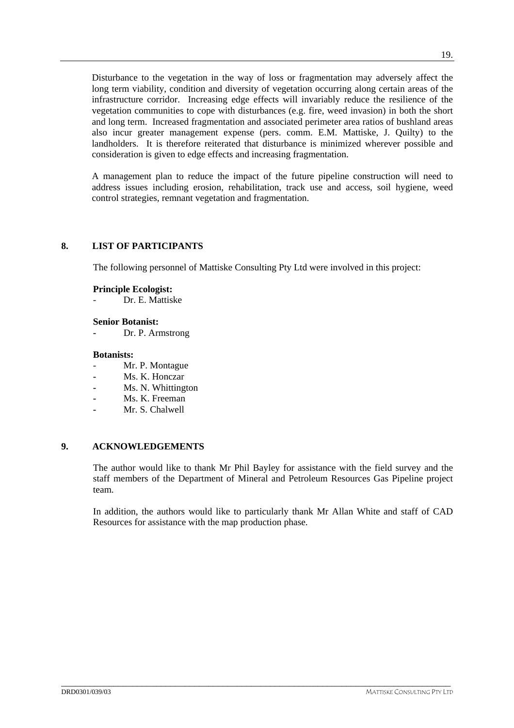Disturbance to the vegetation in the way of loss or fragmentation may adversely affect the long term viability, condition and diversity of vegetation occurring along certain areas of the infrastructure corridor. Increasing edge effects will invariably reduce the resilience of the vegetation communities to cope with disturbances (e.g. fire, weed invasion) in both the short and long term. Increased fragmentation and associated perimeter area ratios of bushland areas also incur greater management expense (pers. comm. E.M. Mattiske, J. Quilty) to the landholders. It is therefore reiterated that disturbance is minimized wherever possible and consideration is given to edge effects and increasing fragmentation.

A management plan to reduce the impact of the future pipeline construction will need to address issues including erosion, rehabilitation, track use and access, soil hygiene, weed control strategies, remnant vegetation and fragmentation.

# **8. LIST OF PARTICIPANTS**

The following personnel of Mattiske Consulting Pty Ltd were involved in this project:

#### **Principle Ecologist:**

Dr. E. Mattiske

#### **Senior Botanist:**

**-** Dr. P. Armstrong

#### **Botanists:**

- Mr. P. Montague
- **-** Ms. K. Honczar
- **-** Ms. N. Whittington
- **-** Ms. K. Freeman
- **-** Mr. S. Chalwell

### **9. ACKNOWLEDGEMENTS**

The author would like to thank Mr Phil Bayley for assistance with the field survey and the staff members of the Department of Mineral and Petroleum Resources Gas Pipeline project team.

In addition, the authors would like to particularly thank Mr Allan White and staff of CAD Resources for assistance with the map production phase.

\_\_\_\_\_\_\_\_\_\_\_\_\_\_\_\_\_\_\_\_\_\_\_\_\_\_\_\_\_\_\_\_\_\_\_\_\_\_\_\_\_\_\_\_\_\_\_\_\_\_\_\_\_\_\_\_\_\_\_\_\_\_\_\_\_\_\_\_\_\_\_\_\_\_\_\_\_\_\_\_\_\_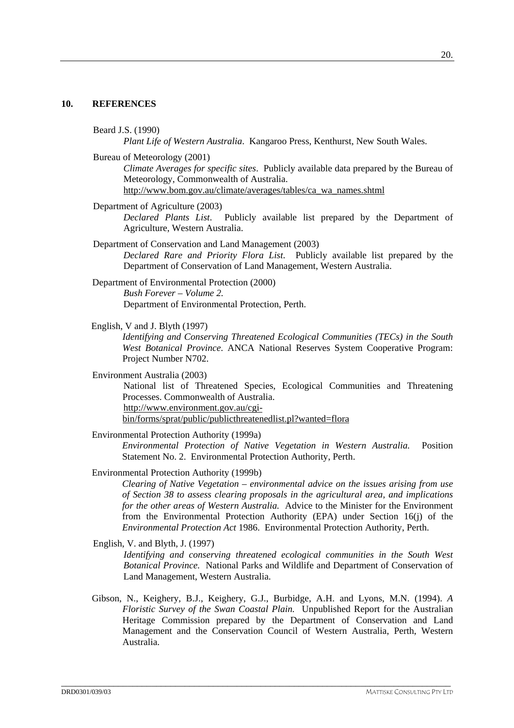#### **10. REFERENCES**

Beard J.S. (1990)

*Plant Life of Western Australia*. Kangaroo Press, Kenthurst, New South Wales.

Bureau of Meteorology (2001)

*Climate Averages for specific sites*. Publicly available data prepared by the Bureau of Meteorology, Commonwealth of Australia.

http://www.bom.gov.au/climate/averages/tables/ca\_wa\_names.shtml

Department of Agriculture (2003)

*Declared Plants List*. Publicly available list prepared by the Department of Agriculture, Western Australia.

Department of Conservation and Land Management (2003) *Declared Rare and Priority Flora List*. Publicly available list prepared by the Department of Conservation of Land Management, Western Australia.

Department of Environmental Protection (2000) *Bush Forever – Volume 2.*  Department of Environmental Protection, Perth.

English, V and J. Blyth (1997)

*Identifying and Conserving Threatened Ecological Communities (TECs) in the South West Botanical Province*. ANCA National Reserves System Cooperative Program: Project Number N702.

Environment Australia (2003)

National list of Threatened Species, Ecological Communities and Threatening Processes. Commonwealth of Australia.

http://www.environment.gov.au/cgi-

bin/forms/sprat/public/publicthreatenedlist.pl?wanted=flora

Environmental Protection Authority (1999a)

*Environmental Protection of Native Vegetation in Western Australia.* Position Statement No. 2. Environmental Protection Authority, Perth.

Environmental Protection Authority (1999b)

*Clearing of Native Vegetation – environmental advice on the issues arising from use of Section 38 to assess clearing proposals in the agricultural area, and implications for the other areas of Western Australia.* Advice to the Minister for the Environment from the Environmental Protection Authority (EPA) under Section 16(j) of the *Environmental Protection Act* 1986. Environmental Protection Authority, Perth.

English, V. and Blyth, J. (1997)

*Identifying and conserving threatened ecological communities in the South West Botanical Province.* National Parks and Wildlife and Department of Conservation of Land Management, Western Australia.

Gibson, N., Keighery, B.J., Keighery, G.J., Burbidge, A.H. and Lyons, M.N. (1994). *A Floristic Survey of the Swan Coastal Plain.* Unpublished Report for the Australian Heritage Commission prepared by the Department of Conservation and Land Management and the Conservation Council of Western Australia, Perth, Western Australia.

\_\_\_\_\_\_\_\_\_\_\_\_\_\_\_\_\_\_\_\_\_\_\_\_\_\_\_\_\_\_\_\_\_\_\_\_\_\_\_\_\_\_\_\_\_\_\_\_\_\_\_\_\_\_\_\_\_\_\_\_\_\_\_\_\_\_\_\_\_\_\_\_\_\_\_\_\_\_\_\_\_\_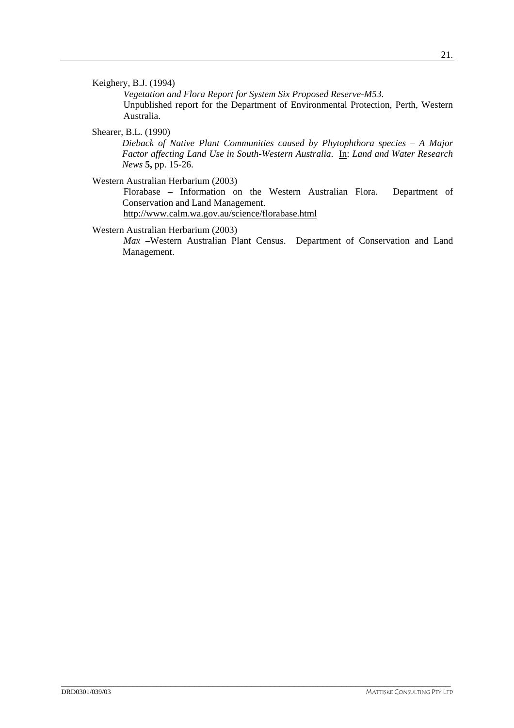## Keighery, B.J. (1994)

*Vegetation and Flora Report for System Six Proposed Reserve-M53.*  Unpublished report for the Department of Environmental Protection, Perth, Western Australia.

Shearer, B.L. (1990)

*Dieback of Native Plant Communities caused by Phytophthora species – A Major Factor affecting Land Use in South-Western Australia*. In: *Land and Water Research News* **5,** pp. 15-26.

Western Australian Herbarium (2003)

Florabase – Information on the Western Australian Flora. Department of Conservation and Land Management. http://www.calm.wa.gov.au/science/florabase.html

Western Australian Herbarium (2003)

*Max* –Western Australian Plant Census. Department of Conservation and Land Management.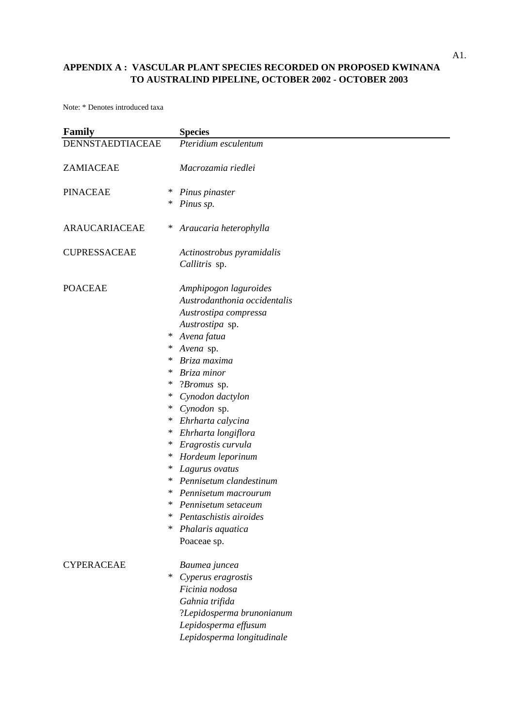| <b>Family</b>       | <b>Species</b>                    |
|---------------------|-----------------------------------|
| DENNSTAEDTIACEAE    | Pteridium esculentum              |
| ZAMIACEAE           | Macrozamia riedlei                |
| <b>PINACEAE</b>     | ∗<br>Pinus pinaster               |
|                     | ∗<br>Pinus sp.                    |
| ARAUCARIACEAE       | Araucaria heterophylla<br>$*$     |
| <b>CUPRESSACEAE</b> | Actinostrobus pyramidalis         |
|                     | Callitris sp.                     |
| <b>POACEAE</b>      | Amphipogon laguroides             |
|                     | Austrodanthonia occidentalis      |
|                     | Austrostipa compressa             |
|                     | Austrostipa sp.                   |
|                     | Avena fatua<br>∗                  |
|                     | Avena sp.<br>$\ast$               |
|                     | Briza maxima<br>∗                 |
|                     | Briza minor<br>∗                  |
|                     | ∗<br>? <i>Bromus</i> sp.          |
|                     | Cynodon dactylon<br>∗             |
|                     | Cynodon sp.<br>$\ast$             |
|                     | Ehrharta calycina<br>∗            |
|                     | Ehrharta longiflora<br>∗          |
|                     | Eragrostis curvula<br>∗           |
|                     | Hordeum leporinum<br>∗            |
|                     | ∗<br>Lagurus ovatus               |
|                     | Pennisetum clandestinum<br>$\ast$ |
|                     | ∗<br>Pennisetum macrourum         |
|                     | ∗<br>Pennisetum setaceum          |
|                     | Pentaschistis airoides<br>∗       |
|                     | ∗<br>Phalaris aquatica            |
|                     | Poaceae sp.                       |
| <b>CYPERACEAE</b>   | Baumea juncea                     |
|                     | ∗<br>Cyperus eragrostis           |
|                     | Ficinia nodosa                    |
|                     | Gahnia trifida                    |
|                     | ?Lepidosperma brunonianum         |
|                     | Lepidosperma effusum              |
|                     | Lepidosperma longitudinale        |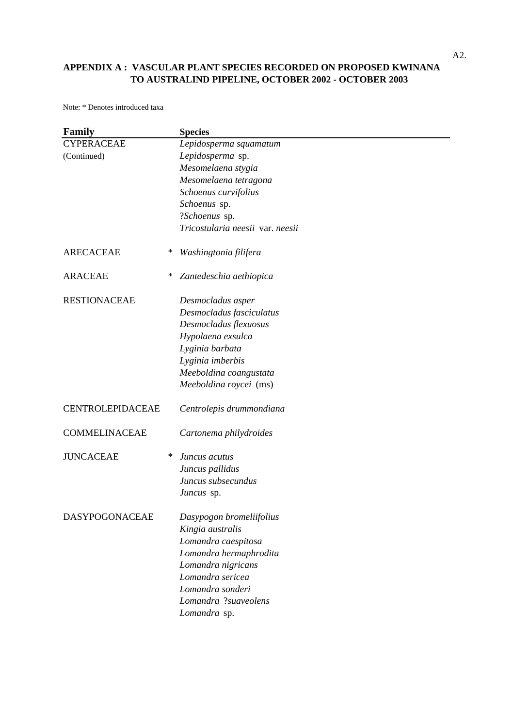| <b>Family</b>           |   | <b>Species</b>                   |
|-------------------------|---|----------------------------------|
| <b>CYPERACEAE</b>       |   | Lepidosperma squamatum           |
| (Continued)             |   | Lepidosperma sp.                 |
|                         |   | Mesomelaena stygia               |
|                         |   | Mesomelaena tetragona            |
|                         |   | Schoenus curvifolius             |
|                         |   | Schoenus sp.                     |
|                         |   | ?Schoenus sp.                    |
|                         |   | Tricostularia neesii var. neesii |
| <b>ARECACEAE</b>        | ∗ | Washingtonia filifera            |
| <b>ARACEAE</b>          | ∗ | Zantedeschia aethiopica          |
| <b>RESTIONACEAE</b>     |   | Desmocladus asper                |
|                         |   | Desmocladus fasciculatus         |
|                         |   | Desmocladus flexuosus            |
|                         |   | Hypolaena exsulca                |
|                         |   | Lyginia barbata                  |
|                         |   | Lyginia imberbis                 |
|                         |   | Meeboldina coangustata           |
|                         |   | Meeboldina roycei (ms)           |
| <b>CENTROLEPIDACEAE</b> |   | Centrolepis drummondiana         |
| <b>COMMELINACEAE</b>    |   | Cartonema philydroides           |
| <b>JUNCACEAE</b>        | ∗ | Juncus acutus                    |
|                         |   | Juncus pallidus                  |
|                         |   | Juncus subsecundus               |
|                         |   | Juncus sp.                       |
| <b>DASYPOGONACEAE</b>   |   | Dasypogon bromeliifolius         |
|                         |   | Kingia australis                 |
|                         |   | Lomandra caespitosa              |
|                         |   | Lomandra hermaphrodita           |
|                         |   | Lomandra nigricans               |
|                         |   | Lomandra sericea                 |
|                         |   | Lomandra sonderi                 |
|                         |   | Lomandra ?suaveolens             |
|                         |   | Lomandra sp.                     |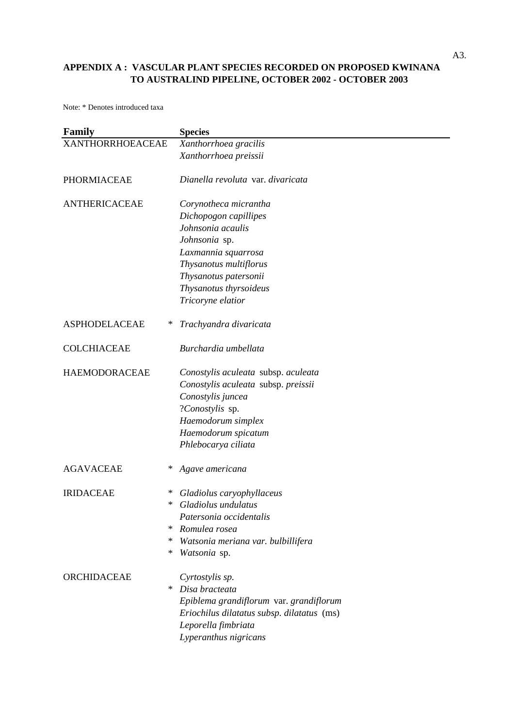| <b>Family</b>             | <b>Species</b>                                |
|---------------------------|-----------------------------------------------|
| <b>XANTHORRHOEACEAE</b>   | Xanthorrhoea gracilis                         |
|                           | Xanthorrhoea preissii                         |
| <b>PHORMIACEAE</b>        | Dianella revoluta var. divaricata             |
| <b>ANTHERICACEAE</b>      | Corynotheca micrantha                         |
|                           | Dichopogon capillipes<br>Johnsonia acaulis    |
|                           |                                               |
|                           | Johnsonia sp.                                 |
|                           | Laxmannia squarrosa<br>Thysanotus multiflorus |
|                           | Thysanotus patersonii                         |
|                           | Thysanotus thyrsoideus                        |
|                           | Tricoryne elatior                             |
| <b>ASPHODELACEAE</b><br>∗ | Trachyandra divaricata                        |
|                           |                                               |
| <b>COLCHIACEAE</b>        | Burchardia umbellata                          |
| <b>HAEMODORACEAE</b>      | Conostylis aculeata subsp. aculeata           |
|                           | Conostylis aculeata subsp. preissii           |
|                           | Conostylis juncea                             |
|                           | ?Conostylis sp.                               |
|                           | Haemodorum simplex                            |
|                           | Haemodorum spicatum                           |
|                           | Phlebocarya ciliata                           |
| <b>AGAVACEAE</b><br>∗     | Agave americana                               |
| <b>IRIDACEAE</b><br>∗     | Gladiolus caryophyllaceus                     |
| ∗                         | Gladiolus undulatus                           |
|                           | Patersonia occidentalis                       |
| ∗                         | Romulea rosea                                 |
| ∗                         | Watsonia meriana var. bulbillifera            |
| ∗                         | Watsonia sp.                                  |
| ORCHIDACEAE               | Cyrtostylis sp.                               |
| ∗                         | Disa bracteata                                |
|                           | Epiblema grandiflorum var. grandiflorum       |
|                           | Eriochilus dilatatus subsp. dilatatus (ms)    |
|                           | Leporella fimbriata                           |
|                           | Lyperanthus nigricans                         |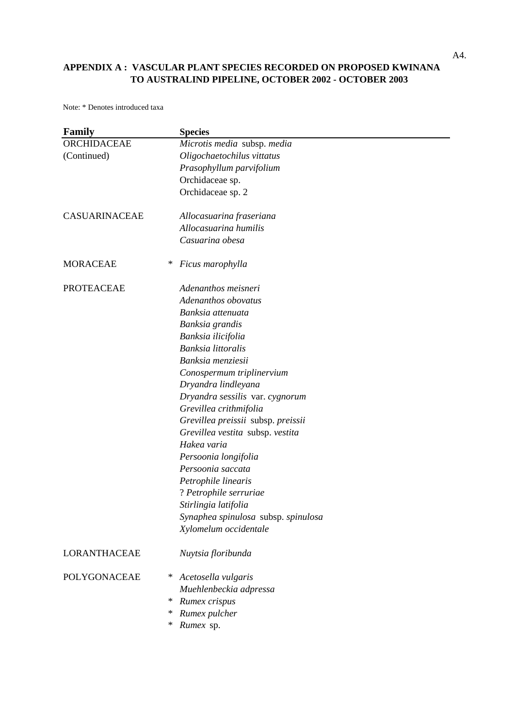| Family              | <b>Species</b>                      |
|---------------------|-------------------------------------|
| ORCHIDACEAE         | Microtis media subsp. media         |
| (Continued)         | Oligochaetochilus vittatus          |
|                     | Prasophyllum parvifolium            |
|                     | Orchidaceae sp.                     |
|                     | Orchidaceae sp. 2                   |
| CASUARINACEAE       | Allocasuarina fraseriana            |
|                     | Allocasuarina humilis               |
|                     | Casuarina obesa                     |
| <b>MORACEAE</b>     | ∗<br>Ficus marophylla               |
| <b>PROTEACEAE</b>   | Adenanthos meisneri                 |
|                     | Adenanthos obovatus                 |
|                     | Banksia attenuata                   |
|                     | Banksia grandis                     |
|                     | Banksia ilicifolia                  |
|                     | Banksia littoralis                  |
|                     | Banksia menziesii                   |
|                     | Conospermum triplinervium           |
|                     | Dryandra lindleyana                 |
|                     | Dryandra sessilis var. cygnorum     |
|                     | Grevillea crithmifolia              |
|                     | Grevillea preissii subsp. preissii  |
|                     | Grevillea vestita subsp. vestita    |
|                     | Hakea varia                         |
|                     | Persoonia longifolia                |
|                     | Persoonia saccata                   |
|                     | Petrophile linearis                 |
|                     | ? Petrophile serruriae              |
|                     | Stirlingia latifolia                |
|                     | Synaphea spinulosa subsp. spinulosa |
|                     | Xylomelum occidentale               |
| <b>LORANTHACEAE</b> | Nuytsia floribunda                  |
| <b>POLYGONACEAE</b> | Acetosella vulgaris<br>∗            |
|                     | Muehlenbeckia adpressa              |
|                     | Rumex crispus<br>∗                  |
|                     | Rumex pulcher<br>∗                  |
|                     | Rumex sp.<br>∗                      |
|                     |                                     |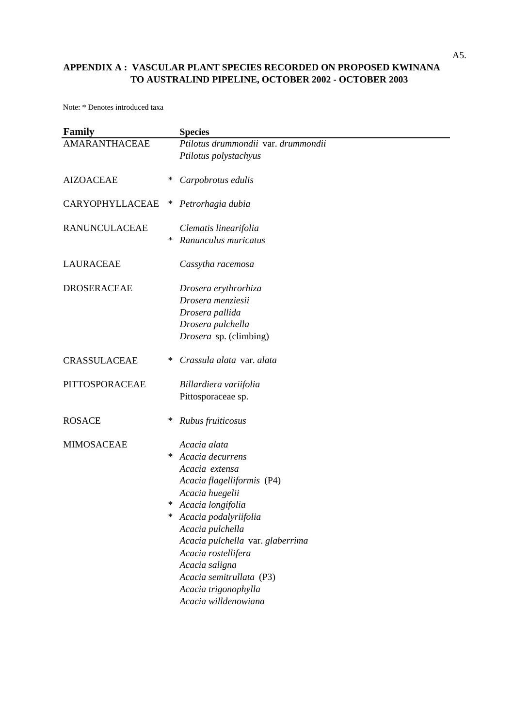| <b>Family</b>        |        | <b>Species</b>                             |
|----------------------|--------|--------------------------------------------|
| <b>AMARANTHACEAE</b> |        | Ptilotus drummondii var. drummondii        |
|                      |        | Ptilotus polystachyus                      |
| <b>AIZOACEAE</b>     | ∗      | Carpobrotus edulis                         |
| CARYOPHYLLACEAE      | $\ast$ | Petrorhagia dubia                          |
| <b>RANUNCULACEAE</b> |        | Clematis linearifolia                      |
|                      | ∗      | Ranunculus muricatus                       |
| <b>LAURACEAE</b>     |        | Cassytha racemosa                          |
| <b>DROSERACEAE</b>   |        | Drosera erythrorhiza                       |
|                      |        | Drosera menziesii                          |
|                      |        | Drosera pallida                            |
|                      |        | Drosera pulchella                          |
|                      |        | Drosera sp. (climbing)                     |
| <b>CRASSULACEAE</b>  | ∗      | Crassula alata var. alata                  |
| PITTOSPORACEAE       |        | Billardiera variifolia                     |
|                      |        | Pittosporaceae sp.                         |
| <b>ROSACE</b>        | ∗      | Rubus fruiticosus                          |
| <b>MIMOSACEAE</b>    |        | Acacia alata                               |
|                      | ∗      | Acacia decurrens                           |
|                      |        | Acacia extensa                             |
|                      |        | Acacia flagelliformis (P4)                 |
|                      |        | Acacia huegelii                            |
|                      | ∗      | Acacia longifolia                          |
|                      | ∗      | Acacia podalyriifolia                      |
|                      |        | Acacia pulchella                           |
|                      |        | Acacia pulchella var. glaberrima           |
|                      |        | Acacia rostellifera                        |
|                      |        | Acacia saligna<br>Acacia semitrullata (P3) |
|                      |        | Acacia trigonophylla                       |
|                      |        | Acacia willdenowiana                       |
|                      |        |                                            |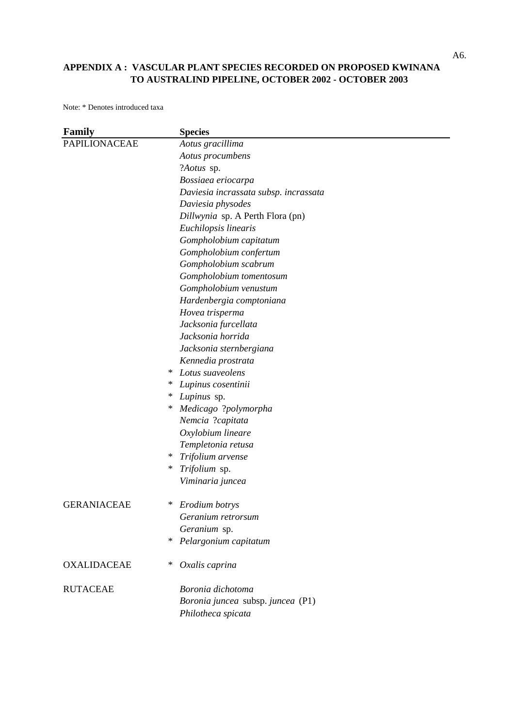| <b>Family</b>        | <b>Species</b>                        |
|----------------------|---------------------------------------|
| <b>PAPILIONACEAE</b> | Aotus gracillima                      |
|                      | Aotus procumbens                      |
|                      | ?Aotus sp.                            |
|                      | Bossiaea eriocarpa                    |
|                      | Daviesia incrassata subsp. incrassata |
|                      | Daviesia physodes                     |
|                      | Dillwynia sp. A Perth Flora (pn)      |
|                      | Euchilopsis linearis                  |
|                      | Gompholobium capitatum                |
|                      | Gompholobium confertum                |
|                      | Gompholobium scabrum                  |
|                      | Gompholobium tomentosum               |
|                      | Gompholobium venustum                 |
|                      | Hardenbergia comptoniana              |
|                      | Hovea trisperma                       |
|                      | Jacksonia furcellata                  |
|                      | Jacksonia horrida                     |
|                      | Jacksonia sternbergiana               |
|                      | Kennedia prostrata                    |
|                      | Lotus suaveolens<br>∗                 |
|                      | ∗<br>Lupinus cosentinii               |
|                      | Lupinus sp.<br>∗                      |
|                      | ∗<br>Medicago ?polymorpha             |
|                      | Nemcia ?capitata                      |
|                      | Oxylobium lineare                     |
|                      | Templetonia retusa                    |
|                      | ∗<br>Trifolium arvense                |
|                      | Trifolium sp.<br>$\ast$               |
|                      | Viminaria juncea                      |
| <b>GERANIACEAE</b>   | ∗<br>Erodium botrys                   |
|                      | Geranium retrorsum                    |
|                      | Geranium sp.                          |
|                      | ∗<br>Pelargonium capitatum            |
| <b>OXALIDACEAE</b>   | *<br>Oxalis caprina                   |
| <b>RUTACEAE</b>      | Boronia dichotoma                     |
|                      | Boronia juncea subsp. juncea (P1)     |
|                      | Philotheca spicata                    |
|                      |                                       |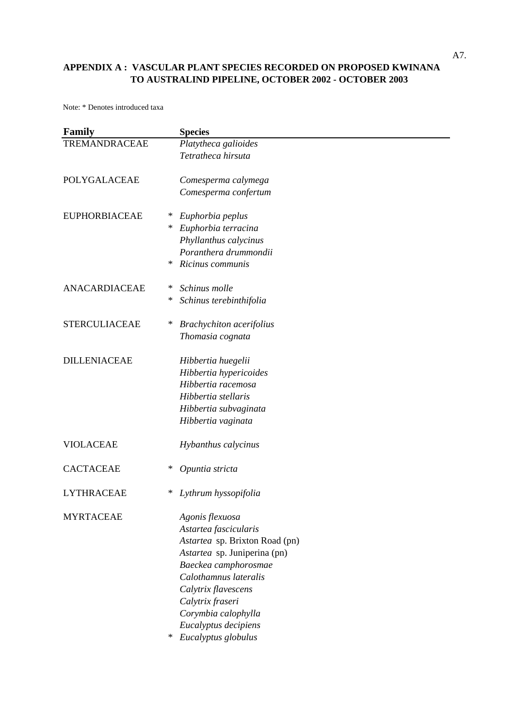| <b>Family</b>        | <b>Species</b>                       |
|----------------------|--------------------------------------|
| TREMANDRACEAE        | Platytheca galioides                 |
|                      | Tetratheca hirsuta                   |
| POLYGALACEAE         | Comesperma calymega                  |
|                      | Comesperma confertum                 |
| <b>EUPHORBIACEAE</b> | ∗<br>Euphorbia peplus                |
|                      | Euphorbia terracina<br>∗             |
|                      | Phyllanthus calycinus                |
|                      | Poranthera drummondii                |
|                      | Ricinus communis<br>∗                |
| ANACARDIACEAE        | Schinus molle<br>∗                   |
|                      | Schinus terebinthifolia<br>∗         |
| <b>STERCULIACEAE</b> | ∗<br><b>Brachychiton</b> acerifolius |
|                      | Thomasia cognata                     |
| <b>DILLENIACEAE</b>  | Hibbertia huegelii                   |
|                      | Hibbertia hypericoides               |
|                      | Hibbertia racemosa                   |
|                      | Hibbertia stellaris                  |
|                      | Hibbertia subvaginata                |
|                      | Hibbertia vaginata                   |
| <b>VIOLACEAE</b>     | Hybanthus calycinus                  |
| <b>CACTACEAE</b>     | ∗<br>Opuntia stricta                 |
| <b>LYTHRACEAE</b>    | ∗<br>Lythrum hyssopifolia            |
| <b>MYRTACEAE</b>     | Agonis flexuosa                      |
|                      | Astartea fascicularis                |
|                      | Astartea sp. Brixton Road (pn)       |
|                      | Astartea sp. Juniperina (pn)         |
|                      | Baeckea camphorosmae                 |
|                      | Calothamnus lateralis                |
|                      | Calytrix flavescens                  |
|                      | Calytrix fraseri                     |
|                      | Corymbia calophylla                  |
|                      | Eucalyptus decipiens                 |
|                      | ∗<br>Eucalyptus globulus             |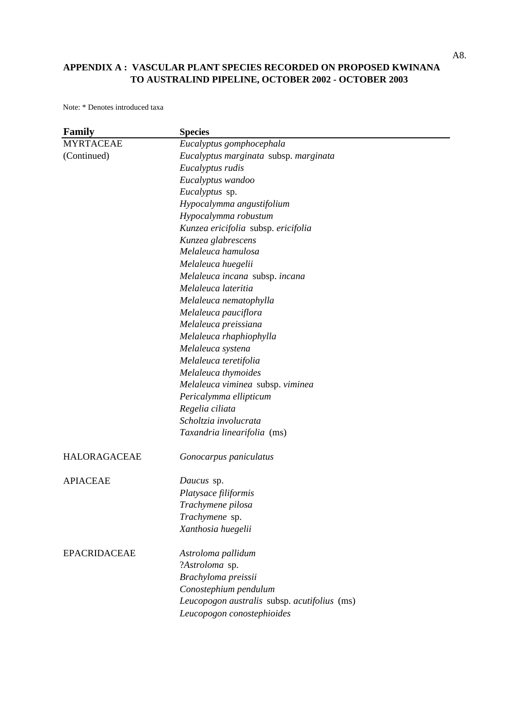| Family              | <b>Species</b>                               |
|---------------------|----------------------------------------------|
| <b>MYRTACEAE</b>    | Eucalyptus gomphocephala                     |
| (Continued)         | Eucalyptus marginata subsp. marginata        |
|                     | Eucalyptus rudis                             |
|                     | Eucalyptus wandoo                            |
|                     | Eucalyptus sp.                               |
|                     | Hypocalymma angustifolium                    |
|                     | Hypocalymma robustum                         |
|                     | Kunzea ericifolia subsp. ericifolia          |
|                     | Kunzea glabrescens                           |
|                     | Melaleuca hamulosa                           |
|                     | Melaleuca huegelii                           |
|                     | Melaleuca incana subsp. incana               |
|                     | Melaleuca lateritia                          |
|                     | Melaleuca nematophylla                       |
|                     | Melaleuca pauciflora                         |
|                     | Melaleuca preissiana                         |
|                     | Melaleuca rhaphiophylla                      |
|                     | Melaleuca systena                            |
|                     | Melaleuca teretifolia                        |
|                     | Melaleuca thymoides                          |
|                     | Melaleuca viminea subsp. viminea             |
|                     | Pericalymma ellipticum                       |
|                     | Regelia ciliata                              |
|                     | Scholtzia involucrata                        |
|                     | Taxandria linearifolia (ms)                  |
| <b>HALORAGACEAE</b> | Gonocarpus paniculatus                       |
| <b>APIACEAE</b>     | Daucus sp.                                   |
|                     | Platysace filiformis                         |
|                     | Trachymene pilosa                            |
|                     | Trachymene sp.                               |
|                     | Xanthosia huegelii                           |
| <b>EPACRIDACEAE</b> | Astroloma pallidum                           |
|                     | ?Astroloma sp.                               |
|                     | Brachyloma preissii                          |
|                     | Conostephium pendulum                        |
|                     | Leucopogon australis subsp. acutifolius (ms) |
|                     | Leucopogon conostephioides                   |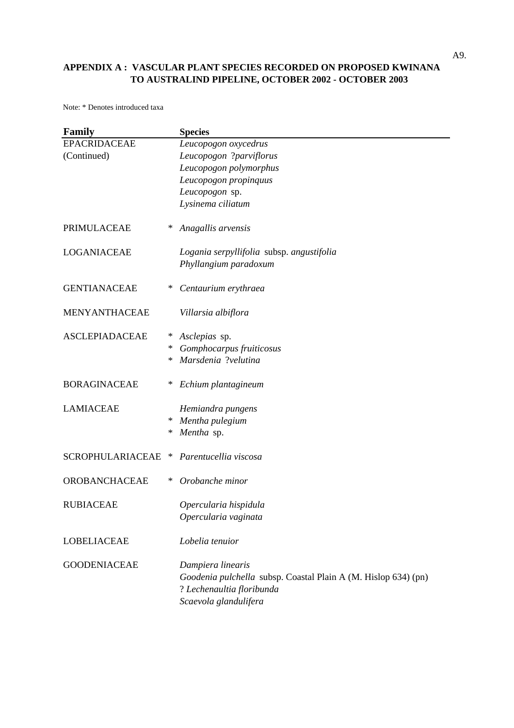| Family                  |        | <b>Species</b>                                                                              |
|-------------------------|--------|---------------------------------------------------------------------------------------------|
| <b>EPACRIDACEAE</b>     |        | Leucopogon oxycedrus                                                                        |
| (Continued)             |        | Leucopogon ?parviflorus                                                                     |
|                         |        | Leucopogon polymorphus                                                                      |
|                         |        | Leucopogon propinquus                                                                       |
|                         |        | Leucopogon sp.                                                                              |
|                         |        | Lysinema ciliatum                                                                           |
| PRIMULACEAE             | ∗      | Anagallis arvensis                                                                          |
| <b>LOGANIACEAE</b>      |        | Logania serpyllifolia subsp. angustifolia                                                   |
|                         |        | Phyllangium paradoxum                                                                       |
| <b>GENTIANACEAE</b>     | ∗      | Centaurium erythraea                                                                        |
| <b>MENYANTHACEAE</b>    |        | Villarsia albiflora                                                                         |
| <b>ASCLEPIADACEAE</b>   | ∗      | Asclepias sp.                                                                               |
|                         | ∗      | Gomphocarpus fruiticosus                                                                    |
|                         | ∗      | Marsdenia ?velutina                                                                         |
| <b>BORAGINACEAE</b>     | ∗      | Echium plantagineum                                                                         |
| <b>LAMIACEAE</b>        |        | Hemiandra pungens                                                                           |
|                         | $\ast$ | Mentha pulegium                                                                             |
|                         | ∗      | Mentha sp.                                                                                  |
| <b>SCROPHULARIACEAE</b> | ∗      | Parentucellia viscosa                                                                       |
| <b>OROBANCHACEAE</b>    | ∗      | Orobanche minor                                                                             |
| <b>RUBIACEAE</b>        |        | Opercularia hispidula                                                                       |
|                         |        | Opercularia vaginata                                                                        |
| <b>LOBELIACEAE</b>      |        | Lobelia tenuior                                                                             |
| <b>GOODENIACEAE</b>     |        | Dampiera linearis                                                                           |
|                         |        | Goodenia pulchella subsp. Coastal Plain A (M. Hislop 634) (pn)<br>? Lechenaultia floribunda |
|                         |        | Scaevola glandulifera                                                                       |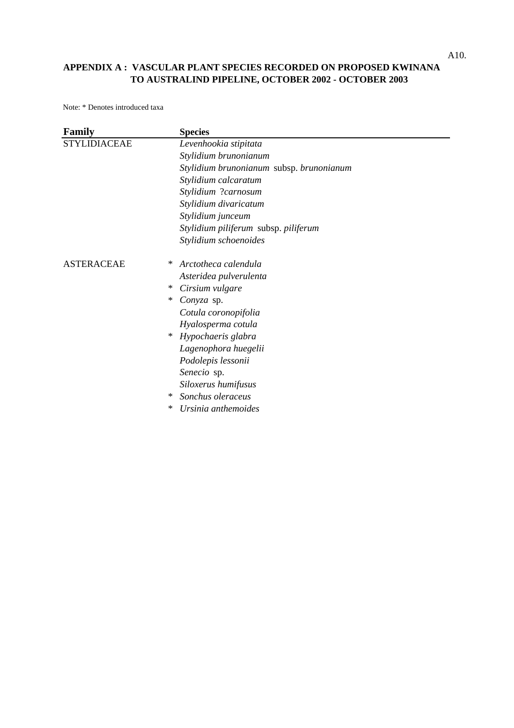| Family              | <b>Species</b>                           |
|---------------------|------------------------------------------|
| <b>STYLIDIACEAE</b> | Levenhookia stipitata                    |
|                     | Stylidium brunonianum                    |
|                     | Stylidium brunonianum subsp. brunonianum |
|                     | Stylidium calcaratum                     |
|                     | Stylidium ?carnosum                      |
|                     | Stylidium divaricatum                    |
|                     | Stylidium junceum                        |
|                     | Stylidium piliferum subsp. piliferum     |
|                     | Stylidium schoenoides                    |
| <b>ASTERACEAE</b>   | Arctotheca calendula<br>∗                |
|                     | Asteridea pulverulenta                   |
|                     | Cirsium vulgare<br>∗                     |
|                     | ∗<br>Conyza sp.                          |
|                     | Cotula coronopifolia                     |
|                     | Hyalosperma cotula                       |
|                     | Hypochaeris glabra<br>∗                  |
|                     | Lagenophora huegelii                     |
|                     | Podolepis lessonii                       |
|                     | Senecio sp.                              |
|                     | Siloxerus humifusus                      |
|                     | Sonchus oleraceus<br>∗                   |
|                     | ∗<br>Ursinia anthemoides                 |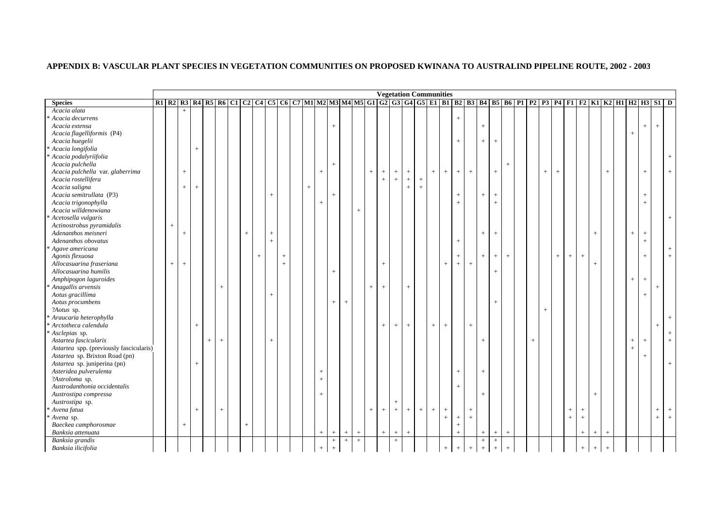|                                         |                   |                 |        |     |        |        |                |           |                |        |                   |                |                |           |     |                   |                                  |                                  | <b>Vegetation Communities</b> |     |        |           |                   |                |                |                  |        |        |        |                 |                   |                |                                                                                                                              |        |                                  |        |     |
|-----------------------------------------|-------------------|-----------------|--------|-----|--------|--------|----------------|-----------|----------------|--------|-------------------|----------------|----------------|-----------|-----|-------------------|----------------------------------|----------------------------------|-------------------------------|-----|--------|-----------|-------------------|----------------|----------------|------------------|--------|--------|--------|-----------------|-------------------|----------------|------------------------------------------------------------------------------------------------------------------------------|--------|----------------------------------|--------|-----|
| <b>Species</b>                          |                   |                 |        |     |        |        |                |           |                |        |                   |                |                |           |     |                   |                                  |                                  |                               |     |        |           |                   |                |                |                  |        |        |        |                 |                   |                | R1 R2 R3 R4 R5 R6 C1 C2 C4 C5 C6 C7 M1 M2 M3 M4 M5 G1 G2 G3 G4 G5 E1 B1 B2 B3 B4 B5 B6 P1 P2 P3 P4 F1 F2 K1 K2 H1 H2 H3 S1 D |        |                                  |        |     |
| Acacia alata                            |                   | $^{+}$          |        |     |        |        |                |           |                |        |                   |                |                |           |     |                   |                                  |                                  |                               |     |        |           |                   |                |                |                  |        |        |        |                 |                   |                |                                                                                                                              |        |                                  |        |     |
| Acacia decurrens                        |                   |                 |        |     |        |        |                |           |                |        |                   |                |                |           |     |                   |                                  |                                  |                               |     |        | $+$       |                   |                |                |                  |        |        |        |                 |                   |                |                                                                                                                              |        |                                  |        |     |
| Acacia extensa                          |                   |                 |        |     |        |        |                |           |                |        |                   | $^{+}$         |                |           |     |                   |                                  |                                  |                               |     |        |           |                   | $^{+}$         |                |                  |        |        |        |                 |                   |                |                                                                                                                              |        | $+$                              | $^{+}$ |     |
| Acacia flagelliformis (P4)              |                   |                 |        |     |        |        |                |           |                |        |                   |                |                |           |     |                   |                                  |                                  |                               |     |        |           |                   |                |                |                  |        |        |        |                 |                   |                |                                                                                                                              | $+$    |                                  |        |     |
| Acacia huegelii                         |                   |                 |        |     |        |        |                |           |                |        |                   |                |                |           |     |                   |                                  |                                  |                               |     |        | $+$       |                   | $+$            | $+$            |                  |        |        |        |                 |                   |                |                                                                                                                              |        |                                  |        |     |
| * Acacia longifolia                     |                   |                 | $^{+}$ |     |        |        |                |           |                |        |                   |                |                |           |     |                   |                                  |                                  |                               |     |        |           |                   |                |                |                  |        |        |        |                 |                   |                |                                                                                                                              |        |                                  |        |     |
| Acacia podalyriifolia                   |                   |                 |        |     |        |        |                |           |                |        |                   |                |                |           |     |                   |                                  |                                  |                               |     |        |           |                   |                |                |                  |        |        |        |                 |                   |                |                                                                                                                              |        |                                  |        |     |
| Acacia pulchella                        |                   |                 |        |     |        |        |                |           |                |        |                   | $^{+}$         |                |           |     |                   |                                  |                                  |                               |     |        |           |                   |                |                | $+$              |        |        |        |                 |                   |                |                                                                                                                              |        |                                  |        |     |
| Acacia pulchella var. glaberrima        |                   | $\! + \!\!\!\!$ |        |     |        |        |                |           |                |        | $\qquad \qquad +$ |                |                |           | $+$ | $^{\mathrm{+}}$   | $+$                              | $\qquad \qquad +$                |                               | $+$ | $^{+}$ | $+$       | $\, +$            |                | $\,+\,$        |                  |        | $^{+}$ | $^{+}$ |                 |                   |                | $\pm$                                                                                                                        |        | $+$                              |        | $+$ |
| Acacia rostellifera                     |                   |                 |        |     |        |        |                |           |                |        |                   |                |                |           |     | $\qquad \qquad +$ | $^{+}$                           | $+$                              | $^{+}$                        |     |        |           |                   |                |                |                  |        |        |        |                 |                   |                |                                                                                                                              |        |                                  |        |     |
| Acacia saligna                          |                   | $+$             | $^{+}$ |     |        |        |                |           |                | $^{+}$ |                   |                |                |           |     |                   |                                  | $\begin{array}{c} + \end{array}$ | $+$                           |     |        |           |                   |                |                |                  |        |        |        |                 |                   |                |                                                                                                                              |        |                                  |        |     |
| Acacia semitrullata (P3)                |                   |                 |        |     |        |        |                | $+$       |                |        |                   | $\overline{+}$ |                |           |     |                   |                                  |                                  |                               |     |        | $\ddot{}$ |                   | $+$            | $^+$           |                  |        |        |        |                 |                   |                |                                                                                                                              |        | $+$                              |        |     |
| Acacia trigonophylla                    |                   |                 |        |     |        |        |                |           |                |        | $+$               |                |                |           |     |                   |                                  |                                  |                               |     |        | $^{+}$    |                   |                | $+$            |                  |        |        |        |                 |                   |                |                                                                                                                              |        | $+$                              |        |     |
| Acacia willdenowiana                    |                   |                 |        |     |        |        |                |           |                |        |                   |                |                | $^{+}$    |     |                   |                                  |                                  |                               |     |        |           |                   |                |                |                  |        |        |        |                 |                   |                |                                                                                                                              |        |                                  |        |     |
| Acetosella vulgaris                     |                   |                 |        |     |        |        |                |           |                |        |                   |                |                |           |     |                   |                                  |                                  |                               |     |        |           |                   |                |                |                  |        |        |        |                 |                   |                |                                                                                                                              |        |                                  |        |     |
| Actinostrobus pyramidalis               | $\qquad \qquad +$ |                 |        |     |        |        |                |           |                |        |                   |                |                |           |     |                   |                                  |                                  |                               |     |        |           |                   |                |                |                  |        |        |        |                 |                   |                |                                                                                                                              |        |                                  |        |     |
| Adenanthos meisneri                     |                   | $^{+}$          |        |     |        | $^{+}$ |                | $^{+}$    |                |        |                   |                |                |           |     |                   |                                  |                                  |                               |     |        |           |                   | $+$            | $\,+\,$        |                  |        |        |        |                 |                   | $^{+}$         |                                                                                                                              | $^{+}$ | $\begin{array}{c} + \end{array}$ |        |     |
| Adenanthos obovatus                     |                   |                 |        |     |        |        |                | $+$       |                |        |                   |                |                |           |     |                   |                                  |                                  |                               |     |        | $^{+}$    |                   |                |                |                  |        |        |        |                 |                   |                |                                                                                                                              |        | $+$                              |        |     |
| Agave americana                         |                   |                 |        |     |        |        |                |           |                |        |                   |                |                |           |     |                   |                                  |                                  |                               |     |        |           |                   |                |                |                  |        |        |        |                 |                   |                |                                                                                                                              |        |                                  |        |     |
| Agonis flexuosa                         |                   |                 |        |     |        |        | $\overline{+}$ |           | $^{+}$         |        |                   |                |                |           |     |                   |                                  |                                  |                               |     |        | $^{+}$    |                   | $+$            | $\,$ + $\,$    | $+$              |        |        | $^{+}$ | $^{+}$          | $\pm$             |                |                                                                                                                              |        | $+$                              |        |     |
| Allocasuarina fraseriana                | $+$               | $+$             |        |     |        |        |                |           | $\overline{+}$ |        |                   |                |                |           |     | $\overline{+}$    |                                  |                                  |                               |     | $^{+}$ | $+$       | $+$               |                |                |                  |        |        |        |                 |                   | $^{+}$         |                                                                                                                              |        |                                  |        |     |
| Allocasuarina humilis                   |                   |                 |        |     |        |        |                |           |                |        |                   | $^{+}$         |                |           |     |                   |                                  |                                  |                               |     |        |           |                   |                | $+$            |                  |        |        |        |                 |                   |                |                                                                                                                              |        |                                  |        |     |
| Amphipogon laguroides                   |                   |                 |        |     |        |        |                |           |                |        |                   |                |                |           |     |                   |                                  |                                  |                               |     |        |           |                   |                |                |                  |        |        |        |                 |                   |                |                                                                                                                              | $^+$   | $\begin{array}{c} + \end{array}$ |        |     |
| Anagallis arvensis                      |                   |                 |        |     | $^{+}$ |        |                |           |                |        |                   |                |                |           | $+$ | $+$               |                                  | $+$                              |                               |     |        |           |                   |                |                |                  |        |        |        |                 |                   |                |                                                                                                                              |        |                                  | $^{+}$ |     |
| Aotus gracillima                        |                   |                 |        |     |        |        |                | $\ddot{}$ |                |        |                   |                |                |           |     |                   |                                  |                                  |                               |     |        |           |                   |                |                |                  |        |        |        |                 |                   |                |                                                                                                                              |        | $+$                              |        |     |
| Aotus procumbens                        |                   |                 |        |     |        |        |                |           |                |        |                   | $^{+}$         | $^{+}$         |           |     |                   |                                  |                                  |                               |     |        |           |                   |                | $+$            |                  |        |        |        |                 |                   |                |                                                                                                                              |        |                                  |        |     |
| ?Aotus sp.                              |                   |                 |        |     |        |        |                |           |                |        |                   |                |                |           |     |                   |                                  |                                  |                               |     |        |           |                   |                |                |                  |        | $^{+}$ |        |                 |                   |                |                                                                                                                              |        |                                  |        |     |
| * Araucaria heterophylla                |                   |                 |        |     |        |        |                |           |                |        |                   |                |                |           |     |                   |                                  |                                  |                               |     |        |           |                   |                |                |                  |        |        |        |                 |                   |                |                                                                                                                              |        |                                  |        |     |
| * Arctotheca calendula                  |                   |                 | $+$    |     |        |        |                |           |                |        |                   |                |                |           |     | $\qquad \qquad +$ | $+$                              | $+$                              |                               | $+$ | $+$    |           | $\qquad \qquad +$ |                |                |                  |        |        |        |                 |                   |                |                                                                                                                              |        |                                  | $^{+}$ |     |
| Asclepias sp.                           |                   |                 |        |     |        |        |                |           |                |        |                   |                |                |           |     |                   |                                  |                                  |                               |     |        |           |                   |                |                |                  |        |        |        |                 |                   |                |                                                                                                                              |        |                                  |        |     |
| Astartea fascicularis                   |                   |                 |        | $+$ | $^{+}$ |        |                | $+$       |                |        |                   |                |                |           |     |                   |                                  |                                  |                               |     |        |           |                   | $+$            |                |                  | $^{+}$ |        |        |                 |                   |                |                                                                                                                              | $+$    | $+$                              |        |     |
| Astartea spp. (previously fascicularis) |                   |                 |        |     |        |        |                |           |                |        |                   |                |                |           |     |                   |                                  |                                  |                               |     |        |           |                   |                |                |                  |        |        |        |                 |                   |                |                                                                                                                              | $^{+}$ |                                  |        |     |
| Astartea sp. Brixton Road (pn)          |                   |                 |        |     |        |        |                |           |                |        |                   |                |                |           |     |                   |                                  |                                  |                               |     |        |           |                   |                |                |                  |        |        |        |                 |                   |                |                                                                                                                              |        | $+$                              |        |     |
| Astartea sp. juniperina (pn)            |                   |                 | $^{+}$ |     |        |        |                |           |                |        |                   |                |                |           |     |                   |                                  |                                  |                               |     |        |           |                   |                |                |                  |        |        |        |                 |                   |                |                                                                                                                              |        |                                  |        |     |
| Asteridea pulverulenta                  |                   |                 |        |     |        |        |                |           |                |        | $\! + \!\!\!\!$   |                |                |           |     |                   |                                  |                                  |                               |     |        | $^{+}$    |                   | $^{+}$         |                |                  |        |        |        |                 |                   |                |                                                                                                                              |        |                                  |        |     |
| ?Astroloma sp.                          |                   |                 |        |     |        |        |                |           |                |        | $+$               |                |                |           |     |                   |                                  |                                  |                               |     |        |           |                   |                |                |                  |        |        |        |                 |                   |                |                                                                                                                              |        |                                  |        |     |
| Austrodanthonia occidentalis            |                   |                 |        |     |        |        |                |           |                |        |                   |                |                |           |     |                   |                                  |                                  |                               |     |        | $^{+}$    |                   |                |                |                  |        |        |        |                 |                   |                |                                                                                                                              |        |                                  |        |     |
| Austrostipa compressa                   |                   |                 |        |     |        |        |                |           |                |        | $\qquad \qquad +$ |                |                |           |     |                   |                                  |                                  |                               |     |        |           |                   | $+$            |                |                  |        |        |        |                 |                   | $+$            |                                                                                                                              |        |                                  |        |     |
| Austrostipa sp.                         |                   |                 |        |     |        |        |                |           |                |        |                   |                |                |           |     |                   | $\pm$                            |                                  |                               |     |        |           |                   |                |                |                  |        |        |        |                 |                   |                |                                                                                                                              |        |                                  |        |     |
| * Avena fatua                           |                   |                 | $^{+}$ |     | $^{+}$ |        |                |           |                |        |                   |                |                |           | $+$ | $\overline{+}$    | $\, + \,$                        | $+$                              | $+$                           | $+$ | $+$    |           | $^{+}$            |                |                |                  |        |        |        | $\! + \!\!\!\!$ | $^{+}$            |                |                                                                                                                              |        |                                  | $+$    | $+$ |
| Avena sp.                               |                   |                 |        |     |        |        |                |           |                |        |                   |                |                |           |     |                   |                                  |                                  |                               |     | $^{+}$ | $+$       | $+$               |                |                |                  |        |        |        | $\ddot{+}$      | $\, +$            |                |                                                                                                                              |        |                                  | $+$    | $+$ |
| Baeckea camphorosmae                    |                   | $+$             |        |     |        | $+$    |                |           |                |        |                   |                |                |           |     |                   |                                  |                                  |                               |     |        | $\ddot{}$ |                   |                |                |                  |        |        |        |                 |                   |                |                                                                                                                              |        |                                  |        |     |
| Banksia attenuata                       |                   |                 |        |     |        |        |                |           |                |        | $\qquad \qquad +$ | $\overline{+}$ | $\overline{+}$ | $\ddot{}$ |     | $+$               | $^{+}$                           | $+$                              |                               |     |        | $\ddot{}$ |                   | $\overline{+}$ | $\overline{+}$ | $+$              |        |        |        |                 | $\qquad \qquad +$ | $\overline{+}$ | $^{+}$                                                                                                                       |        |                                  |        |     |
| Banksia grandis                         |                   |                 |        |     |        |        |                |           |                |        |                   | $\ddot{}$      | $\ddot{}$      | $^{+}$    |     |                   | $\begin{array}{c} + \end{array}$ |                                  |                               |     |        |           |                   | $\,+\,$        | $^+$           |                  |        |        |        |                 |                   |                |                                                                                                                              |        |                                  |        |     |
| Banksia ilicifolia                      |                   |                 |        |     |        |        |                |           |                |        | $\qquad \qquad +$ | $\pm$          |                |           |     |                   |                                  |                                  |                               |     | $+$    | $+$       | $+$               | $+$            | $\pm$          | $\boldsymbol{+}$ |        |        |        |                 | $\, +$            | $+$            | $\qquad \qquad +$                                                                                                            |        |                                  |        |     |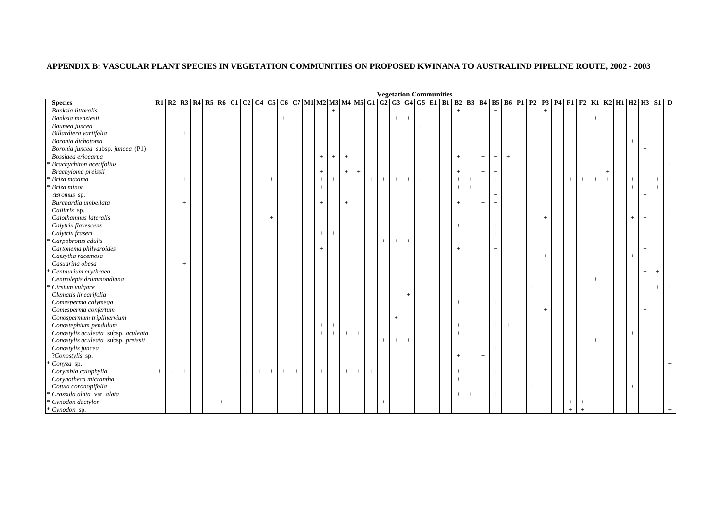|                                     |     |     |                                  |                                                                                  |         |     |     |     |        |         |     |                 |                   |        |        |                   |             |                   | <b>Vegetation Communities</b>    |         |        |     |           |      |     |                   |        |                    |        |        |        |                            |        |        |        |        |                |     |
|-------------------------------------|-----|-----|----------------------------------|----------------------------------------------------------------------------------|---------|-----|-----|-----|--------|---------|-----|-----------------|-------------------|--------|--------|-------------------|-------------|-------------------|----------------------------------|---------|--------|-----|-----------|------|-----|-------------------|--------|--------------------|--------|--------|--------|----------------------------|--------|--------|--------|--------|----------------|-----|
| <b>Species</b>                      |     |     |                                  | R1 R2 R3 R4 R5 R6 C1 C2 C4 C5 C6 C7 M1 M2 M3 M4 M5 G1 G2 G3 G4 G5 E1 B1 B2 B3 B4 |         |     |     |     |        |         |     |                 |                   |        |        |                   |             |                   |                                  |         |        |     |           |      |     |                   |        | <b>B5 B6 P1 P2</b> |        |        |        | P3 P4 F1 F2 K1 K2 H1 H2 H3 |        |        |        |        | $SI$ D         |     |
| Banksia littoralis                  |     |     |                                  |                                                                                  |         |     |     |     |        |         |     |                 |                   | $^{+}$ |        |                   |             |                   |                                  |         |        |     |           |      |     | $^{+}$            |        |                    | $^{+}$ |        |        |                            |        |        |        |        |                |     |
| Banksia menziesii                   |     |     |                                  |                                                                                  |         |     |     |     |        | $\,+\,$ |     |                 |                   |        |        |                   |             |                   | $\, + \,$                        | $\,+\,$ |        |     |           |      |     |                   |        |                    |        |        |        |                            | $+$    |        |        |        |                |     |
| Baumea juncea                       |     |     |                                  |                                                                                  |         |     |     |     |        |         |     |                 |                   |        |        |                   |             |                   |                                  |         | $^{+}$ |     |           |      |     |                   |        |                    |        |        |        |                            |        |        |        |        |                |     |
| Billardiera variifolia              |     |     | $+$                              |                                                                                  |         |     |     |     |        |         |     |                 |                   |        |        |                   |             |                   |                                  |         |        |     |           |      |     |                   |        |                    |        |        |        |                            |        |        |        |        |                |     |
| Boronia dichotoma                   |     |     |                                  |                                                                                  |         |     |     |     |        |         |     |                 |                   |        |        |                   |             |                   |                                  |         |        |     |           |      | $+$ |                   |        |                    |        |        |        |                            |        |        | $\! +$ | $+$    |                |     |
| Boronia juncea subsp. juncea (P1)   |     |     |                                  |                                                                                  |         |     |     |     |        |         |     |                 |                   |        |        |                   |             |                   |                                  |         |        |     |           |      |     |                   |        |                    |        |        |        |                            |        |        |        | $+$    |                |     |
| Bossiaea eriocarpa                  |     |     |                                  |                                                                                  |         |     |     |     |        |         |     |                 | $\qquad \qquad +$ | $^{+}$ | $+$    |                   |             |                   |                                  |         |        |     | $+$       |      | $+$ | $^{+}$            | $+$    |                    |        |        |        |                            |        |        |        |        |                |     |
| <b>Brachychiton</b> acerifolius     |     |     |                                  |                                                                                  |         |     |     |     |        |         |     |                 |                   |        |        |                   |             |                   |                                  |         |        |     |           |      |     |                   |        |                    |        |        |        |                            |        |        |        |        |                |     |
| Brachyloma preissii                 |     |     |                                  |                                                                                  |         |     |     |     |        |         |     |                 | $\qquad \qquad +$ |        | $^{+}$ | $\! +$            |             |                   |                                  |         |        |     | $+$       |      | $+$ | $^{+}$            |        |                    |        |        |        |                            |        | $+$    |        |        |                |     |
| Briza maxima                        |     |     | $+$                              | $\qquad \qquad +$                                                                |         |     |     |     | $+$    |         |     |                 | $\qquad \qquad +$ | $\! +$ |        |                   | $^{+}$      | $+$               | $+$                              | $+$     | $+$    | $+$ | $\, + \,$ | $^+$ | $+$ | $\qquad \qquad +$ |        |                    |        |        | $^{+}$ | $^{+}$                     | $+$    | $\, +$ | $+$    | $+$    | $+$            | $+$ |
| Briza minor                         |     |     |                                  | $^{+}$                                                                           |         |     |     |     |        |         |     |                 | $^{+}$            |        |        |                   |             |                   |                                  |         |        | $+$ | $+$       | $+$  |     |                   |        |                    |        |        |        |                            |        |        | $+$    | $+$    | $\overline{+}$ |     |
| ?Bromus sp.                         |     |     |                                  |                                                                                  |         |     |     |     |        |         |     |                 |                   |        |        |                   |             |                   |                                  |         |        |     |           |      |     | $^{+}$            |        |                    |        |        |        |                            |        |        |        | $+$    |                |     |
| Burchardia umbellata                |     |     | $\begin{array}{c} + \end{array}$ |                                                                                  |         |     |     |     |        |         |     |                 | $^{+}$            |        | $+$    |                   |             |                   |                                  |         |        |     | $+$       |      | $+$ | $^{+}$            |        |                    |        |        |        |                            |        |        |        |        |                |     |
| Callitris sp.                       |     |     |                                  |                                                                                  |         |     |     |     |        |         |     |                 |                   |        |        |                   |             |                   |                                  |         |        |     |           |      |     |                   |        |                    |        |        |        |                            |        |        |        |        |                | $+$ |
| Calothamnus lateralis               |     |     |                                  |                                                                                  |         |     |     |     | $^{+}$ |         |     |                 |                   |        |        |                   |             |                   |                                  |         |        |     |           |      |     |                   |        |                    | $^{+}$ |        |        |                            |        |        | $+$    | $+$    |                |     |
| Calytrix flavescens                 |     |     |                                  |                                                                                  |         |     |     |     |        |         |     |                 |                   |        |        |                   |             |                   |                                  |         |        |     | $+$       |      | $+$ | $^{+}$            |        |                    |        | $^{+}$ |        |                            |        |        |        |        |                |     |
| Calytrix fraseri                    |     |     |                                  |                                                                                  |         |     |     |     |        |         |     |                 | $+$               | $^{+}$ |        |                   |             |                   |                                  |         |        |     |           |      | $+$ | $^{+}$            |        |                    |        |        |        |                            |        |        |        |        |                |     |
| Carpobrotus edulis                  |     |     |                                  |                                                                                  |         |     |     |     |        |         |     |                 |                   |        |        |                   |             | $+$               | $+$                              | $+$     |        |     |           |      |     |                   |        |                    |        |        |        |                            |        |        |        |        |                |     |
| Cartonema philydroides              |     |     |                                  |                                                                                  |         |     |     |     |        |         |     |                 | $^{+}$            |        |        |                   |             |                   |                                  |         |        |     | $^{+}$    |      |     | $^{+}$            |        |                    |        |        |        |                            |        |        |        | $+$    |                |     |
| Cassytha racemosa                   |     |     |                                  |                                                                                  |         |     |     |     |        |         |     |                 |                   |        |        |                   |             |                   |                                  |         |        |     |           |      |     | $^{+}$            |        |                    | $^{+}$ |        |        |                            |        |        | $+$    | $+$    |                |     |
| Casuarina obesa                     |     |     | $+$                              |                                                                                  |         |     |     |     |        |         |     |                 |                   |        |        |                   |             |                   |                                  |         |        |     |           |      |     |                   |        |                    |        |        |        |                            |        |        |        |        |                |     |
| Centaurium erythraea                |     |     |                                  |                                                                                  |         |     |     |     |        |         |     |                 |                   |        |        |                   |             |                   |                                  |         |        |     |           |      |     |                   |        |                    |        |        |        |                            |        |        |        | $+$    | $^{+}$         |     |
| Centrolepis drummondiana            |     |     |                                  |                                                                                  |         |     |     |     |        |         |     |                 |                   |        |        |                   |             |                   |                                  |         |        |     |           |      |     |                   |        |                    |        |        |        |                            |        |        |        |        |                |     |
| Cirsium vulgare                     |     |     |                                  |                                                                                  |         |     |     |     |        |         |     |                 |                   |        |        |                   |             |                   |                                  |         |        |     |           |      |     |                   |        | $+$                |        |        |        |                            |        |        |        |        | $+$            | $+$ |
| Clematis linearifolia               |     |     |                                  |                                                                                  |         |     |     |     |        |         |     |                 |                   |        |        |                   |             |                   |                                  | $^{+}$  |        |     |           |      |     |                   |        |                    |        |        |        |                            |        |        |        |        |                |     |
| Comesperma calymega                 |     |     |                                  |                                                                                  |         |     |     |     |        |         |     |                 |                   |        |        |                   |             |                   |                                  |         |        |     | $+$       |      | $+$ | $^{+}$            |        |                    |        |        |        |                            |        |        |        | $+$    |                |     |
| Comesperma confertum                |     |     |                                  |                                                                                  |         |     |     |     |        |         |     |                 |                   |        |        |                   |             |                   |                                  |         |        |     |           |      |     |                   |        |                    | $^{+}$ |        |        |                            |        |        |        | $^{+}$ |                |     |
| Conospermum triplinervium           |     |     |                                  |                                                                                  |         |     |     |     |        |         |     |                 |                   |        |        |                   |             |                   | $+$                              |         |        |     |           |      |     |                   |        |                    |        |        |        |                            |        |        |        |        |                |     |
| Conostephium pendulum               |     |     |                                  |                                                                                  |         |     |     |     |        |         |     |                 | $\qquad \qquad +$ | $\! +$ |        |                   |             |                   |                                  |         |        |     | $+$       |      | $+$ | $^{+}$            | $^{+}$ |                    |        |        |        |                            |        |        |        |        |                |     |
| Conostylis aculeata subsp. aculeata |     |     |                                  |                                                                                  |         |     |     |     |        |         |     |                 | $^{+}$            | $+$    | $+$    | $^{+}$            |             |                   |                                  |         |        |     | $+$       |      |     |                   |        |                    |        |        |        |                            |        |        | $^{+}$ |        |                |     |
| Conostylis aculeata subsp. preissii |     |     |                                  |                                                                                  |         |     |     |     |        |         |     |                 |                   |        |        |                   |             | $+$               | $\begin{array}{c} + \end{array}$ | $+$     |        |     |           |      |     |                   |        |                    |        |        |        |                            | $^{+}$ |        |        |        |                |     |
| Conostylis juncea                   |     |     |                                  |                                                                                  |         |     |     |     |        |         |     |                 |                   |        |        |                   |             |                   |                                  |         |        |     |           |      | $+$ | $^{+}$            |        |                    |        |        |        |                            |        |        |        |        |                |     |
| ?Conostylis sp.                     |     |     |                                  |                                                                                  |         |     |     |     |        |         |     |                 |                   |        |        |                   |             |                   |                                  |         |        |     | $+$       |      | $+$ |                   |        |                    |        |        |        |                            |        |        |        |        |                |     |
| Conyza sp.                          |     |     |                                  |                                                                                  |         |     |     |     |        |         |     |                 |                   |        |        |                   |             |                   |                                  |         |        |     |           |      |     |                   |        |                    |        |        |        |                            |        |        |        |        |                |     |
| Corymbia calophylla                 | $+$ | $+$ | $+$                              | $\qquad \qquad +$                                                                |         | $+$ | $+$ | $+$ | $+$    | $^{+}$  | $+$ | $\! + \!\!\!\!$ | $+$               |        | $^{+}$ | $\qquad \qquad +$ | $\,$ + $\,$ |                   |                                  |         |        |     | $+$       |      | $+$ | $\qquad \qquad +$ |        |                    |        |        |        |                            |        |        |        | $+$    |                |     |
| Corynotheca micrantha               |     |     |                                  |                                                                                  |         |     |     |     |        |         |     |                 |                   |        |        |                   |             |                   |                                  |         |        |     | $+$       |      |     |                   |        |                    |        |        |        |                            |        |        |        |        |                |     |
| Cotula coronopifolia                |     |     |                                  |                                                                                  |         |     |     |     |        |         |     |                 |                   |        |        |                   |             |                   |                                  |         |        |     |           |      |     |                   |        | $^{+}$             |        |        |        |                            |        |        | $^{+}$ |        |                |     |
| Crassula alata var. alata           |     |     |                                  |                                                                                  |         |     |     |     |        |         |     |                 |                   |        |        |                   |             |                   |                                  |         |        | $+$ | $+$       | $+$  |     | $^{+}$            |        |                    |        |        |        |                            |        |        |        |        |                |     |
| Cynodon dactylon                    |     |     |                                  | $+$                                                                              | $\,+\,$ |     |     |     |        |         |     |                 |                   |        |        |                   |             | $\qquad \qquad +$ |                                  |         |        |     |           |      |     |                   |        |                    |        |        | $^{+}$ | $^{+}$                     |        |        |        |        |                |     |
|                                     |     |     |                                  |                                                                                  |         |     |     |     |        |         |     |                 |                   |        |        |                   |             |                   |                                  |         |        |     |           |      |     |                   |        |                    |        |        |        |                            |        |        |        |        |                |     |
| * Cynodon sp.                       |     |     |                                  |                                                                                  |         |     |     |     |        |         |     |                 |                   |        |        |                   |             |                   |                                  |         |        |     |           |      |     |                   |        |                    |        |        | $^{+}$ | $+$                        |        |        |        |        |                |     |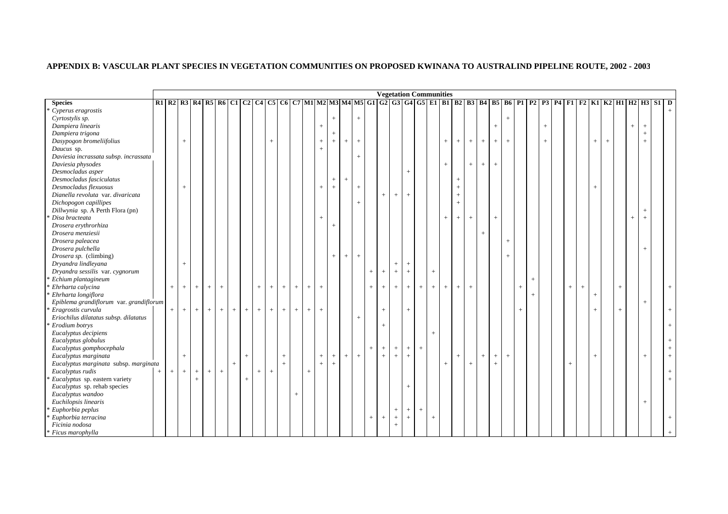|                                         |       |     |             |        |     |     |     |     |     |      |        |         |                                  |                   |        |                   |        |                 | <b>Vegetation Communities</b> |                                  |                   |     |                 |        |                                  |                   |        |         |           |             |        |        |        |        |        |     |                                                                                                                              |        |        |  |
|-----------------------------------------|-------|-----|-------------|--------|-----|-----|-----|-----|-----|------|--------|---------|----------------------------------|-------------------|--------|-------------------|--------|-----------------|-------------------------------|----------------------------------|-------------------|-----|-----------------|--------|----------------------------------|-------------------|--------|---------|-----------|-------------|--------|--------|--------|--------|--------|-----|------------------------------------------------------------------------------------------------------------------------------|--------|--------|--|
| <b>Species</b>                          |       |     |             |        |     |     |     |     |     |      |        |         |                                  |                   |        |                   |        |                 |                               |                                  |                   |     |                 |        |                                  |                   |        |         |           |             |        |        |        |        |        |     | R1 R2 R3 R4 R5 R6 C1 C2 C4 C5 C6 C7 M1 M2 M3 M4 M5 G1 G2 G3 G4 G5 E1 B1 B2 B3 B4 B5 B6 P1 P2 P3 P4 F1 F2 K1 K2 H1 H2 H3 S1 D |        |        |  |
| Cyperus eragrostis                      |       |     |             |        |     |     |     |     |     |      |        |         |                                  |                   |        |                   |        |                 |                               |                                  |                   |     |                 |        |                                  |                   |        |         |           |             |        |        |        |        |        |     |                                                                                                                              |        |        |  |
| Cyrtostylis sp.                         |       |     |             |        |     |     |     |     |     |      |        |         |                                  |                   | $^{+}$ |                   | $^{+}$ |                 |                               |                                  |                   |     |                 |        |                                  |                   |        |         | $\ddot{}$ |             |        |        |        |        |        |     |                                                                                                                              |        |        |  |
| Dampiera linearis                       |       |     |             |        |     |     |     |     |     |      |        |         |                                  |                   |        |                   |        |                 |                               |                                  |                   |     |                 |        |                                  |                   |        | $+$     |           |             |        | $^{+}$ |        |        |        |     |                                                                                                                              | $^{+}$ | $+$    |  |
| Dampiera trigona                        |       |     |             |        |     |     |     |     |     |      |        |         |                                  |                   |        |                   |        |                 |                               |                                  |                   |     |                 |        |                                  |                   |        |         |           |             |        |        |        |        |        |     |                                                                                                                              |        | $^{+}$ |  |
| Dasypogon bromeliifolius                |       |     | $+$         |        |     |     |     |     |     | $+$  |        |         |                                  | $^{+}$            | $+$    | $\qquad \qquad +$ | $^{+}$ |                 |                               |                                  |                   |     |                 | $+$    | $+$                              | $+$               | $+$    | $+$     | $+$       |             |        | $+$    |        |        | $^{+}$ | $+$ |                                                                                                                              |        | $+$    |  |
| Daucus sp.                              |       |     |             |        |     |     |     |     |     |      |        |         |                                  | $^{+}$            |        |                   |        |                 |                               |                                  |                   |     |                 |        |                                  |                   |        |         |           |             |        |        |        |        |        |     |                                                                                                                              |        |        |  |
| Daviesia incrassata subsp. incrassata   |       |     |             |        |     |     |     |     |     |      |        |         |                                  |                   |        |                   | $^{+}$ |                 |                               |                                  |                   |     |                 |        |                                  |                   |        |         |           |             |        |        |        |        |        |     |                                                                                                                              |        |        |  |
| Daviesia physodes                       |       |     |             |        |     |     |     |     |     |      |        |         |                                  |                   |        |                   |        |                 |                               |                                  |                   |     |                 | $^{+}$ |                                  | $+$               | $^{+}$ | $+$     |           |             |        |        |        |        |        |     |                                                                                                                              |        |        |  |
| Desmocladus asper                       |       |     |             |        |     |     |     |     |     |      |        |         |                                  |                   |        |                   |        |                 |                               |                                  | $+$               |     |                 |        |                                  |                   |        |         |           |             |        |        |        |        |        |     |                                                                                                                              |        |        |  |
| Desmocladus fasciculatus                |       |     |             |        |     |     |     |     |     |      |        |         |                                  |                   | $^{+}$ | $\qquad \qquad +$ |        |                 |                               |                                  |                   |     |                 |        | $\begin{array}{c} + \end{array}$ |                   |        |         |           |             |        |        |        |        |        |     |                                                                                                                              |        |        |  |
| Desmocladus flexuosus                   |       |     | $+$         |        |     |     |     |     |     |      |        |         |                                  | $^{+}$            | $+$    |                   | $^{+}$ |                 |                               |                                  |                   |     |                 |        | $+$                              |                   |        |         |           |             |        |        |        |        | $^{+}$ |     |                                                                                                                              |        |        |  |
| Dianella revoluta var. divaricata       |       |     |             |        |     |     |     |     |     |      |        |         |                                  |                   |        |                   |        |                 | $^{+}$                        | $^{+}$                           | $^{+}$            |     |                 |        | $+$                              |                   |        |         |           |             |        |        |        |        |        |     |                                                                                                                              |        |        |  |
| Dichopogon capillipes                   |       |     |             |        |     |     |     |     |     |      |        |         |                                  |                   |        |                   | $^{+}$ |                 |                               |                                  |                   |     |                 |        | $+$                              |                   |        |         |           |             |        |        |        |        |        |     |                                                                                                                              |        |        |  |
| Dillwynia sp. A Perth Flora (pn)        |       |     |             |        |     |     |     |     |     |      |        |         |                                  |                   |        |                   |        |                 |                               |                                  |                   |     |                 |        |                                  |                   |        |         |           |             |        |        |        |        |        |     |                                                                                                                              |        | $+$    |  |
| Disa bracteata                          |       |     |             |        |     |     |     |     |     |      |        |         |                                  | $^{+}$            |        |                   |        |                 |                               |                                  |                   |     |                 | $+$    | $+$                              | $^{+}$            |        | $+$     |           |             |        |        |        |        |        |     |                                                                                                                              | $^{+}$ | $+$    |  |
| Drosera erythrorhiza                    |       |     |             |        |     |     |     |     |     |      |        |         |                                  |                   | $^{+}$ |                   |        |                 |                               |                                  |                   |     |                 |        |                                  |                   |        |         |           |             |        |        |        |        |        |     |                                                                                                                              |        |        |  |
| Drosera menziesii                       |       |     |             |        |     |     |     |     |     |      |        |         |                                  |                   |        |                   |        |                 |                               |                                  |                   |     |                 |        |                                  |                   | $^{+}$ |         |           |             |        |        |        |        |        |     |                                                                                                                              |        |        |  |
| Drosera paleacea                        |       |     |             |        |     |     |     |     |     |      |        |         |                                  |                   |        |                   |        |                 |                               |                                  |                   |     |                 |        |                                  |                   |        |         | $+$       |             |        |        |        |        |        |     |                                                                                                                              |        |        |  |
| Drosera pulchella                       |       |     |             |        |     |     |     |     |     |      |        |         |                                  |                   |        |                   |        |                 |                               |                                  |                   |     |                 |        |                                  |                   |        |         |           |             |        |        |        |        |        |     |                                                                                                                              |        | $+$    |  |
| Drosera sp. (climbing)                  |       |     |             |        |     |     |     |     |     |      |        |         |                                  |                   | $^{+}$ | $\qquad \qquad +$ | $\! +$ |                 |                               |                                  |                   |     |                 |        |                                  |                   |        |         | $+$       |             |        |        |        |        |        |     |                                                                                                                              |        |        |  |
| Dryandra lindleyana                     |       |     | $\,$ + $\,$ |        |     |     |     |     |     |      |        |         |                                  |                   |        |                   |        |                 |                               | $\,$ +                           | $^+$              |     |                 |        |                                  |                   |        |         |           |             |        |        |        |        |        |     |                                                                                                                              |        |        |  |
| Dryandra sessilis var. cygnorum         |       |     |             |        |     |     |     |     |     |      |        |         |                                  |                   |        |                   |        | $^{+}$          | $^{+}$                        | $\pm$                            | $\pm$             |     | $\! + \!\!\!\!$ |        |                                  |                   |        |         |           |             |        |        |        |        |        |     |                                                                                                                              |        |        |  |
| Echium plantagineum                     |       |     |             |        |     |     |     |     |     |      |        |         |                                  |                   |        |                   |        |                 |                               |                                  |                   |     |                 |        |                                  |                   |        |         |           |             | $^{+}$ |        |        |        |        |     |                                                                                                                              |        |        |  |
| Ehrharta calycina                       |       | $+$ | $+$         | $+$    | $+$ | $+$ |     |     | $+$ | $+$  | $+$    | $\,+\,$ | $\begin{array}{c} + \end{array}$ | $^{+}$            |        |                   |        | $\! + \!\!\!\!$ | $^{+}$                        | $\,$ + $\,$                      | $^{+}$            | $+$ | $+$             | $+$    | $+$                              | $\qquad \qquad +$ |        |         |           | $\,$ + $\,$ |        |        | $^{+}$ | $^{+}$ |        |     | $+$                                                                                                                          |        |        |  |
| Ehrharta longiflora                     |       |     |             |        |     |     |     |     |     |      |        |         |                                  |                   |        |                   |        |                 |                               |                                  |                   |     |                 |        |                                  |                   |        |         |           |             | $^{+}$ |        |        |        | $^{+}$ |     |                                                                                                                              |        |        |  |
| Epiblema grandiflorum var. grandiflorum |       |     |             |        |     |     |     |     |     |      |        |         |                                  |                   |        |                   |        |                 |                               |                                  |                   |     |                 |        |                                  |                   |        |         |           |             |        |        |        |        |        |     |                                                                                                                              |        | $^{+}$ |  |
| Eragrostis curvula                      |       | $+$ | $+$         | $+$    | $+$ | $+$ | $+$ | $+$ | $+$ | $+$  | $+$    | $+$     | $+$                              | $^{+}$            |        |                   |        |                 | $^{+}$                        |                                  | $+$               |     |                 |        |                                  |                   |        |         |           | $+$         |        |        |        |        | $^{+}$ |     | $^{+}$                                                                                                                       |        |        |  |
| Eriochilus dilatatus subsp. dilatatus   |       |     |             |        |     |     |     |     |     |      |        |         |                                  |                   |        |                   | $^{+}$ |                 |                               |                                  |                   |     |                 |        |                                  |                   |        |         |           |             |        |        |        |        |        |     |                                                                                                                              |        |        |  |
| Erodium botrys                          |       |     |             |        |     |     |     |     |     |      |        |         |                                  |                   |        |                   |        |                 | $^{+}$                        |                                  |                   |     |                 |        |                                  |                   |        |         |           |             |        |        |        |        |        |     |                                                                                                                              |        |        |  |
| Eucalyptus decipiens                    |       |     |             |        |     |     |     |     |     |      |        |         |                                  |                   |        |                   |        |                 |                               |                                  |                   |     | $+$             |        |                                  |                   |        |         |           |             |        |        |        |        |        |     |                                                                                                                              |        |        |  |
| Eucalyptus globulus                     |       |     |             |        |     |     |     |     |     |      |        |         |                                  |                   |        |                   |        |                 |                               |                                  |                   |     |                 |        |                                  |                   |        |         |           |             |        |        |        |        |        |     |                                                                                                                              |        |        |  |
| Eucalyptus gomphocephala                |       |     |             |        |     |     |     |     |     |      |        |         |                                  |                   |        |                   |        | $^{+}$          | $+$                           | $+$                              | $+$               | $+$ |                 |        |                                  |                   |        |         |           |             |        |        |        |        |        |     |                                                                                                                              |        |        |  |
| Eucalyptus marginata                    |       |     | $+$         |        |     |     |     | $+$ |     |      | $\,$ + |         |                                  | $\qquad \qquad +$ | $^{+}$ | $\qquad \qquad +$ | $^{+}$ |                 | $+$                           | $\pm$                            | $^+$              |     |                 |        | $^{+}$                           |                   | $^{+}$ | $\,+\,$ | $\ddot{}$ |             |        |        |        |        |        |     |                                                                                                                              |        | $+$    |  |
| Eucalyptus marginata subsp. marginata   |       |     |             |        |     |     | $+$ |     |     |      | $+$    |         |                                  | $\overline{+}$    | $+$    |                   |        |                 |                               |                                  |                   |     |                 | $+$    |                                  | $+$               |        | $^{+}$  |           |             |        |        | $^{+}$ |        |        |     |                                                                                                                              |        |        |  |
| Eucalyptus rudis                        | $\pm$ | $+$ | $+$         | $^{+}$ | $+$ | $+$ |     |     | $+$ | $^+$ |        |         | $\,$ + $\,$                      |                   |        |                   |        |                 |                               |                                  |                   |     |                 |        |                                  |                   |        |         |           |             |        |        |        |        |        |     |                                                                                                                              |        |        |  |
| Eucalyptus sp. eastern variety          |       |     |             | $+$    |     |     |     | $+$ |     |      |        |         |                                  |                   |        |                   |        |                 |                               |                                  |                   |     |                 |        |                                  |                   |        |         |           |             |        |        |        |        |        |     |                                                                                                                              |        |        |  |
| Eucalyptus sp. rehab species            |       |     |             |        |     |     |     |     |     |      |        |         |                                  |                   |        |                   |        |                 |                               |                                  | $+$               |     |                 |        |                                  |                   |        |         |           |             |        |        |        |        |        |     |                                                                                                                              |        |        |  |
| Eucalyptus wandoo                       |       |     |             |        |     |     |     |     |     |      |        | $+$     |                                  |                   |        |                   |        |                 |                               |                                  |                   |     |                 |        |                                  |                   |        |         |           |             |        |        |        |        |        |     |                                                                                                                              |        |        |  |
| Euchilopsis linearis                    |       |     |             |        |     |     |     |     |     |      |        |         |                                  |                   |        |                   |        |                 |                               |                                  |                   |     |                 |        |                                  |                   |        |         |           |             |        |        |        |        |        |     |                                                                                                                              |        | $+$    |  |
| Euphorbia peplus                        |       |     |             |        |     |     |     |     |     |      |        |         |                                  |                   |        |                   |        |                 |                               | $\begin{array}{c} + \end{array}$ | $+$               | $+$ |                 |        |                                  |                   |        |         |           |             |        |        |        |        |        |     |                                                                                                                              |        |        |  |
| Euphorbia terracina                     |       |     |             |        |     |     |     |     |     |      |        |         |                                  |                   |        |                   |        | $^{+}$          | $^{+}$                        | $\,$ + $\,$                      | $\qquad \qquad +$ |     | $+$             |        |                                  |                   |        |         |           |             |        |        |        |        |        |     |                                                                                                                              |        |        |  |
| Ficinia nodosa                          |       |     |             |        |     |     |     |     |     |      |        |         |                                  |                   |        |                   |        |                 |                               | $+$                              |                   |     |                 |        |                                  |                   |        |         |           |             |        |        |        |        |        |     |                                                                                                                              |        |        |  |
| * Ficus marophylla                      |       |     |             |        |     |     |     |     |     |      |        |         |                                  |                   |        |                   |        |                 |                               |                                  |                   |     |                 |        |                                  |                   |        |         |           |             |        |        |        |        |        |     |                                                                                                                              |        |        |  |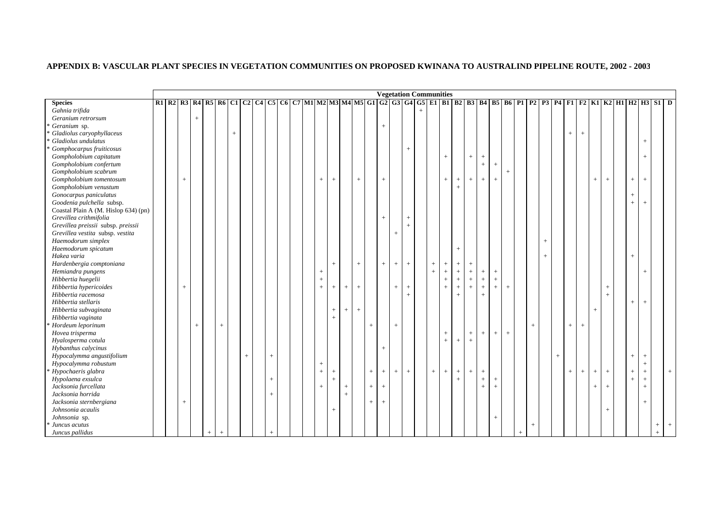| R2   R3   R4   R5   R6   C1   C2   C4   C5   C6   C7   M1   M2   M3   M4   M5   G1   G2   G3   G4   G5   E1   B1   B2   B3   B4   B5   B6   P1   P2   P3   P4   F1   F2   K1   K2   H1   H2   H3   S1   D<br>$^{+}$<br>$\overline{+}$<br>$^{+}$ | $+$<br>$+$<br>$^{+}$ |                                                |                                                                     |  |
|-------------------------------------------------------------------------------------------------------------------------------------------------------------------------------------------------------------------------------------------------|----------------------|------------------------------------------------|---------------------------------------------------------------------|--|
|                                                                                                                                                                                                                                                 |                      |                                                |                                                                     |  |
|                                                                                                                                                                                                                                                 |                      |                                                |                                                                     |  |
|                                                                                                                                                                                                                                                 |                      |                                                |                                                                     |  |
|                                                                                                                                                                                                                                                 |                      |                                                |                                                                     |  |
|                                                                                                                                                                                                                                                 |                      |                                                |                                                                     |  |
|                                                                                                                                                                                                                                                 |                      |                                                |                                                                     |  |
|                                                                                                                                                                                                                                                 |                      |                                                |                                                                     |  |
|                                                                                                                                                                                                                                                 |                      |                                                |                                                                     |  |
|                                                                                                                                                                                                                                                 |                      |                                                |                                                                     |  |
|                                                                                                                                                                                                                                                 |                      |                                                |                                                                     |  |
|                                                                                                                                                                                                                                                 |                      |                                                |                                                                     |  |
|                                                                                                                                                                                                                                                 |                      |                                                |                                                                     |  |
|                                                                                                                                                                                                                                                 |                      |                                                |                                                                     |  |
|                                                                                                                                                                                                                                                 | $+$                  |                                                |                                                                     |  |
|                                                                                                                                                                                                                                                 |                      |                                                |                                                                     |  |
|                                                                                                                                                                                                                                                 |                      |                                                |                                                                     |  |
|                                                                                                                                                                                                                                                 |                      |                                                |                                                                     |  |
|                                                                                                                                                                                                                                                 |                      |                                                |                                                                     |  |
|                                                                                                                                                                                                                                                 |                      |                                                |                                                                     |  |
|                                                                                                                                                                                                                                                 |                      |                                                |                                                                     |  |
|                                                                                                                                                                                                                                                 |                      |                                                |                                                                     |  |
|                                                                                                                                                                                                                                                 |                      |                                                |                                                                     |  |
|                                                                                                                                                                                                                                                 |                      |                                                |                                                                     |  |
|                                                                                                                                                                                                                                                 |                      |                                                |                                                                     |  |
|                                                                                                                                                                                                                                                 |                      |                                                |                                                                     |  |
|                                                                                                                                                                                                                                                 |                      |                                                |                                                                     |  |
|                                                                                                                                                                                                                                                 |                      |                                                |                                                                     |  |
|                                                                                                                                                                                                                                                 |                      |                                                |                                                                     |  |
|                                                                                                                                                                                                                                                 |                      |                                                |                                                                     |  |
|                                                                                                                                                                                                                                                 |                      |                                                |                                                                     |  |
|                                                                                                                                                                                                                                                 |                      |                                                |                                                                     |  |
|                                                                                                                                                                                                                                                 |                      |                                                |                                                                     |  |
|                                                                                                                                                                                                                                                 |                      |                                                |                                                                     |  |
|                                                                                                                                                                                                                                                 |                      |                                                |                                                                     |  |
|                                                                                                                                                                                                                                                 |                      |                                                |                                                                     |  |
|                                                                                                                                                                                                                                                 |                      |                                                |                                                                     |  |
|                                                                                                                                                                                                                                                 |                      |                                                |                                                                     |  |
|                                                                                                                                                                                                                                                 |                      |                                                |                                                                     |  |
|                                                                                                                                                                                                                                                 |                      |                                                |                                                                     |  |
|                                                                                                                                                                                                                                                 |                      |                                                |                                                                     |  |
|                                                                                                                                                                                                                                                 |                      |                                                |                                                                     |  |
|                                                                                                                                                                                                                                                 |                      |                                                |                                                                     |  |
|                                                                                                                                                                                                                                                 |                      |                                                |                                                                     |  |
|                                                                                                                                                                                                                                                 |                      |                                                |                                                                     |  |
|                                                                                                                                                                                                                                                 |                      | $^{+}$<br>$^{+}$<br>$^{+}$<br>$^{+}$<br>$^{+}$ | $+$<br>$^{+}$<br>$+$<br>$^{+}$<br>$+$<br>$^{+}$<br>$^{+}$<br>$^{+}$ |  |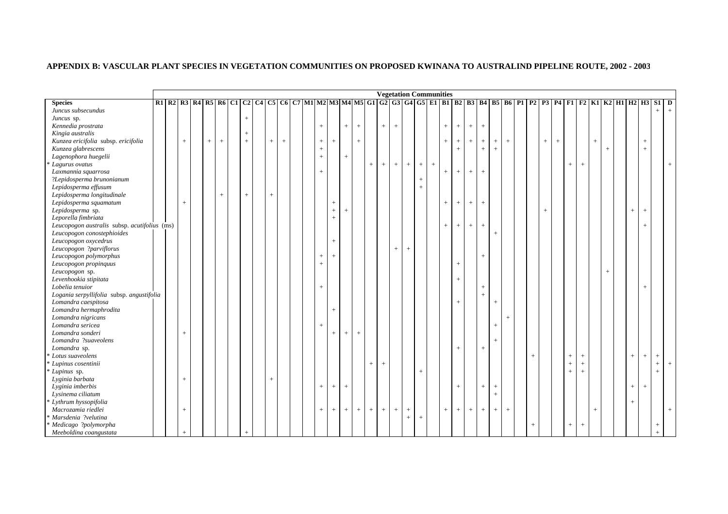|                                              |  |                                  |     |     |                                                                                                                         |         |       |  |                   |                 |                |                   |     |                   | <b>Vegetation Communities</b>    |                   |     |     |     |     |     |        |                   |        |        |                   |                   |           |                   |        |     |                 |        |        |     |
|----------------------------------------------|--|----------------------------------|-----|-----|-------------------------------------------------------------------------------------------------------------------------|---------|-------|--|-------------------|-----------------|----------------|-------------------|-----|-------------------|----------------------------------|-------------------|-----|-----|-----|-----|-----|--------|-------------------|--------|--------|-------------------|-------------------|-----------|-------------------|--------|-----|-----------------|--------|--------|-----|
| <b>Species</b>                               |  |                                  |     |     | R1 R2 R3 R4 R5 R6 C1 C2 C4 C5 C6 C7 M1 M2 M3 M4 M5 G1 G2 G3 G4 G5 E1 B1 B2 B3 B4 B5 B6 P1 P2 P3 P4 F1 F2 K1 K2 H1 H2 H3 |         |       |  |                   |                 |                |                   |     |                   |                                  |                   |     |     |     |     |     |        |                   |        |        |                   |                   |           |                   |        |     |                 |        | $S1$ D |     |
| Juncus subsecundus                           |  |                                  |     |     |                                                                                                                         |         |       |  |                   |                 |                |                   |     |                   |                                  |                   |     |     |     |     |     |        |                   |        |        |                   |                   |           |                   |        |     |                 |        | $^{+}$ | $+$ |
| Juncus sp.                                   |  |                                  |     |     | $^{+}$                                                                                                                  |         |       |  |                   |                 |                |                   |     |                   |                                  |                   |     |     |     |     |     |        |                   |        |        |                   |                   |           |                   |        |     |                 |        |        |     |
| Kennedia prostrata                           |  |                                  |     |     |                                                                                                                         |         |       |  | $\qquad \qquad +$ |                 | $^{+}$         | $\qquad \qquad +$ |     | $^{+}$            | $+$                              |                   |     |     | $+$ | $+$ | $+$ | $+$    |                   |        |        |                   |                   |           |                   |        |     |                 |        |        |     |
| Kingia australis                             |  |                                  |     |     | $^{+}$                                                                                                                  |         |       |  |                   |                 |                |                   |     |                   |                                  |                   |     |     |     |     |     |        |                   |        |        |                   |                   |           |                   |        |     |                 |        |        |     |
| Kunzea ericifolia subsp. ericifolia          |  | $\, + \,$                        | $+$ | $+$ | $+$                                                                                                                     | $\,+\,$ | $\pm$ |  | $^+$              | $^{+}$          |                | $+$               |     |                   |                                  |                   |     |     | $+$ | $+$ | $+$ | $+$    | $\qquad \qquad +$ | $\pm$  |        | $\qquad \qquad +$ | $\qquad \qquad +$ |           |                   | $^{+}$ |     |                 | $^{+}$ |        |     |
| Kunzea glabrescens                           |  |                                  |     |     |                                                                                                                         |         |       |  | $\qquad \qquad +$ |                 |                |                   |     |                   |                                  |                   |     |     |     | $+$ |     | $+$    | $^{+}$            |        |        |                   |                   |           |                   |        | $+$ |                 | $+$    |        |     |
| Lagenophora huegelii                         |  |                                  |     |     |                                                                                                                         |         |       |  | $+$               |                 | $+$            |                   |     |                   |                                  |                   |     |     |     |     |     |        |                   |        |        |                   |                   |           |                   |        |     |                 |        |        |     |
| Lagurus ovatus                               |  |                                  |     |     |                                                                                                                         |         |       |  |                   |                 |                |                   | $+$ | $\qquad \qquad +$ | $\begin{array}{c} + \end{array}$ | $+$               | $+$ | $+$ |     |     |     |        |                   |        |        |                   |                   | $^{+}$    | $+$               |        |     |                 |        |        |     |
| Laxmannia squarrosa                          |  |                                  |     |     |                                                                                                                         |         |       |  | $+$               |                 |                |                   |     |                   |                                  |                   |     |     | $+$ | $+$ | $+$ | $^{+}$ |                   |        |        |                   |                   |           |                   |        |     |                 |        |        |     |
| ?Lepidosperma brunonianum                    |  |                                  |     |     |                                                                                                                         |         |       |  |                   |                 |                |                   |     |                   |                                  |                   | $+$ |     |     |     |     |        |                   |        |        |                   |                   |           |                   |        |     |                 |        |        |     |
| Lepidosperma effusum                         |  |                                  |     |     |                                                                                                                         |         |       |  |                   |                 |                |                   |     |                   |                                  |                   | $+$ |     |     |     |     |        |                   |        |        |                   |                   |           |                   |        |     |                 |        |        |     |
| Lepidosperma longitudinale                   |  |                                  |     | $+$ | $^{+}$                                                                                                                  | $+$     |       |  |                   |                 |                |                   |     |                   |                                  |                   |     |     |     |     |     |        |                   |        |        |                   |                   |           |                   |        |     |                 |        |        |     |
| Lepidosperma squamatum                       |  | $\begin{array}{c} + \end{array}$ |     |     |                                                                                                                         |         |       |  |                   | $\! + \!\!\!\!$ |                |                   |     |                   |                                  |                   |     |     | $+$ | $+$ | $+$ | $+$    |                   |        |        |                   |                   |           |                   |        |     |                 |        |        |     |
| Lepidosperma sp.                             |  |                                  |     |     |                                                                                                                         |         |       |  |                   | $+$             | $\overline{+}$ |                   |     |                   |                                  |                   |     |     |     |     |     |        |                   |        |        | $^{+}$            |                   |           |                   |        |     | $+$             | $+$    |        |     |
| Leporella fimbriata                          |  |                                  |     |     |                                                                                                                         |         |       |  |                   | $+$             |                |                   |     |                   |                                  |                   |     |     |     |     |     |        |                   |        |        |                   |                   |           |                   |        |     |                 |        |        |     |
| Leucopogon australis subsp. acutifolius (ms) |  |                                  |     |     |                                                                                                                         |         |       |  |                   |                 |                |                   |     |                   |                                  |                   |     |     | $+$ | $+$ | $+$ | $+$    |                   |        |        |                   |                   |           |                   |        |     |                 | $+$    |        |     |
| Leucopogon conostephioides                   |  |                                  |     |     |                                                                                                                         |         |       |  |                   |                 |                |                   |     |                   |                                  |                   |     |     |     |     |     |        | $\qquad \qquad +$ |        |        |                   |                   |           |                   |        |     |                 |        |        |     |
| Leucopogon oxycedrus                         |  |                                  |     |     |                                                                                                                         |         |       |  |                   | $+$             |                |                   |     |                   |                                  |                   |     |     |     |     |     |        |                   |        |        |                   |                   |           |                   |        |     |                 |        |        |     |
| Leucopogon ?parviflorus                      |  |                                  |     |     |                                                                                                                         |         |       |  |                   |                 |                |                   |     |                   | $\begin{array}{c} + \end{array}$ | $\qquad \qquad +$ |     |     |     |     |     |        |                   |        |        |                   |                   |           |                   |        |     |                 |        |        |     |
| Leucopogon polymorphus                       |  |                                  |     |     |                                                                                                                         |         |       |  | $^{+}$            | $^{+}$          |                |                   |     |                   |                                  |                   |     |     |     |     |     | $+$    |                   |        |        |                   |                   |           |                   |        |     |                 |        |        |     |
| Leucopogon propinquus                        |  |                                  |     |     |                                                                                                                         |         |       |  | $^{+}$            |                 |                |                   |     |                   |                                  |                   |     |     |     | $+$ |     |        |                   |        |        |                   |                   |           |                   |        |     |                 |        |        |     |
| Leucopogon sp.                               |  |                                  |     |     |                                                                                                                         |         |       |  |                   |                 |                |                   |     |                   |                                  |                   |     |     |     |     |     |        |                   |        |        |                   |                   |           |                   |        | $+$ |                 |        |        |     |
| Levenhookia stipitata                        |  |                                  |     |     |                                                                                                                         |         |       |  |                   |                 |                |                   |     |                   |                                  |                   |     |     |     | $+$ |     |        |                   |        |        |                   |                   |           |                   |        |     |                 |        |        |     |
| Lobelia tenuior                              |  |                                  |     |     |                                                                                                                         |         |       |  | $^{+}$            |                 |                |                   |     |                   |                                  |                   |     |     |     |     |     | $+$    |                   |        |        |                   |                   |           |                   |        |     |                 | $+$    |        |     |
| Logania serpyllifolia subsp. angustifolia    |  |                                  |     |     |                                                                                                                         |         |       |  |                   |                 |                |                   |     |                   |                                  |                   |     |     |     |     |     | $^{+}$ |                   |        |        |                   |                   |           |                   |        |     |                 |        |        |     |
| Lomandra caespitosa                          |  |                                  |     |     |                                                                                                                         |         |       |  |                   |                 |                |                   |     |                   |                                  |                   |     |     |     | $+$ |     |        | $\qquad \qquad +$ |        |        |                   |                   |           |                   |        |     |                 |        |        |     |
| Lomandra hermaphrodita                       |  |                                  |     |     |                                                                                                                         |         |       |  |                   | $+$             |                |                   |     |                   |                                  |                   |     |     |     |     |     |        |                   |        |        |                   |                   |           |                   |        |     |                 |        |        |     |
| Lomandra nigricans                           |  |                                  |     |     |                                                                                                                         |         |       |  |                   |                 |                |                   |     |                   |                                  |                   |     |     |     |     |     |        |                   | $^{+}$ |        |                   |                   |           |                   |        |     |                 |        |        |     |
| Lomandra sericea                             |  |                                  |     |     |                                                                                                                         |         |       |  | $+$               |                 |                |                   |     |                   |                                  |                   |     |     |     |     |     |        | $^{+}$            |        |        |                   |                   |           |                   |        |     |                 |        |        |     |
| Lomandra sonderi                             |  |                                  |     |     |                                                                                                                         |         |       |  |                   | $^{+}$          |                | $^{+}$            |     |                   |                                  |                   |     |     |     |     |     |        |                   |        |        |                   |                   |           |                   |        |     |                 |        |        |     |
| Lomandra ?suaveolens                         |  | $+$                              |     |     |                                                                                                                         |         |       |  |                   |                 | $^{+}$         |                   |     |                   |                                  |                   |     |     |     |     |     |        | $\overline{+}$    |        |        |                   |                   |           |                   |        |     |                 |        |        |     |
| Lomandra sp.                                 |  |                                  |     |     |                                                                                                                         |         |       |  |                   |                 |                |                   |     |                   |                                  |                   |     |     |     |     |     |        |                   |        |        |                   |                   |           |                   |        |     |                 |        |        |     |
| Lotus suaveolens                             |  |                                  |     |     |                                                                                                                         |         |       |  |                   |                 |                |                   |     |                   |                                  |                   |     |     |     | $+$ |     | $+$    |                   |        |        |                   |                   |           |                   |        |     |                 |        |        |     |
|                                              |  |                                  |     |     |                                                                                                                         |         |       |  |                   |                 |                |                   |     |                   |                                  |                   |     |     |     |     |     |        |                   |        | $+$    |                   |                   | $^{+}$    | $^+$              |        |     | $+$             | $+$    | $+$    |     |
| Lupinus cosentinii                           |  |                                  |     |     |                                                                                                                         |         |       |  |                   |                 |                |                   | $+$ | $+$               |                                  |                   |     |     |     |     |     |        |                   |        |        |                   |                   | $\ddot{}$ | $^{+}$            |        |     |                 |        | $+$    | $+$ |
| Lupinus sp.                                  |  |                                  |     |     |                                                                                                                         |         |       |  |                   |                 |                |                   |     |                   |                                  |                   | $+$ |     |     |     |     |        |                   |        |        |                   |                   | $^{+}$    | $\! + \!\!\!\!$   |        |     |                 |        | $+$    |     |
| Lyginia barbata                              |  | $^{+}$                           |     |     |                                                                                                                         | $\,+\,$ |       |  |                   |                 |                |                   |     |                   |                                  |                   |     |     |     |     |     |        |                   |        |        |                   |                   |           |                   |        |     |                 |        |        |     |
| Lyginia imberbis                             |  |                                  |     |     |                                                                                                                         |         |       |  | $\qquad \qquad +$ | $\! + \!\!\!\!$ | $+$            |                   |     |                   |                                  |                   |     |     |     | $+$ |     | $+$    | $\! + \!\!\!\!$   |        |        |                   |                   |           |                   |        |     | $\! + \!\!\!\!$ | $+$    |        |     |
| Lysinema ciliatum                            |  |                                  |     |     |                                                                                                                         |         |       |  |                   |                 |                |                   |     |                   |                                  |                   |     |     |     |     |     |        | $\pm$             |        |        |                   |                   |           |                   |        |     |                 |        |        |     |
| Lythrum hyssopifolia                         |  |                                  |     |     |                                                                                                                         |         |       |  |                   |                 |                |                   |     |                   |                                  |                   |     |     |     |     |     |        |                   |        |        |                   |                   |           |                   |        |     | $+$             |        |        |     |
| Macrozamia riedlei                           |  | $\begin{array}{c} + \end{array}$ |     |     |                                                                                                                         |         |       |  | $+$               | $^{+}$          | $^{+}$         | $^{+}$            | $+$ | $+$               | $\begin{array}{c} + \end{array}$ | $+$               |     |     | $+$ | $+$ | $+$ | $+$    | $\qquad \qquad +$ | $\, +$ |        |                   |                   |           |                   | $^{+}$ |     |                 |        |        |     |
| Marsdenia ?velutina                          |  |                                  |     |     |                                                                                                                         |         |       |  |                   |                 |                |                   |     |                   |                                  | $\, +$            | $+$ |     |     |     |     |        |                   |        |        |                   |                   |           |                   |        |     |                 |        |        |     |
| Medicago ?polymorpha                         |  |                                  |     |     |                                                                                                                         |         |       |  |                   |                 |                |                   |     |                   |                                  |                   |     |     |     |     |     |        |                   |        | $^{+}$ |                   |                   | $^{+}$    | $\qquad \qquad +$ |        |     |                 |        |        |     |
| Meeboldina coangustata                       |  |                                  |     |     |                                                                                                                         |         |       |  |                   |                 |                |                   |     |                   |                                  |                   |     |     |     |     |     |        |                   |        |        |                   |                   |           |                   |        |     |                 |        |        |     |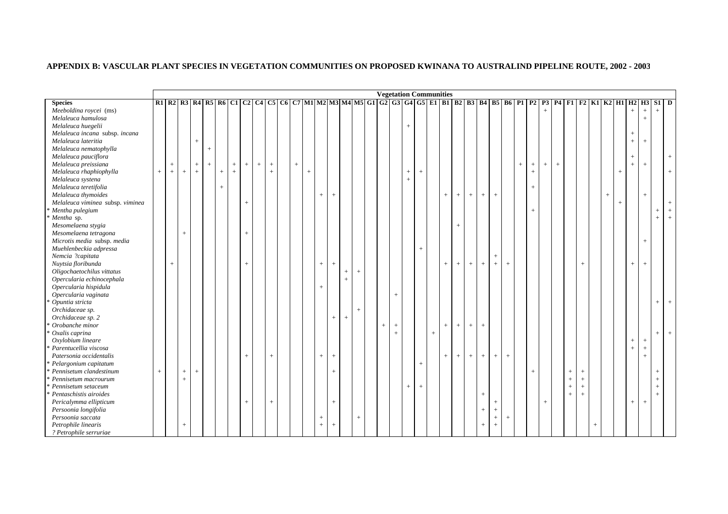|                                   |             |        |        |        |     |     |                |                                  |     |                   |      |     |                                  |           |                   |        | <b>Vegetation Communities</b> |        |      |        |     |     |     |                   |        |                                  |        |        |                                  |        |      |                   |                                                                                                                   |     |     |        |        |                 |        |             |
|-----------------------------------|-------------|--------|--------|--------|-----|-----|----------------|----------------------------------|-----|-------------------|------|-----|----------------------------------|-----------|-------------------|--------|-------------------------------|--------|------|--------|-----|-----|-----|-------------------|--------|----------------------------------|--------|--------|----------------------------------|--------|------|-------------------|-------------------------------------------------------------------------------------------------------------------|-----|-----|--------|--------|-----------------|--------|-------------|
| <b>Species</b>                    |             |        |        |        |     |     |                |                                  |     |                   |      |     |                                  |           |                   |        |                               |        |      |        |     |     |     |                   |        |                                  |        |        |                                  |        |      |                   | R1 R2 R3 R4 R5 R6 C1 C2 C4 C5 C6 C7 M1 M2 M3 M4 M5 G1 G2 G3 G4 G5 E1 B1 B2 B3 B4 B5 B6 P1 P2 P3 P4 F1 F2 K1 K2 H1 |     |     |        | H2     | <b>H3</b>       | $S1$ D |             |
| Meeboldina roycei (ms)            |             |        |        |        |     |     |                |                                  |     |                   |      |     |                                  |           |                   |        |                               |        |      |        |     |     |     |                   |        |                                  |        |        |                                  | $^{+}$ |      |                   |                                                                                                                   |     |     |        | $^{+}$ | $\! + \!\!\!\!$ | $+$    |             |
| Melaleuca hamulosa                |             |        |        |        |     |     |                |                                  |     |                   |      |     |                                  |           |                   |        |                               |        |      |        |     |     |     |                   |        |                                  |        |        |                                  |        |      |                   |                                                                                                                   |     |     |        |        | $^{+}$          |        |             |
| Melaleuca huegelii                |             |        |        |        |     |     |                |                                  |     |                   |      |     |                                  |           |                   |        |                               |        | $+$  |        |     |     |     |                   |        |                                  |        |        |                                  |        |      |                   |                                                                                                                   |     |     |        |        |                 |        |             |
| Melaleuca incana subsp. incana    |             |        |        |        |     |     |                |                                  |     |                   |      |     |                                  |           |                   |        |                               |        |      |        |     |     |     |                   |        |                                  |        |        |                                  |        |      |                   |                                                                                                                   |     |     |        | $^{+}$ |                 |        |             |
| Melaleuca lateritia               |             |        |        | $^{+}$ |     |     |                |                                  |     |                   |      |     |                                  |           |                   |        |                               |        |      |        |     |     |     |                   |        |                                  |        |        |                                  |        |      |                   |                                                                                                                   |     |     |        | $+$    | $^{+}$          |        |             |
| Melaleuca nematophylla            |             |        |        |        | $+$ |     |                |                                  |     |                   |      |     |                                  |           |                   |        |                               |        |      |        |     |     |     |                   |        |                                  |        |        |                                  |        |      |                   |                                                                                                                   |     |     |        |        |                 |        |             |
| Melaleuca pauciflora              |             |        |        |        |     |     |                |                                  |     |                   |      |     |                                  |           |                   |        |                               |        |      |        |     |     |     |                   |        |                                  |        |        |                                  |        |      |                   |                                                                                                                   |     |     |        | $+$    |                 |        | $\,$ + $\,$ |
| Melaleuca preissiana              |             | $^{+}$ |        | $+$    | $+$ |     | $^{+}$         | $\begin{array}{c} + \end{array}$ | $+$ | $\qquad \qquad +$ | $^+$ |     |                                  |           |                   |        |                               |        |      |        |     |     |     |                   |        |                                  |        | $^{+}$ | $\begin{array}{c} + \end{array}$ | $^{+}$ | $^+$ |                   |                                                                                                                   |     |     |        | $^{+}$ | $\ddot{}$       |        |             |
| Melaleuca rhaphiophylla           | $+$         | $^{+}$ | $^{+}$ | $+$    |     | $+$ | $\overline{+}$ |                                  |     | $\ddot{}$         |      | $+$ |                                  |           |                   |        |                               |        | $+$  | $^{+}$ |     |     |     |                   |        |                                  |        |        | $+$                              |        |      |                   |                                                                                                                   |     |     | $+$    |        |                 |        | $^{+}$      |
| Melaleuca systena                 |             |        |        |        |     |     |                |                                  |     |                   |      |     |                                  |           |                   |        |                               |        | $^+$ |        |     |     |     |                   |        |                                  |        |        |                                  |        |      |                   |                                                                                                                   |     |     |        |        |                 |        |             |
| Melaleuca teretifolia             |             |        |        |        |     | $+$ |                |                                  |     |                   |      |     |                                  |           |                   |        |                               |        |      |        |     |     |     |                   |        |                                  |        |        | $+$                              |        |      |                   |                                                                                                                   |     |     |        |        |                 |        |             |
| Melaleuca thymoides               |             |        |        |        |     |     |                |                                  |     |                   |      |     | $\qquad \qquad +$                | $\ddot{}$ |                   |        |                               |        |      |        |     | $+$ | $+$ | $\qquad \qquad +$ | $\, +$ | $\! + \!\!\!\!$                  |        |        |                                  |        |      |                   |                                                                                                                   |     | $+$ |        |        | $^{+}$          |        |             |
| Melaleuca viminea subsp. viminea  |             |        |        |        |     |     |                | $^{+}$                           |     |                   |      |     |                                  |           |                   |        |                               |        |      |        |     |     |     |                   |        |                                  |        |        |                                  |        |      |                   |                                                                                                                   |     |     | $^{+}$ |        |                 |        |             |
| Mentha pulegium                   |             |        |        |        |     |     |                |                                  |     |                   |      |     |                                  |           |                   |        |                               |        |      |        |     |     |     |                   |        |                                  |        |        | $+$                              |        |      |                   |                                                                                                                   |     |     |        |        |                 | $+$    | $+$         |
| Mentha sp.                        |             |        |        |        |     |     |                |                                  |     |                   |      |     |                                  |           |                   |        |                               |        |      |        |     |     |     |                   |        |                                  |        |        |                                  |        |      |                   |                                                                                                                   |     |     |        |        |                 | $^{+}$ | $^{+}$      |
| Mesomelaena stygia                |             |        |        |        |     |     |                |                                  |     |                   |      |     |                                  |           |                   |        |                               |        |      |        |     |     | $+$ |                   |        |                                  |        |        |                                  |        |      |                   |                                                                                                                   |     |     |        |        |                 |        |             |
| Mesomelaena tetragona             |             |        | $^{+}$ |        |     |     |                | $^{+}$                           |     |                   |      |     |                                  |           |                   |        |                               |        |      |        |     |     |     |                   |        |                                  |        |        |                                  |        |      |                   |                                                                                                                   |     |     |        |        |                 |        |             |
| Microtis media subsp. media       |             |        |        |        |     |     |                |                                  |     |                   |      |     |                                  |           |                   |        |                               |        |      |        |     |     |     |                   |        |                                  |        |        |                                  |        |      |                   |                                                                                                                   |     |     |        |        | $^{+}$          |        |             |
| Muehlenbeckia adpressa            |             |        |        |        |     |     |                |                                  |     |                   |      |     |                                  |           |                   |        |                               |        |      | $^{+}$ |     |     |     |                   |        |                                  |        |        |                                  |        |      |                   |                                                                                                                   |     |     |        |        |                 |        |             |
| Nemcia ?capitata                  |             |        |        |        |     |     |                |                                  |     |                   |      |     |                                  |           |                   |        |                               |        |      |        |     |     |     |                   |        | $^{+}$                           |        |        |                                  |        |      |                   |                                                                                                                   |     |     |        |        |                 |        |             |
| Nuytsia floribunda                |             | $^{+}$ |        |        |     |     |                | $^{+}$                           |     |                   |      |     | $^{+}$                           | $\ddot{}$ |                   |        |                               |        |      |        |     | $+$ | $+$ | $+$               | $+$    | $+$                              | $+$    |        |                                  |        |      |                   | $+$                                                                                                               |     |     |        | $^{+}$ | $+$             |        |             |
| Oligochaetochilus vittatus        |             |        |        |        |     |     |                |                                  |     |                   |      |     |                                  |           | $\! + \!\!\!\!$   | $^{+}$ |                               |        |      |        |     |     |     |                   |        |                                  |        |        |                                  |        |      |                   |                                                                                                                   |     |     |        |        |                 |        |             |
| Opercularia echinocephala         |             |        |        |        |     |     |                |                                  |     |                   |      |     |                                  |           | $+$               |        |                               |        |      |        |     |     |     |                   |        |                                  |        |        |                                  |        |      |                   |                                                                                                                   |     |     |        |        |                 |        |             |
| Opercularia hispidula             |             |        |        |        |     |     |                |                                  |     |                   |      |     | $+$                              |           |                   |        |                               |        |      |        |     |     |     |                   |        |                                  |        |        |                                  |        |      |                   |                                                                                                                   |     |     |        |        |                 |        |             |
| Opercularia vaginata              |             |        |        |        |     |     |                |                                  |     |                   |      |     |                                  |           |                   |        |                               | $+$    |      |        |     |     |     |                   |        |                                  |        |        |                                  |        |      |                   |                                                                                                                   |     |     |        |        |                 |        |             |
| Opuntia stricta                   |             |        |        |        |     |     |                |                                  |     |                   |      |     |                                  |           |                   |        |                               |        |      |        |     |     |     |                   |        |                                  |        |        |                                  |        |      |                   |                                                                                                                   |     |     |        |        |                 | $+$    | $+$         |
| Orchidaceae sp.                   |             |        |        |        |     |     |                |                                  |     |                   |      |     |                                  |           |                   | $+$    |                               |        |      |        |     |     |     |                   |        |                                  |        |        |                                  |        |      |                   |                                                                                                                   |     |     |        |        |                 |        |             |
| Orchidaceae sp. 2                 |             |        |        |        |     |     |                |                                  |     |                   |      |     |                                  | $^{+}$    | $\qquad \qquad +$ |        |                               |        |      |        |     |     |     |                   |        |                                  |        |        |                                  |        |      |                   |                                                                                                                   |     |     |        |        |                 |        |             |
| Orobanche minor                   |             |        |        |        |     |     |                |                                  |     |                   |      |     |                                  |           |                   |        | $^{+}$                        | $^{+}$ |      |        |     | $+$ | $+$ | $^{+}$            | $\, +$ |                                  |        |        |                                  |        |      |                   |                                                                                                                   |     |     |        |        |                 |        |             |
| Oxalis caprina                    |             |        |        |        |     |     |                |                                  |     |                   |      |     |                                  |           |                   |        |                               | $+$    |      |        | $+$ |     |     |                   |        |                                  |        |        |                                  |        |      |                   |                                                                                                                   |     |     |        |        |                 | $+$    | $+$         |
| Oxylobium lineare                 |             |        |        |        |     |     |                |                                  |     |                   |      |     |                                  |           |                   |        |                               |        |      |        |     |     |     |                   |        |                                  |        |        |                                  |        |      |                   |                                                                                                                   |     |     |        | $^{+}$ | $\! + \!\!\!\!$ |        |             |
| Parentucellia viscosa             |             |        |        |        |     |     |                |                                  |     |                   |      |     |                                  |           |                   |        |                               |        |      |        |     |     |     |                   |        |                                  |        |        |                                  |        |      |                   |                                                                                                                   |     |     |        | $^{+}$ | $\! +$          |        |             |
| Patersonia occidentalis           |             |        |        |        |     |     |                | $^{+}$                           |     | $^{+}$            |      |     | $^{+}$                           | $\ddot{}$ |                   |        |                               |        |      |        |     | $+$ | $+$ | $^{+}$            | $+$    | $+$                              | $^{+}$ |        |                                  |        |      |                   |                                                                                                                   |     |     |        |        | $\overline{+}$  |        |             |
| Pelargonium capitatum             |             |        |        |        |     |     |                |                                  |     |                   |      |     |                                  |           |                   |        |                               |        |      | $+$    |     |     |     |                   |        |                                  |        |        |                                  |        |      |                   |                                                                                                                   |     |     |        |        |                 |        |             |
| Pennisetum clandestinum           | $\,$ + $\,$ |        | $^{+}$ | $+$    |     |     |                |                                  |     |                   |      |     |                                  | $^{+}$    |                   |        |                               |        |      |        |     |     |     |                   |        |                                  |        |        | $+$                              |        |      | $+$               | $^+$                                                                                                              |     |     |        |        |                 | $^{+}$ |             |
| <sup>*</sup> Pennisetum macrourum |             |        | $+$    |        |     |     |                |                                  |     |                   |      |     |                                  |           |                   |        |                               |        |      |        |     |     |     |                   |        |                                  |        |        |                                  |        |      | $\qquad \qquad +$ | $\! +$                                                                                                            |     |     |        |        |                 | $^{+}$ |             |
| Pennisetum setaceum               |             |        |        |        |     |     |                |                                  |     |                   |      |     |                                  |           |                   |        |                               |        | $+$  | $^{+}$ |     |     |     |                   |        |                                  |        |        |                                  |        |      | $^{+}$            | $\pm$                                                                                                             |     |     |        |        |                 | $+$    |             |
| Pentaschistis airoides            |             |        |        |        |     |     |                |                                  |     |                   |      |     |                                  |           |                   |        |                               |        |      |        |     |     |     |                   | $\, +$ |                                  |        |        |                                  |        |      | $\,+\,$           | $\pm$                                                                                                             |     |     |        |        |                 | $+$    |             |
| Pericalymma ellipticum            |             |        |        |        |     |     |                | $\,$ + $\,$                      |     | $+$               |      |     |                                  | $^{+}$    |                   |        |                               |        |      |        |     |     |     |                   |        | $+$                              |        |        |                                  | $^{+}$ |      |                   |                                                                                                                   |     |     |        | $+$    | $+$             |        |             |
| Persoonia longifolia              |             |        |        |        |     |     |                |                                  |     |                   |      |     |                                  |           |                   |        |                               |        |      |        |     |     |     |                   | $^{+}$ | $+$                              |        |        |                                  |        |      |                   |                                                                                                                   |     |     |        |        |                 |        |             |
| Persoonia saccata                 |             |        |        |        |     |     |                |                                  |     |                   |      |     | $\begin{array}{c} + \end{array}$ |           |                   | $^{+}$ |                               |        |      |        |     |     |     |                   |        | $\begin{array}{c} + \end{array}$ | $+$    |        |                                  |        |      |                   |                                                                                                                   |     |     |        |        |                 |        |             |
| Petrophile linearis               |             |        | $+$    |        |     |     |                |                                  |     |                   |      |     | $+$                              | $^{+}$    |                   |        |                               |        |      |        |     |     |     |                   | $^{+}$ | $^{+}$                           |        |        |                                  |        |      |                   |                                                                                                                   | $+$ |     |        |        |                 |        |             |
| ? Petrophile serruriae            |             |        |        |        |     |     |                |                                  |     |                   |      |     |                                  |           |                   |        |                               |        |      |        |     |     |     |                   |        |                                  |        |        |                                  |        |      |                   |                                                                                                                   |     |     |        |        |                 |        |             |
|                                   |             |        |        |        |     |     |                |                                  |     |                   |      |     |                                  |           |                   |        |                               |        |      |        |     |     |     |                   |        |                                  |        |        |                                  |        |      |                   |                                                                                                                   |     |     |        |        |                 |        |             |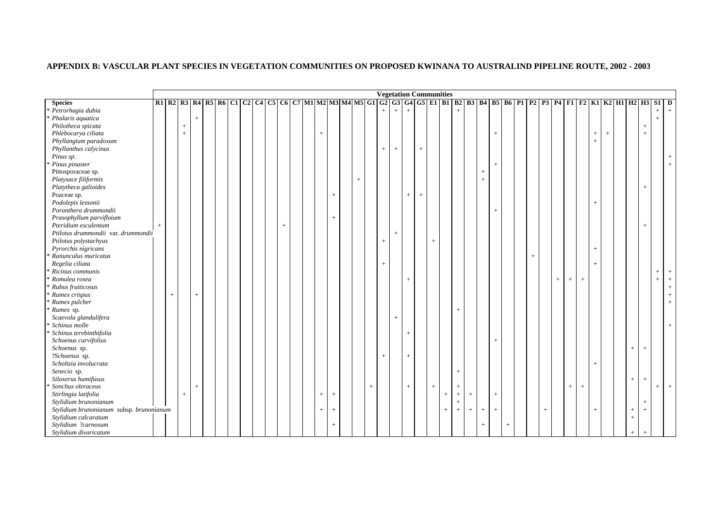# **APPENDIX B: VASCULAR PLANT SPECIES IN VEGETATION COMMUNITIES ON PROPOSED KWINANA TO AUSTRALIND PIPELINE ROUTE, 2002 - 2003**

|                                               |     |     |                                  |        |  |  |  |             |  |                   |        |        |        |        | <b>Vegetation Communities</b>    |                   |        |     |     |                |        |        |                   |        |        |                 |        |        |                 |        |                                                                                                                              |        |     |                   |                |
|-----------------------------------------------|-----|-----|----------------------------------|--------|--|--|--|-------------|--|-------------------|--------|--------|--------|--------|----------------------------------|-------------------|--------|-----|-----|----------------|--------|--------|-------------------|--------|--------|-----------------|--------|--------|-----------------|--------|------------------------------------------------------------------------------------------------------------------------------|--------|-----|-------------------|----------------|
| <b>Species</b>                                |     |     |                                  |        |  |  |  |             |  |                   |        |        |        |        |                                  |                   |        |     |     |                |        |        |                   |        |        |                 |        |        |                 |        | R1 R2 R3 R4 R5 R6 C1 C2 C4 C5 C6 C7 M1 M2 M3 M4 M5 G1 G2 G3 G4 G5 E1 B1 B2 B3 B4 B5 B6 P1 P2 P3 P4 F1 F2 K1 K2 H1 H2 H3 S1 D |        |     |                   |                |
| Petrorhagia dubia                             |     |     |                                  |        |  |  |  |             |  |                   |        |        |        | $+$    | $+$                              | $+$               |        |     |     |                |        |        |                   |        |        |                 |        |        |                 |        |                                                                                                                              |        |     | $\qquad \qquad +$ |                |
| Phalaris aquatica                             |     |     |                                  | $+$    |  |  |  |             |  |                   |        |        |        |        |                                  |                   |        |     |     |                |        |        |                   |        |        |                 |        |        |                 |        |                                                                                                                              |        |     | $^{+}$            |                |
| Philotheca spicata                            |     |     | $+$                              |        |  |  |  |             |  |                   |        |        |        |        |                                  |                   |        |     |     |                |        |        |                   |        |        |                 |        |        |                 |        |                                                                                                                              |        | $+$ |                   |                |
| Phlebocarya ciliata                           |     |     | $\begin{array}{c} + \end{array}$ |        |  |  |  |             |  | $^{+}$            |        |        |        |        |                                  |                   |        |     |     |                |        |        | $^{+}$            |        |        |                 |        |        |                 | $^{+}$ | $^{+}$                                                                                                                       |        | $+$ |                   |                |
| Phyllangium paradoxum                         |     |     |                                  |        |  |  |  |             |  |                   |        |        |        |        |                                  |                   |        |     |     |                |        |        |                   |        |        |                 |        |        |                 | $^{+}$ |                                                                                                                              |        |     |                   |                |
| Phyllanthus calycinus                         |     |     |                                  |        |  |  |  |             |  |                   |        |        |        | $^+$   | $\begin{array}{c} + \end{array}$ |                   | $^{+}$ |     |     |                |        |        |                   |        |        |                 |        |        |                 |        |                                                                                                                              |        |     |                   |                |
| Pinus sp.                                     |     |     |                                  |        |  |  |  |             |  |                   |        |        |        |        |                                  |                   |        |     |     |                |        |        |                   |        |        |                 |        |        |                 |        |                                                                                                                              |        |     |                   |                |
| Pinus pinaster                                |     |     |                                  |        |  |  |  |             |  |                   |        |        |        |        |                                  |                   |        |     |     |                |        |        | $^{+}$            |        |        |                 |        |        |                 |        |                                                                                                                              |        |     |                   |                |
| Pittosporaceae sp.                            |     |     |                                  |        |  |  |  |             |  |                   |        |        |        |        |                                  |                   |        |     |     |                |        | $^{+}$ |                   |        |        |                 |        |        |                 |        |                                                                                                                              |        |     |                   |                |
| Platysace filiformis                          |     |     |                                  |        |  |  |  |             |  |                   |        | $^{+}$ |        |        |                                  |                   |        |     |     |                |        | $+$    |                   |        |        |                 |        |        |                 |        |                                                                                                                              |        |     |                   |                |
| Platytheca galioides                          |     |     |                                  |        |  |  |  |             |  |                   |        |        |        |        |                                  |                   |        |     |     |                |        |        |                   |        |        |                 |        |        |                 |        |                                                                                                                              |        | $+$ |                   |                |
| Poaceae sp.                                   |     |     |                                  |        |  |  |  |             |  |                   | $+$    |        |        |        |                                  | $^{+}$            | $^{+}$ |     |     |                |        |        |                   |        |        |                 |        |        |                 |        |                                                                                                                              |        |     |                   |                |
| Podolepis lessonii                            |     |     |                                  |        |  |  |  |             |  |                   |        |        |        |        |                                  |                   |        |     |     |                |        |        |                   |        |        |                 |        |        |                 | $^{+}$ |                                                                                                                              |        |     |                   |                |
| Poranthera drummondii                         |     |     |                                  |        |  |  |  |             |  |                   |        |        |        |        |                                  |                   |        |     |     |                |        |        | $^{+}$            |        |        |                 |        |        |                 |        |                                                                                                                              |        |     |                   |                |
| Prasophyllum parvifloium                      |     |     |                                  |        |  |  |  |             |  |                   | $^{+}$ |        |        |        |                                  |                   |        |     |     |                |        |        |                   |        |        |                 |        |        |                 |        |                                                                                                                              |        |     |                   |                |
| Pteridium esculentum                          | $+$ |     |                                  |        |  |  |  | $\,$ + $\,$ |  |                   |        |        |        |        |                                  |                   |        |     |     |                |        |        |                   |        |        |                 |        |        |                 |        |                                                                                                                              |        | $+$ |                   |                |
| Ptilotus drummondii var. drummondii           |     |     |                                  |        |  |  |  |             |  |                   |        |        |        |        | $\! + \!\!\!\!$                  |                   |        |     |     |                |        |        |                   |        |        |                 |        |        |                 |        |                                                                                                                              |        |     |                   |                |
| Ptilotus polystachyus                         |     |     |                                  |        |  |  |  |             |  |                   |        |        |        | $^{+}$ |                                  |                   |        | $+$ |     |                |        |        |                   |        |        |                 |        |        |                 |        |                                                                                                                              |        |     |                   |                |
| Pyrorchis nigricans                           |     |     |                                  |        |  |  |  |             |  |                   |        |        |        |        |                                  |                   |        |     |     |                |        |        |                   |        |        |                 |        |        |                 |        |                                                                                                                              |        |     |                   |                |
| Ranunculus muricatus                          |     |     |                                  |        |  |  |  |             |  |                   |        |        |        |        |                                  |                   |        |     |     |                |        |        |                   |        | $^{+}$ |                 |        |        |                 |        |                                                                                                                              |        |     |                   |                |
| Regelia ciliata                               |     |     |                                  |        |  |  |  |             |  |                   |        |        |        | $^{+}$ |                                  |                   |        |     |     |                |        |        |                   |        |        |                 |        |        |                 |        |                                                                                                                              |        |     |                   |                |
| Ricinus communis                              |     |     |                                  |        |  |  |  |             |  |                   |        |        |        |        |                                  |                   |        |     |     |                |        |        |                   |        |        |                 |        |        |                 |        |                                                                                                                              |        |     | $^{+}$            |                |
| Romulea rosea                                 |     |     |                                  |        |  |  |  |             |  |                   |        |        |        |        |                                  | $+$               |        |     |     |                |        |        |                   |        |        |                 | $^{+}$ | $^{+}$ | $\! + \!\!\!\!$ |        |                                                                                                                              |        |     | $+$               | $\overline{+}$ |
| Rubus fruiticosus                             |     |     |                                  |        |  |  |  |             |  |                   |        |        |        |        |                                  |                   |        |     |     |                |        |        |                   |        |        |                 |        |        |                 |        |                                                                                                                              |        |     |                   |                |
| Rumex crispus                                 |     | $+$ |                                  | $+$    |  |  |  |             |  |                   |        |        |        |        |                                  |                   |        |     |     |                |        |        |                   |        |        |                 |        |        |                 |        |                                                                                                                              |        |     |                   |                |
| Rumex pulcher                                 |     |     |                                  |        |  |  |  |             |  |                   |        |        |        |        |                                  |                   |        |     |     |                |        |        |                   |        |        |                 |        |        |                 |        |                                                                                                                              |        |     |                   |                |
| Rumex sp.                                     |     |     |                                  |        |  |  |  |             |  |                   |        |        |        |        |                                  |                   |        |     |     | $^{+}$         |        |        |                   |        |        |                 |        |        |                 |        |                                                                                                                              |        |     |                   |                |
| Scaevola glandulifera                         |     |     |                                  |        |  |  |  |             |  |                   |        |        |        |        | $+$                              |                   |        |     |     |                |        |        |                   |        |        |                 |        |        |                 |        |                                                                                                                              |        |     |                   |                |
| Schinus molle                                 |     |     |                                  |        |  |  |  |             |  |                   |        |        |        |        |                                  |                   |        |     |     |                |        |        |                   |        |        |                 |        |        |                 |        |                                                                                                                              |        |     |                   |                |
| Schinus terebinthifolia                       |     |     |                                  |        |  |  |  |             |  |                   |        |        |        |        |                                  | $^{+}$            |        |     |     |                |        |        |                   |        |        |                 |        |        |                 |        |                                                                                                                              |        |     |                   |                |
| Schoenus curvifolius                          |     |     |                                  |        |  |  |  |             |  |                   |        |        |        |        |                                  |                   |        |     |     |                |        |        | $^{+}$            |        |        |                 |        |        |                 |        |                                                                                                                              |        |     |                   |                |
| Schoenus sp.                                  |     |     |                                  |        |  |  |  |             |  |                   |        |        |        |        |                                  |                   |        |     |     |                |        |        |                   |        |        |                 |        |        |                 |        |                                                                                                                              | $+$    | $+$ |                   |                |
| ?Schoenus sp.                                 |     |     |                                  |        |  |  |  |             |  |                   |        |        |        | $^{+}$ |                                  | $\qquad \qquad +$ |        |     |     |                |        |        |                   |        |        |                 |        |        |                 |        |                                                                                                                              |        |     |                   |                |
| Scholtzia involucrata                         |     |     |                                  |        |  |  |  |             |  |                   |        |        |        |        |                                  |                   |        |     |     |                |        |        |                   |        |        |                 |        |        |                 | $^{+}$ |                                                                                                                              |        |     |                   |                |
| Senecio sp.                                   |     |     |                                  |        |  |  |  |             |  |                   |        |        |        |        |                                  |                   |        |     |     | $+$            |        |        |                   |        |        |                 |        |        |                 |        |                                                                                                                              |        |     |                   |                |
| Siloxerus humifusus                           |     |     |                                  |        |  |  |  |             |  |                   |        |        |        |        |                                  |                   |        |     |     |                |        |        |                   |        |        |                 |        |        |                 |        |                                                                                                                              | $^+$   |     |                   |                |
| Sonchus oleraceus                             |     |     |                                  |        |  |  |  |             |  |                   |        |        |        |        |                                  |                   |        |     |     | $\overline{+}$ |        |        |                   |        |        |                 |        |        |                 |        |                                                                                                                              |        | $+$ |                   | $+$            |
|                                               |     |     |                                  | $^{+}$ |  |  |  |             |  |                   |        |        | $^{+}$ |        |                                  | $+$               |        | $+$ |     | $^+$           | $^{+}$ |        |                   |        |        |                 |        | $^{+}$ | $^{+}$          |        |                                                                                                                              |        |     | $+$               |                |
| Stirlingia latifolia<br>Stylidium brunonianum |     |     | $^+$                             |        |  |  |  |             |  | $\qquad \qquad +$ | $^{+}$ |        |        |        |                                  |                   |        |     | $+$ | $\ddot{}$      |        |        | $\! + \!\!\!\!$   |        |        |                 |        |        |                 |        |                                                                                                                              |        |     |                   |                |
|                                               |     |     |                                  |        |  |  |  |             |  |                   |        |        |        |        |                                  |                   |        |     |     |                |        |        |                   |        |        |                 |        |        |                 |        |                                                                                                                              |        | $+$ |                   |                |
| Stylidium brunonianum subsp. brunonianum      |     |     |                                  |        |  |  |  |             |  | $^{+}$            | $^{+}$ |        |        |        |                                  |                   |        |     | $+$ | $+$            | $+$    | $+$    | $\qquad \qquad +$ |        |        | $\! + \!\!\!\!$ |        |        |                 | $^{+}$ |                                                                                                                              | $^{+}$ | $+$ |                   |                |
| Stylidium calcaratum                          |     |     |                                  |        |  |  |  |             |  |                   |        |        |        |        |                                  |                   |        |     |     |                |        |        |                   |        |        |                 |        |        |                 |        |                                                                                                                              | $+$    |     |                   |                |
| Stylidium ?carnosum                           |     |     |                                  |        |  |  |  |             |  |                   | $^{+}$ |        |        |        |                                  |                   |        |     |     |                |        | $+$    |                   | $^{+}$ |        |                 |        |        |                 |        |                                                                                                                              |        |     |                   |                |
| Stylidium divaricatum                         |     |     |                                  |        |  |  |  |             |  |                   |        |        |        |        |                                  |                   |        |     |     |                |        |        |                   |        |        |                 |        |        |                 |        |                                                                                                                              | $\pm$  |     |                   |                |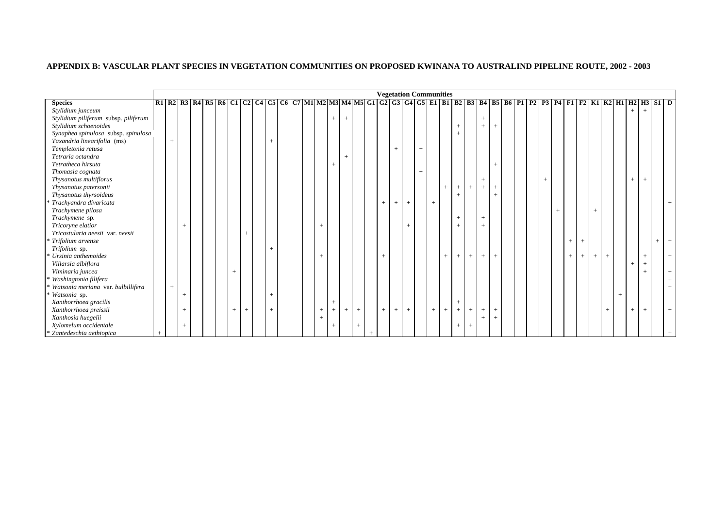# **APPENDIX B: VASCULAR PLANT SPECIES IN VEGETATION COMMUNITIES ON PROPOSED KWINANA TO AUSTRALIND PIPELINE ROUTE, 2002 - 2003**

|                                      |        |        |  |     |     |        |  |        |        |        |     |        |        | <b>Vegetation Communities</b> |        |     |     |        |        |        |        |  |  |     |        |                                  |        |     |                                                                                                                      |        |     |        |  |
|--------------------------------------|--------|--------|--|-----|-----|--------|--|--------|--------|--------|-----|--------|--------|-------------------------------|--------|-----|-----|--------|--------|--------|--------|--|--|-----|--------|----------------------------------|--------|-----|----------------------------------------------------------------------------------------------------------------------|--------|-----|--------|--|
| <b>Species</b>                       |        |        |  |     |     |        |  |        |        |        |     |        |        |                               |        |     |     |        |        |        |        |  |  |     |        |                                  |        |     | R1 R2 R3 R4 R5 R6 C1 C2 C4 C5 C6 C7 M1 M2 M3 M4 M5 G1 G2 G3 G4 G5 E1 B1 B2 B3 B4 B5 B6 P1 P2 P3 P4 F1 F2 K1 K2 H1 H2 |        | H3  | $S1$ D |  |
| Stylidium junceum                    |        |        |  |     |     |        |  |        |        |        |     |        |        |                               |        |     |     |        |        |        |        |  |  |     |        |                                  |        |     |                                                                                                                      | $^{+}$ |     |        |  |
| Stylidium piliferum subsp. piliferum |        |        |  |     |     |        |  |        | $^{+}$ | $+$    |     |        |        |                               |        |     |     |        |        | $+$    |        |  |  |     |        |                                  |        |     |                                                                                                                      |        |     |        |  |
| Stylidium schoenoides                |        |        |  |     |     |        |  |        |        |        |     |        |        |                               |        |     |     |        |        | $^{+}$ | $^{+}$ |  |  |     |        |                                  |        |     |                                                                                                                      |        |     |        |  |
| Synaphea spinulosa subsp. spinulosa  |        |        |  |     |     |        |  |        |        |        |     |        |        |                               |        |     |     |        |        |        |        |  |  |     |        |                                  |        |     |                                                                                                                      |        |     |        |  |
| Taxandria linearifolia (ms)          | $^{+}$ |        |  |     |     | $^{+}$ |  |        |        |        |     |        |        |                               |        |     |     |        |        |        |        |  |  |     |        |                                  |        |     |                                                                                                                      |        |     |        |  |
| Templetonia retusa                   |        |        |  |     |     |        |  |        |        |        |     |        | $^{+}$ |                               | $^{+}$ |     |     |        |        |        |        |  |  |     |        |                                  |        |     |                                                                                                                      |        |     |        |  |
| Tetraria octandra                    |        |        |  |     |     |        |  |        |        | $^{+}$ |     |        |        |                               |        |     |     |        |        |        |        |  |  |     |        |                                  |        |     |                                                                                                                      |        |     |        |  |
| Tetratheca hirsuta                   |        |        |  |     |     |        |  |        |        |        |     |        |        |                               |        |     |     |        |        |        | $^{+}$ |  |  |     |        |                                  |        |     |                                                                                                                      |        |     |        |  |
| Thomasia cognata                     |        |        |  |     |     |        |  |        |        |        |     |        |        |                               | $^{+}$ |     |     |        |        |        |        |  |  |     |        |                                  |        |     |                                                                                                                      |        |     |        |  |
| Thysanotus multiflorus               |        |        |  |     |     |        |  |        |        |        |     |        |        |                               |        |     |     |        |        | $^{+}$ |        |  |  |     |        |                                  |        |     |                                                                                                                      | $^{+}$ | $+$ |        |  |
| Thysanotus patersonii                |        |        |  |     |     |        |  |        |        |        |     |        |        |                               |        |     |     | $+$    | $+$    | $^{+}$ | $+$    |  |  |     |        |                                  |        |     |                                                                                                                      |        |     |        |  |
| Thysanotus thyrsoideus               |        |        |  |     |     |        |  |        |        |        |     |        |        |                               |        |     |     | $^{+}$ |        |        |        |  |  |     |        |                                  |        |     |                                                                                                                      |        |     |        |  |
| * Trachyandra divaricata             |        |        |  |     |     |        |  |        |        |        |     | $^{+}$ | $+$    | $+$                           |        | $+$ |     |        |        |        |        |  |  |     |        |                                  |        |     |                                                                                                                      |        |     |        |  |
| Trachymene pilosa                    |        |        |  |     |     |        |  |        |        |        |     |        |        |                               |        |     |     |        |        |        |        |  |  | $+$ |        |                                  |        |     |                                                                                                                      |        |     |        |  |
| Trachymene sp.                       |        |        |  |     |     |        |  |        |        |        |     |        |        |                               |        |     |     | $+$    |        | $^{+}$ |        |  |  |     |        |                                  |        |     |                                                                                                                      |        |     |        |  |
| Tricoryne elatior                    |        | $+$    |  |     |     |        |  | $^{+}$ |        |        |     |        |        |                               |        |     |     | $+$    |        | $^{+}$ |        |  |  |     |        |                                  |        |     |                                                                                                                      |        |     |        |  |
| Tricostularia neesii var. neesii     |        |        |  |     | $+$ |        |  |        |        |        |     |        |        |                               |        |     |     |        |        |        |        |  |  |     |        |                                  |        |     |                                                                                                                      |        |     |        |  |
| * Trifolium arvense                  |        |        |  |     |     |        |  |        |        |        |     |        |        |                               |        |     |     |        |        |        |        |  |  |     | $^{+}$ | $\overline{+}$                   |        |     |                                                                                                                      |        |     | $+$    |  |
| Trifolium sp.                        |        |        |  |     |     | $^{+}$ |  |        |        |        |     |        |        |                               |        |     |     |        |        |        |        |  |  |     |        |                                  |        |     |                                                                                                                      |        |     |        |  |
| Ursinia anthemoides                  |        |        |  |     |     |        |  | $^{+}$ |        |        |     | $^{+}$ |        |                               |        |     | $+$ | $+$    | $+$    | $+$    | $+$    |  |  |     | $^{+}$ | $\begin{array}{c} + \end{array}$ | $^{+}$ | $+$ |                                                                                                                      |        | $+$ |        |  |
| Villarsia albiflora                  |        |        |  |     |     |        |  |        |        |        |     |        |        |                               |        |     |     |        |        |        |        |  |  |     |        |                                  |        |     |                                                                                                                      | $+$    | $+$ |        |  |
| Viminaria juncea                     |        |        |  |     |     |        |  |        |        |        |     |        |        |                               |        |     |     |        |        |        |        |  |  |     |        |                                  |        |     |                                                                                                                      |        |     |        |  |
| Washingtonia filifera                |        |        |  |     |     |        |  |        |        |        |     |        |        |                               |        |     |     |        |        |        |        |  |  |     |        |                                  |        |     |                                                                                                                      |        |     |        |  |
| Watsonia meriana var. bulbillifera   | $^{+}$ |        |  |     |     |        |  |        |        |        |     |        |        |                               |        |     |     |        |        |        |        |  |  |     |        |                                  |        |     |                                                                                                                      |        |     |        |  |
| * Watsonia sp.                       |        | $^{+}$ |  |     |     | $^{+}$ |  |        |        |        |     |        |        |                               |        |     |     |        |        |        |        |  |  |     |        |                                  |        |     |                                                                                                                      |        |     |        |  |
| Xanthorrhoea gracilis                |        |        |  |     |     |        |  |        | $^{+}$ |        |     |        |        |                               |        |     |     | $+$    |        |        |        |  |  |     |        |                                  |        |     |                                                                                                                      |        |     |        |  |
| Xanthorrhoea preissii                |        | $+$    |  | $+$ | $+$ | $+$    |  | $^{+}$ | $^{+}$ | $^{+}$ | $+$ | $+$    | $+$    | $+$                           |        | $+$ | $+$ | $+$    | $^{+}$ | $+$    | $+$    |  |  |     |        |                                  |        | $+$ |                                                                                                                      | $+$    | $+$ |        |  |
| Xanthosia huegelii                   |        |        |  |     |     |        |  | $^{+}$ |        |        |     |        |        |                               |        |     |     |        |        | $^{+}$ | $^{+}$ |  |  |     |        |                                  |        |     |                                                                                                                      |        |     |        |  |
| Xylomelum occidentale                |        | $+$    |  |     |     |        |  |        |        |        |     |        |        |                               |        |     |     | $+$    |        |        |        |  |  |     |        |                                  |        |     |                                                                                                                      |        |     |        |  |
| * Zantedeschia aethiopica            |        |        |  |     |     |        |  |        |        |        |     |        |        |                               |        |     |     |        |        |        |        |  |  |     |        |                                  |        |     |                                                                                                                      |        |     |        |  |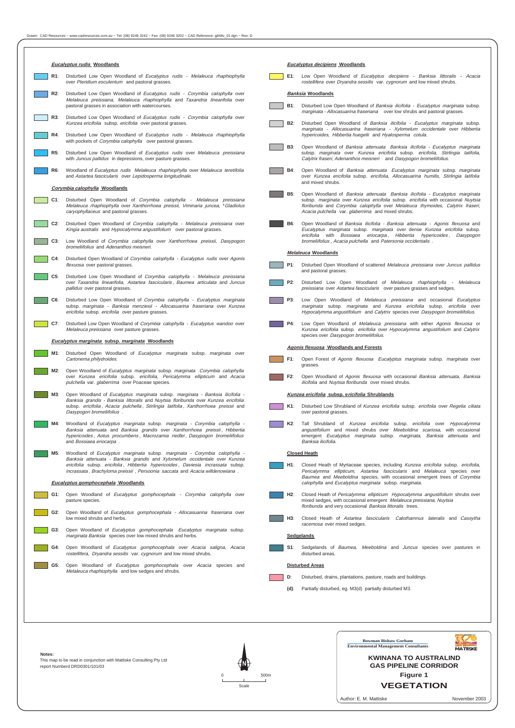rostellifera, Dryandra sessilis var. cygnorum and low mixed shrubs. disturbed areas.

G5: Open Woodland of *Eucalyptus gomphocephala* over Acacia species and

Melaleuca rhaphiophylla and low sedges and shrubs.

| <b>Eucalyptus rudis Woodlands</b>                                                                                                                                                                                                                                          | <b>Eucalyptus decipiens Woodlands</b>                                                                                                                                                                                                                                                                            |
|----------------------------------------------------------------------------------------------------------------------------------------------------------------------------------------------------------------------------------------------------------------------------|------------------------------------------------------------------------------------------------------------------------------------------------------------------------------------------------------------------------------------------------------------------------------------------------------------------|
| R1:                                                                                                                                                                                                                                                                        | E1:                                                                                                                                                                                                                                                                                                              |
| Disturbed Low Open Woodland of Eucalyptus rudis - Melaleuca rhaphiophylla<br>over Pteridium esculentum and pastoral grasses.                                                                                                                                               | Low Open Woodland of Eucalyptus decipiens - Banksia littoralis - Acacia<br>rostellifera over Dryandra sessilis var. cygnorum and low mixed shrubs.                                                                                                                                                               |
| Disturbed Low Open Woodland of <i>Eucalyptus rudis - Corymbia calophylla</i> over<br>R2:<br>Melaleuca preissiana, Melaleuca rhaphiophylla and Taxandria linearifolia over                                                                                                  | <b>Banksia Woodlands</b>                                                                                                                                                                                                                                                                                         |
| pastoral grasses in association with watercourses.                                                                                                                                                                                                                         | Disturbed Low Open Woodland of Banksia ilicifolia - Eucalyptus marginata subsp.<br><b>B1:</b><br>marginata - Allocasuarina fraseriana over low shrubs and pastoral grasses.                                                                                                                                      |
| Disturbed Low Open Woodland of Eucalyptus rudis - Corymbia calophylla over<br>R3:<br>Kunzea ericifolia subsp. ericifolia over pastoral grasses.                                                                                                                            | B2:<br>Disturbed Open Woodland of Banksia ilicifolia - Eucalyptus marginata subsp.<br>marginata - Allocasuarina fraseriana - Xylomelum occidentale over Hibbertia                                                                                                                                                |
| Disturbed Low Open Woodland of Eucalyptus rudis - Melaleuca rhaphiophylla<br>R4:<br>with pockets of <i>Corymbia calophylla</i> over pastoral grasses.                                                                                                                      | hypericoides, Hibbertia huegelii and Hyalosperma cotula.                                                                                                                                                                                                                                                         |
| Disturbed Low Open Woodland of Eucalyptus rudis over Melaleuca preissiana<br><b>R5:</b><br>with Juncus pallidus in depressions, over pasture grasses.                                                                                                                      | Open Woodland of Banksia attenuata Banksia ilicifolia - Eucalyptus marginata<br><b>B3:</b><br>subsp. marginata over Kunzea ericifolia subsp. ericifolia, Stirlingia latifolia,<br>Calytrix fraseri, Adenanthos meisneri and Dasypogon bromeliifolius.                                                            |
| Woodland of Eucalyptus rudis Melaleuca rhaphiophylla over Melaleuca teretifolia<br>R6:<br>and Astartea fascicularis over Lepidosperma longitudinale.                                                                                                                       | Open Woodland of Banksia attenuata Eucalyptus marginata subsp. marginata<br><b>B4:</b><br>over Kunzea ericifolia subsp. ericifolia, Allocasuarina humilis, Stirlingia latifolia<br>and mixed shrubs.                                                                                                             |
| Corymbia calophylla Woodlands                                                                                                                                                                                                                                              |                                                                                                                                                                                                                                                                                                                  |
| C1: Disturbed Open Woodland of Corymbia calophylla - Melaleuca preissiana<br>Melaleuca rhaphiophylla over Xanthorrhoea preissii, Viminaria juncea, *Gladiolus<br>caryophyllaceus and pastoral grasses.                                                                     | Open Woodland of Banksia attenuata Banksia ilicifolia - Eucalyptus marginata<br>B5:<br>subsp. marginata over Kunzea ericifolia subsp. ericifolia with occasional Nuytsia<br>floribunda and Corymbia calophylla over Melaleuca thymoides, Calytrix fraseri,<br>Acacia pulchella var. glaberrima and mixed shrubs. |
| Disturbed Open Woodland of Corymbia calophylla - Melaleuca preissiana over<br>C2:<br>Kingia australis and Hypocalymma angustifolium over pastoral grasses.                                                                                                                 | Open Woodland of Banksia ilicifolia - Banksia attenuata - Agonis flexuosa and<br><b>B6:</b><br>Eucalyptus marginata subsp. marginata over dense Kunzea ericifolia subsp.<br>ericifolia with Bossiaea eriocarpa, Hibbertia hypericoides, Dasypogon                                                                |
| Low Woodland of Corymbia calophylla over Xanthorrhoea preissii, Dasypogon<br>C3:<br>bromeliifolius and Adenanthos meisneri.                                                                                                                                                | bromeliifolius, Acacia pulchella and Patersonia occidentalis.<br><b>Melaleuca Woodlands</b>                                                                                                                                                                                                                      |
| Disturbed Open Woodland of Corymbia calophylla - Eucalyptus rudis over Agonis<br>$C4$ :<br>flexuosa over pastoral grasses.                                                                                                                                                 | Disturbed Open Woodland of scattered Melaleuca preissiana over Juncus pallidus<br><b>P1:</b>                                                                                                                                                                                                                     |
| Disturbed Low Open Woodland of Corymbia calophylla - Melaleuca preissiana<br>$C5$ :<br>over Taxandria linearifolia, Astartea fascicularis, Baumea articulata and Juncus<br>pallidus over pastoral grasses.                                                                 | and pastoral grasses.<br>P2:<br>Disturbed Low Open Woodland of Melaleuca rhaphiophylla - Melaleuca<br>preissiana over Astartea fascicularis over pasture grasses and sedges.                                                                                                                                     |
| Disturbed Low Open Woodland of Corymbia calophylla - Eucalyptus marginata<br>$C6$ :<br>subsp. marginata - Banksia menziesii - Allocasuarina fraseriana over Kunzea<br>ericifolia subsp. ericifolia over pasture grasses.                                                   | Low Open Woodland of Melaleuca preissiana and occasional Eucalyptus<br>P3:<br>marginata subsp. marginata and Kunzea ericifolia subsp. ericifolia over<br>Hypocalymma angustifolium and Calytrix species over Dasypogon bromeliifolius.                                                                           |
| Disturbed Low Open Woodland of Corymbia calophylla - Eucalyptus wandoo over<br>C7:<br><i>Melaleuca preissiana</i> over pasture grasses.                                                                                                                                    | Low Open Woodland of Melaleuca preissiana with either Agonis flexuosa or<br><b>P4:</b><br>Kunzea ericifolia subsp. ericifolia over Hypocalymma angustifolium and Calytrix<br>species over Dasypogon bromeliifolius.                                                                                              |
| Eucalyptus marginata subsp. marginata Woodlands                                                                                                                                                                                                                            | <b>Agonis flexuosa Woodlands and Forests</b>                                                                                                                                                                                                                                                                     |
| M1: Disturbed Open Woodland of <i>Eucalyptus marginata</i> subsp. marginata over<br>Cartonema philydroides.                                                                                                                                                                | F1:<br>Open Forest of Agonis flexuosa Eucalyptus marginata subsp. marginata over<br>grasses.                                                                                                                                                                                                                     |
| Open Woodland of Eucalyptus marginata subsp. marginata Corymbia calophylla<br>M2:<br>over Kunzea ericifolia subsp. ericifolia, Pericalymma ellipticum and Acacia<br>pulchella var. glaberrima over Poaceae species.                                                        | Open Woodland of Agonis flexuosa with occasional Banksia attenuata, Banksia<br>F2:<br>ilicifolia and Nuytsia floribunda over mixed shrubs.                                                                                                                                                                       |
| Open Woodland of Eucalyptus marginata subsp. marginata - Banksia ilicifolia -<br>M3:                                                                                                                                                                                       | Kunzea ericifolia subsp. ericifolia Shrublands                                                                                                                                                                                                                                                                   |
| Banksia grandis - Banksia littoralis and Nuytsia floribunda over Kunzea ericifolia<br>subsp. ericifolia, Acacia pulchella, Stirlingia latifolia, Xanthorrhoea preissii and<br>Dasypogon bromeliifolius.                                                                    | Disturbed Low Shrubland of Kunzea ericifolia subsp. ericifolia over Regelia ciliata<br>$K1$ :<br>over pastoral grasses.                                                                                                                                                                                          |
| Woodland of Eucalyptus marginata subsp. marginata - Corymbia calophylla -<br>M4:<br>Banksia attenuata and Banksia grandis over Xanthorrhoea preissii, Hibbertia<br>hypericoides, Aotus procumbens, Macrozamia riedlei, Dasypogon bromeliifolius<br>and Bossiaea eriocarpa. | K2:<br>Tall Shrubland of Kunzea ericifolia subsp. ericifolia over Hypocalymma<br>angustifolium and mixed shrubs over Meeboldina scariosa, with occasional<br>emergent Eucalyptus marginata subsp. marginata, Banksia attenuata and<br>Banksia ilicifolia.                                                        |
| Woodland of Eucalyptus marginata subsp. marginata - Corymbia calophylla -<br>M5:                                                                                                                                                                                           | <b>Closed Heath</b>                                                                                                                                                                                                                                                                                              |
| Banksia attenuata - Banksia grandis and Xylomelum occidentale over Kunzea<br>ericifolia subsp. ericifolia, Hibbertia hypericoides, Daviesia incrassata subsp.<br>incrassata, Brachyloma preissii, Persoonia saccata and Acacia willdenowiana.                              | Closed Heath of Myrtaceae species, including Kunzea ericifolia subsp. ericifolia,<br>H1: I<br>Pericalymma ellipticum, Astartea fascicularis and Melaleuca species over<br>Baumea and Meeboldina species, with occasional emergent trees of Corymbia                                                              |
| <b>Eucalyptus gomphocephala Woodlands</b>                                                                                                                                                                                                                                  | calophylla and Eucalyptus marginata subsp. marginata.                                                                                                                                                                                                                                                            |
| G1:<br>Open Woodland of Eucalyptus gomphocephala - Corymbia calophylla over<br>pasture species.                                                                                                                                                                            | Closed Heath of Pericalymma ellipticum Hypocalymma angustifolium shrubs over<br>H2:<br>mixed sedges, with occasional emergent Melaleuca preissiana, Nuytsia<br>floribunda and very occasional Banksia littoralis trees.                                                                                          |
| Open Woodland of Eucalyptus gomphocephala - Allocasuarina fraseriana over<br>G2:<br>low mixed shrubs and herbs.                                                                                                                                                            | H3:<br>Closed Heath of Astartea fascicularis Calothamnus lateralis and Cassytha                                                                                                                                                                                                                                  |
| Open Woodland of Eucalyptus gomphocephala Eucalyptus marginata subsp.<br>G3:<br>marginata Banksia species over low mixed shrubs and herbs.                                                                                                                                 | racemosa over mixed sedges.<br><b>Sedgelands</b>                                                                                                                                                                                                                                                                 |
| G4: Open Woodland of Eucalyptus gomphocephala over Acacia saligna, Acacia                                                                                                                                                                                                  | S1: Sedgelands of Baumea, Meeboldina and Juncus species over pastures in                                                                                                                                                                                                                                         |



- **Disturbed Areas**
	-
- **D**: Disturbed, drains, plantations, pasture, roads and buildings.

٦

**(d)**: Partially disturbed, eg. M3(d) partially disturbed M3.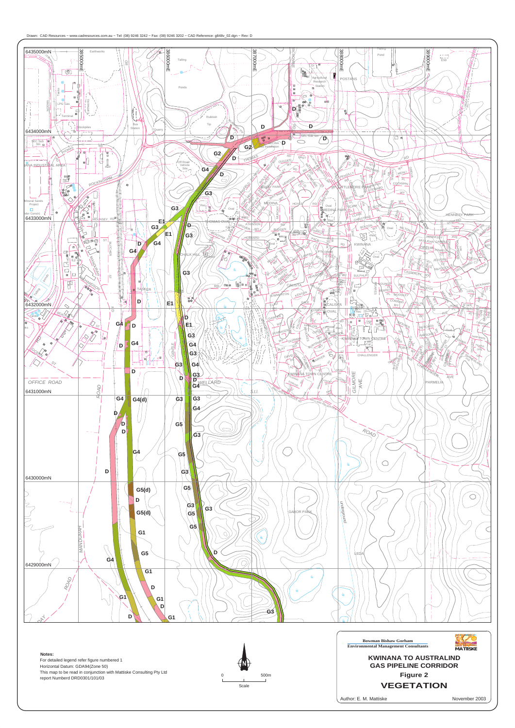





For detailed legend refer figure numbered 1 Horizontal Datum: GDA94(Zone 50) This map to be read in conjunction with Mattiske Consulting Pty Ltd report Numberd DRD0301/101/03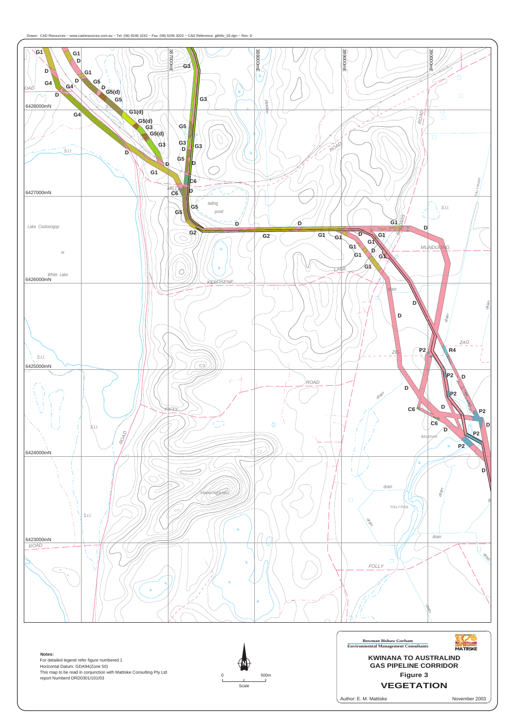





Author: E. M. Mattiske

For detailed legend refer figure numbered 1 Horizontal Datum: GDA94(Zone 50) This map to be read in conjunction with Mattiske Consulting Pty Ltd report Numberd DRD0301/101/03

November 2003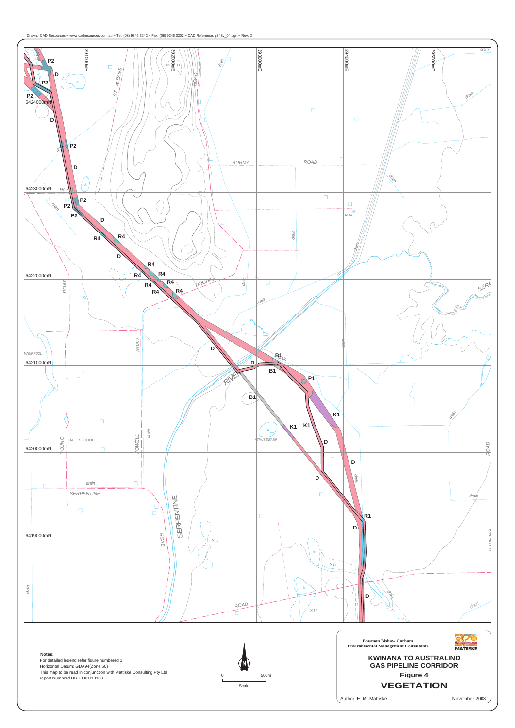





For detailed legend refer figure numbered 1 Horizontal Datum: GDA94(Zone 50) This map to be read in conjunction with Mattiske Consulting Pty Ltd report Numberd DRD0301/10103